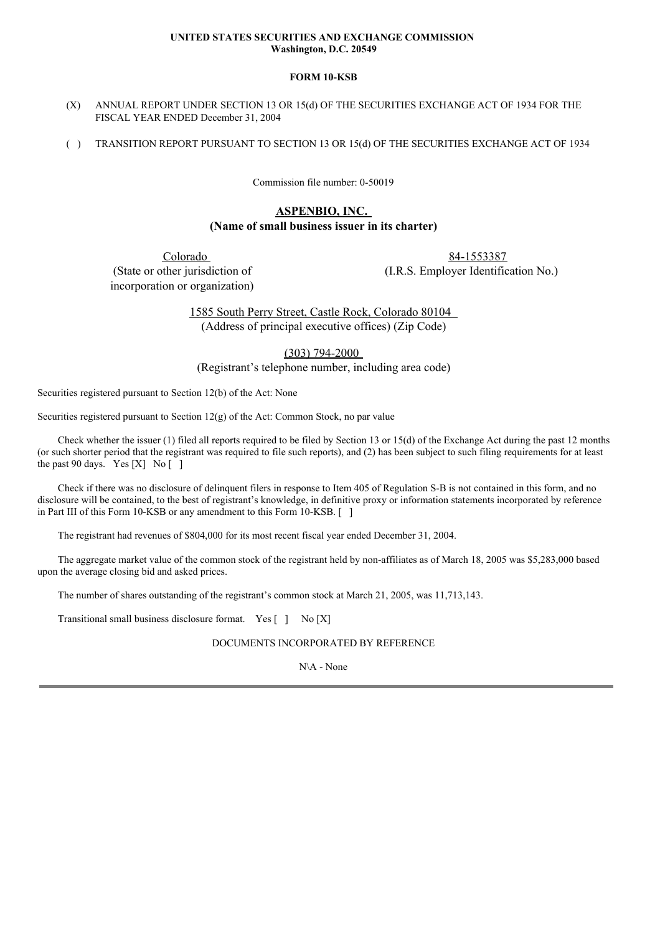### **UNITED STATES SECURITIES AND EXCHANGE COMMISSION Washington, D.C. 20549**

### **FORM 10-KSB**

- (X) ANNUAL REPORT UNDER SECTION 13 OR 15(d) OF THE SECURITIES EXCHANGE ACT OF 1934 FOR THE FISCAL YEAR ENDED December 31, 2004
- ( ) TRANSITION REPORT PURSUANT TO SECTION 13 OR 15(d) OF THE SECURITIES EXCHANGE ACT OF 1934

Commission file number: 0-50019

# **ASPENBIO, INC. (Name of small business issuer in its charter)**

Colorado (State or other jurisdiction of incorporation or organization)

84-1553387 (I.R.S. Employer Identification No.)

1585 South Perry Street, Castle Rock, Colorado 80104 (Address of principal executive offices) (Zip Code)

(303) 794-2000

(Registrant's telephone number, including area code)

Securities registered pursuant to Section 12(b) of the Act: None

Securities registered pursuant to Section 12(g) of the Act: Common Stock, no par value

Check whether the issuer (1) filed all reports required to be filed by Section 13 or 15(d) of the Exchange Act during the past 12 months (or such shorter period that the registrant was required to file such reports), and (2) has been subject to such filing requirements for at least the past 90 days. Yes  $[X]$  No  $[$ ]

Check if there was no disclosure of delinquent filers in response to Item 405 of Regulation S-B is not contained in this form, and no disclosure will be contained, to the best of registrant's knowledge, in definitive proxy or information statements incorporated by reference in Part III of this Form 10-KSB or any amendment to this Form 10-KSB. [ ]

The registrant had revenues of \$804,000 for its most recent fiscal year ended December 31, 2004.

The aggregate market value of the common stock of the registrant held by non-affiliates as of March 18, 2005 was \$5,283,000 based upon the average closing bid and asked prices.

The number of shares outstanding of the registrant's common stock at March 21, 2005, was 11,713,143.

Transitional small business disclosure format. Yes [ ] No [X]

# DOCUMENTS INCORPORATED BY REFERENCE

N\A - None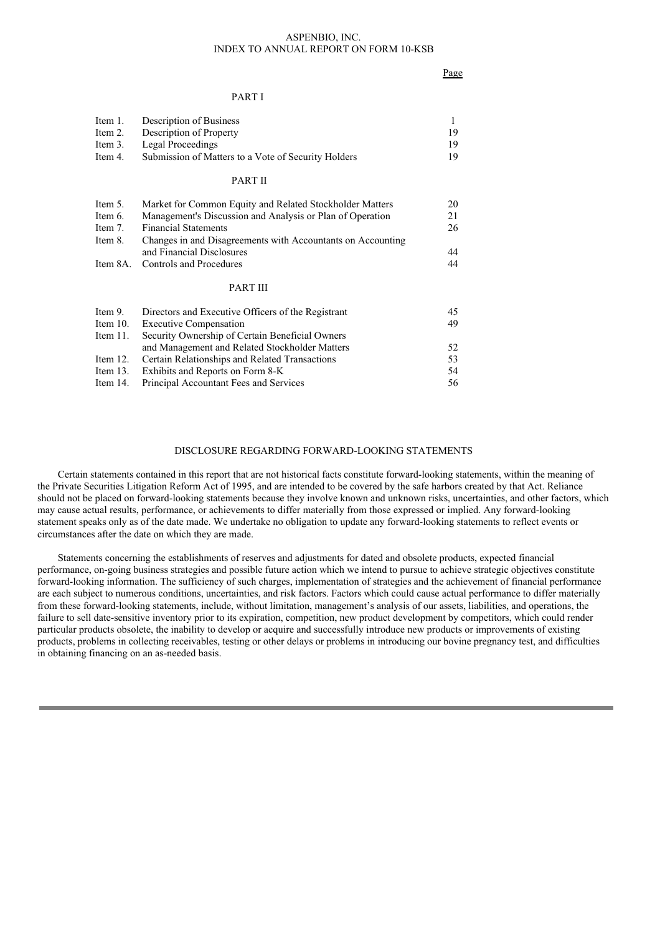#### ASPENBIO, INC. INDEX TO ANNUAL REPORT ON FORM 10-KSB

Page

### PART I

| Item 1.     | Description of Business                                     | 1  |
|-------------|-------------------------------------------------------------|----|
| Item 2.     | Description of Property                                     | 19 |
| Item 3.     | Legal Proceedings                                           | 19 |
| Item 4.     | Submission of Matters to a Vote of Security Holders         | 19 |
|             | PART II                                                     |    |
| Item $5$ .  | Market for Common Equity and Related Stockholder Matters    | 20 |
| Item 6.     | Management's Discussion and Analysis or Plan of Operation   | 21 |
| Item 7.     | <b>Financial Statements</b>                                 | 26 |
| Item 8.     | Changes in and Disagreements with Accountants on Accounting |    |
|             | and Financial Disclosures                                   | 44 |
| Item 8A.    | Controls and Procedures                                     | 44 |
|             | PART III                                                    |    |
| Item 9.     | Directors and Executive Officers of the Registrant          | 45 |
| Item $10$ . | <b>Executive Compensation</b>                               | 49 |
| Item $11.$  | Security Ownership of Certain Beneficial Owners             |    |
|             | and Management and Related Stockholder Matters              | 52 |
| Item $12$ . | Certain Relationships and Related Transactions              | 53 |
| Item $13.$  | Exhibits and Reports on Form 8-K                            | 54 |
| Item 14.    | Principal Accountant Fees and Services                      | 56 |

#### DISCLOSURE REGARDING FORWARD-LOOKING STATEMENTS

Certain statements contained in this report that are not historical facts constitute forward-looking statements, within the meaning of the Private Securities Litigation Reform Act of 1995, and are intended to be covered by the safe harbors created by that Act. Reliance should not be placed on forward-looking statements because they involve known and unknown risks, uncertainties, and other factors, which may cause actual results, performance, or achievements to differ materially from those expressed or implied. Any forward-looking statement speaks only as of the date made. We undertake no obligation to update any forward-looking statements to reflect events or circumstances after the date on which they are made.

Statements concerning the establishments of reserves and adjustments for dated and obsolete products, expected financial performance, on-going business strategies and possible future action which we intend to pursue to achieve strategic objectives constitute forward-looking information. The sufficiency of such charges, implementation of strategies and the achievement of financial performance are each subject to numerous conditions, uncertainties, and risk factors. Factors which could cause actual performance to differ materially from these forward-looking statements, include, without limitation, management's analysis of our assets, liabilities, and operations, the failure to sell date-sensitive inventory prior to its expiration, competition, new product development by competitors, which could render particular products obsolete, the inability to develop or acquire and successfully introduce new products or improvements of existing products, problems in collecting receivables, testing or other delays or problems in introducing our bovine pregnancy test, and difficulties in obtaining financing on an as-needed basis.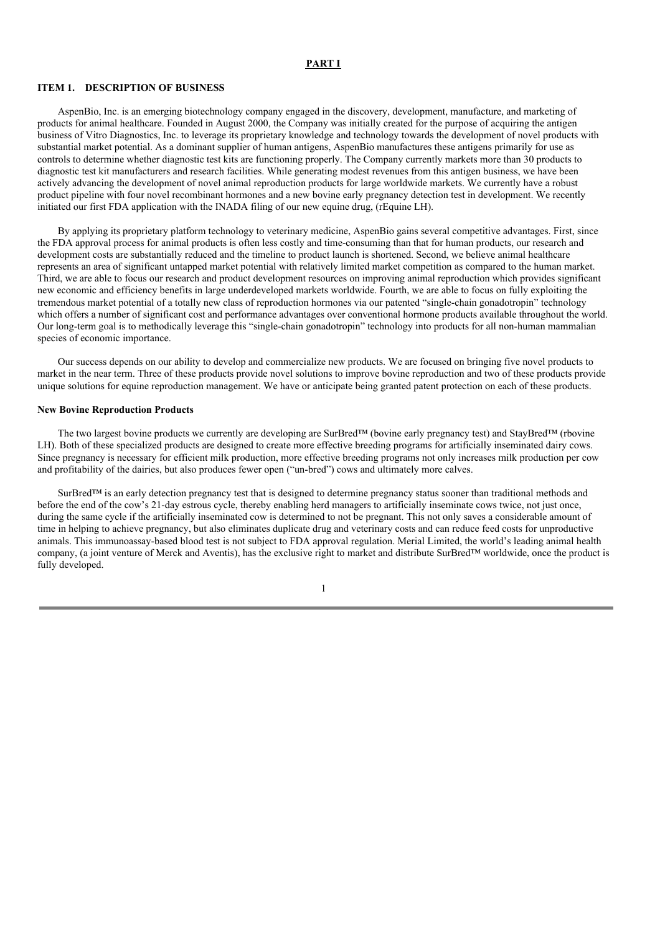#### **PART I**

#### **ITEM 1. DESCRIPTION OF BUSINESS**

AspenBio, Inc. is an emerging biotechnology company engaged in the discovery, development, manufacture, and marketing of products for animal healthcare. Founded in August 2000, the Company was initially created for the purpose of acquiring the antigen business of Vitro Diagnostics, Inc. to leverage its proprietary knowledge and technology towards the development of novel products with substantial market potential. As a dominant supplier of human antigens, AspenBio manufactures these antigens primarily for use as controls to determine whether diagnostic test kits are functioning properly. The Company currently markets more than 30 products to diagnostic test kit manufacturers and research facilities. While generating modest revenues from this antigen business, we have been actively advancing the development of novel animal reproduction products for large worldwide markets. We currently have a robust product pipeline with four novel recombinant hormones and a new bovine early pregnancy detection test in development. We recently initiated our first FDA application with the INADA filing of our new equine drug, (rEquine LH).

By applying its proprietary platform technology to veterinary medicine, AspenBio gains several competitive advantages. First, since the FDA approval process for animal products is often less costly and time-consuming than that for human products, our research and development costs are substantially reduced and the timeline to product launch is shortened. Second, we believe animal healthcare represents an area of significant untapped market potential with relatively limited market competition as compared to the human market. Third, we are able to focus our research and product development resources on improving animal reproduction which provides significant new economic and efficiency benefits in large underdeveloped markets worldwide. Fourth, we are able to focus on fully exploiting the tremendous market potential of a totally new class of reproduction hormones via our patented "single-chain gonadotropin" technology which offers a number of significant cost and performance advantages over conventional hormone products available throughout the world. Our long-term goal is to methodically leverage this "single-chain gonadotropin" technology into products for all non-human mammalian species of economic importance.

Our success depends on our ability to develop and commercialize new products. We are focused on bringing five novel products to market in the near term. Three of these products provide novel solutions to improve bovine reproduction and two of these products provide unique solutions for equine reproduction management. We have or anticipate being granted patent protection on each of these products.

#### **New Bovine Reproduction Products**

The two largest bovine products we currently are developing are SurBred™ (bovine early pregnancy test) and StayBred™ (rbovine LH). Both of these specialized products are designed to create more effective breeding programs for artificially inseminated dairy cows. Since pregnancy is necessary for efficient milk production, more effective breeding programs not only increases milk production per cow and profitability of the dairies, but also produces fewer open ("un-bred") cows and ultimately more calves.

SurBred™ is an early detection pregnancy test that is designed to determine pregnancy status sooner than traditional methods and before the end of the cow's 21-day estrous cycle, thereby enabling herd managers to artificially inseminate cows twice, not just once, during the same cycle if the artificially inseminated cow is determined to not be pregnant. This not only saves a considerable amount of time in helping to achieve pregnancy, but also eliminates duplicate drug and veterinary costs and can reduce feed costs for unproductive animals. This immunoassay-based blood test is not subject to FDA approval regulation. Merial Limited, the world's leading animal health company, (a joint venture of Merck and Aventis), has the exclusive right to market and distribute SurBred™ worldwide, once the product is fully developed.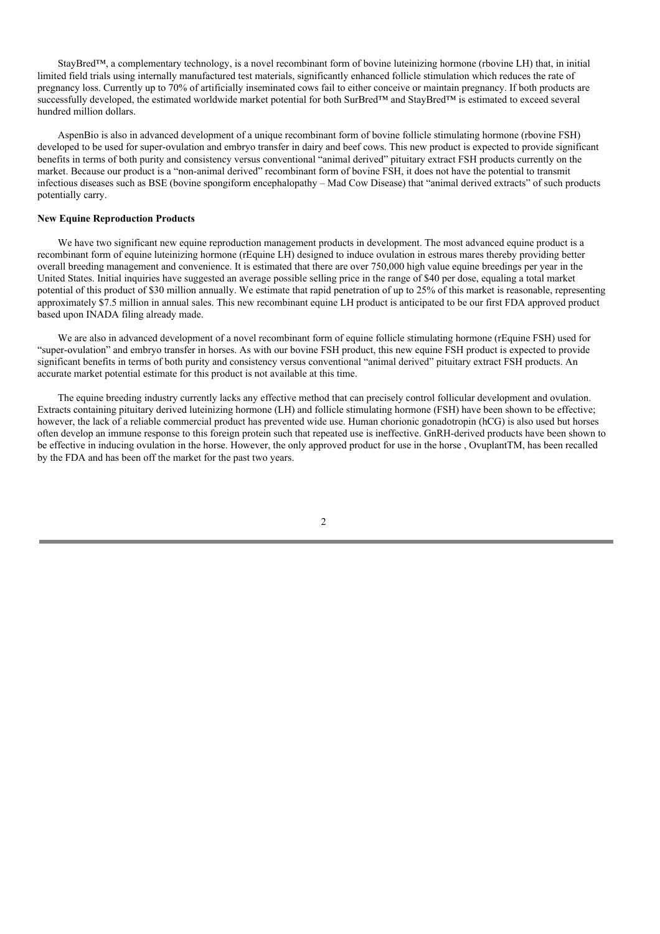StayBred™, a complementary technology, is a novel recombinant form of bovine luteinizing hormone (rbovine LH) that, in initial limited field trials using internally manufactured test materials, significantly enhanced follicle stimulation which reduces the rate of pregnancy loss. Currently up to 70% of artificially inseminated cows fail to either conceive or maintain pregnancy. If both products are successfully developed, the estimated worldwide market potential for both SurBred™ and StayBred™ is estimated to exceed several hundred million dollars.

AspenBio is also in advanced development of a unique recombinant form of bovine follicle stimulating hormone (rbovine FSH) developed to be used for super-ovulation and embryo transfer in dairy and beef cows. This new product is expected to provide significant benefits in terms of both purity and consistency versus conventional "animal derived" pituitary extract FSH products currently on the market. Because our product is a "non-animal derived" recombinant form of bovine FSH, it does not have the potential to transmit infectious diseases such as BSE (bovine spongiform encephalopathy – Mad Cow Disease) that "animal derived extracts" of such products potentially carry.

### **New Equine Reproduction Products**

We have two significant new equine reproduction management products in development. The most advanced equine product is a recombinant form of equine luteinizing hormone (rEquine LH) designed to induce ovulation in estrous mares thereby providing better overall breeding management and convenience. It is estimated that there are over 750,000 high value equine breedings per year in the United States. Initial inquiries have suggested an average possible selling price in the range of \$40 per dose, equaling a total market potential of this product of \$30 million annually. We estimate that rapid penetration of up to 25% of this market is reasonable, representing approximately \$7.5 million in annual sales. This new recombinant equine LH product is anticipated to be our first FDA approved product based upon INADA filing already made.

We are also in advanced development of a novel recombinant form of equine follicle stimulating hormone (rEquine FSH) used for "super-ovulation" and embryo transfer in horses. As with our bovine FSH product, this new equine FSH product is expected to provide significant benefits in terms of both purity and consistency versus conventional "animal derived" pituitary extract FSH products. An accurate market potential estimate for this product is not available at this time.

The equine breeding industry currently lacks any effective method that can precisely control follicular development and ovulation. Extracts containing pituitary derived luteinizing hormone (LH) and follicle stimulating hormone (FSH) have been shown to be effective; however, the lack of a reliable commercial product has prevented wide use. Human chorionic gonadotropin (hCG) is also used but horses often develop an immune response to this foreign protein such that repeated use is ineffective. GnRH-derived products have been shown to be effective in inducing ovulation in the horse. However, the only approved product for use in the horse , OvuplantTM, has been recalled by the FDA and has been off the market for the past two years.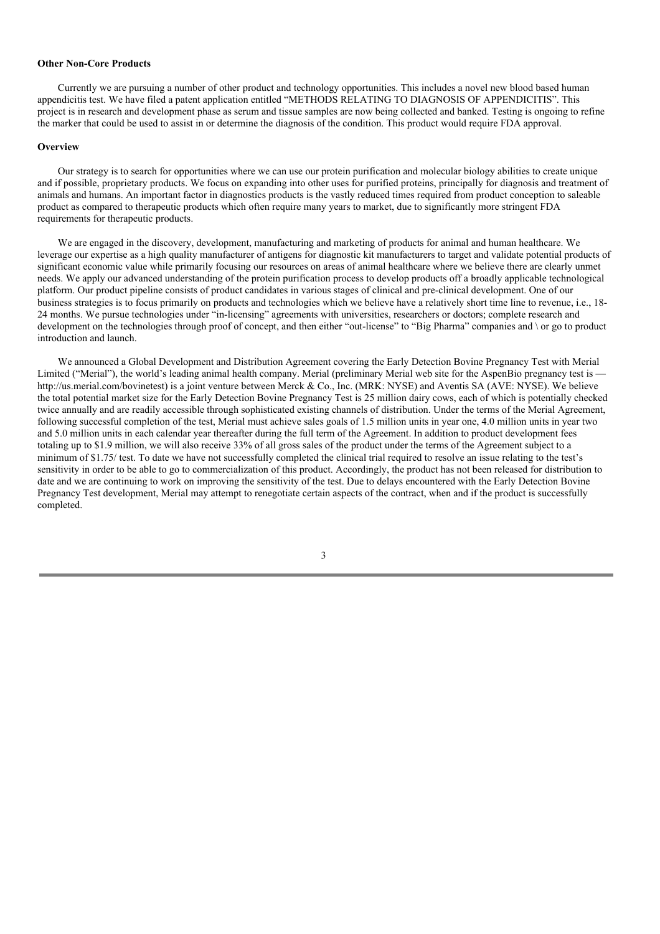#### **Other Non-Core Products**

Currently we are pursuing a number of other product and technology opportunities. This includes a novel new blood based human appendicitis test. We have filed a patent application entitled "METHODS RELATING TO DIAGNOSIS OF APPENDICITIS". This project is in research and development phase as serum and tissue samples are now being collected and banked. Testing is ongoing to refine the marker that could be used to assist in or determine the diagnosis of the condition. This product would require FDA approval.

#### **Overview**

Our strategy is to search for opportunities where we can use our protein purification and molecular biology abilities to create unique and if possible, proprietary products. We focus on expanding into other uses for purified proteins, principally for diagnosis and treatment of animals and humans. An important factor in diagnostics products is the vastly reduced times required from product conception to saleable product as compared to therapeutic products which often require many years to market, due to significantly more stringent FDA requirements for therapeutic products.

We are engaged in the discovery, development, manufacturing and marketing of products for animal and human healthcare. We leverage our expertise as a high quality manufacturer of antigens for diagnostic kit manufacturers to target and validate potential products of significant economic value while primarily focusing our resources on areas of animal healthcare where we believe there are clearly unmet needs. We apply our advanced understanding of the protein purification process to develop products off a broadly applicable technological platform. Our product pipeline consists of product candidates in various stages of clinical and pre-clinical development. One of our business strategies is to focus primarily on products and technologies which we believe have a relatively short time line to revenue, i.e., 18- 24 months. We pursue technologies under "in-licensing" agreements with universities, researchers or doctors; complete research and development on the technologies through proof of concept, and then either "out-license" to "Big Pharma" companies and \ or go to product introduction and launch.

We announced a Global Development and Distribution Agreement covering the Early Detection Bovine Pregnancy Test with Merial Limited ("Merial"), the world's leading animal health company. Merial (preliminary Merial web site for the AspenBio pregnancy test is http://us.merial.com/bovinetest) is a joint venture between Merck & Co., Inc. (MRK: NYSE) and Aventis SA (AVE: NYSE). We believe the total potential market size for the Early Detection Bovine Pregnancy Test is 25 million dairy cows, each of which is potentially checked twice annually and are readily accessible through sophisticated existing channels of distribution. Under the terms of the Merial Agreement, following successful completion of the test, Merial must achieve sales goals of 1.5 million units in year one, 4.0 million units in year two and 5.0 million units in each calendar year thereafter during the full term of the Agreement. In addition to product development fees totaling up to \$1.9 million, we will also receive 33% of all gross sales of the product under the terms of the Agreement subject to a minimum of \$1.75/ test. To date we have not successfully completed the clinical trial required to resolve an issue relating to the test's sensitivity in order to be able to go to commercialization of this product. Accordingly, the product has not been released for distribution to date and we are continuing to work on improving the sensitivity of the test. Due to delays encountered with the Early Detection Bovine Pregnancy Test development, Merial may attempt to renegotiate certain aspects of the contract, when and if the product is successfully completed.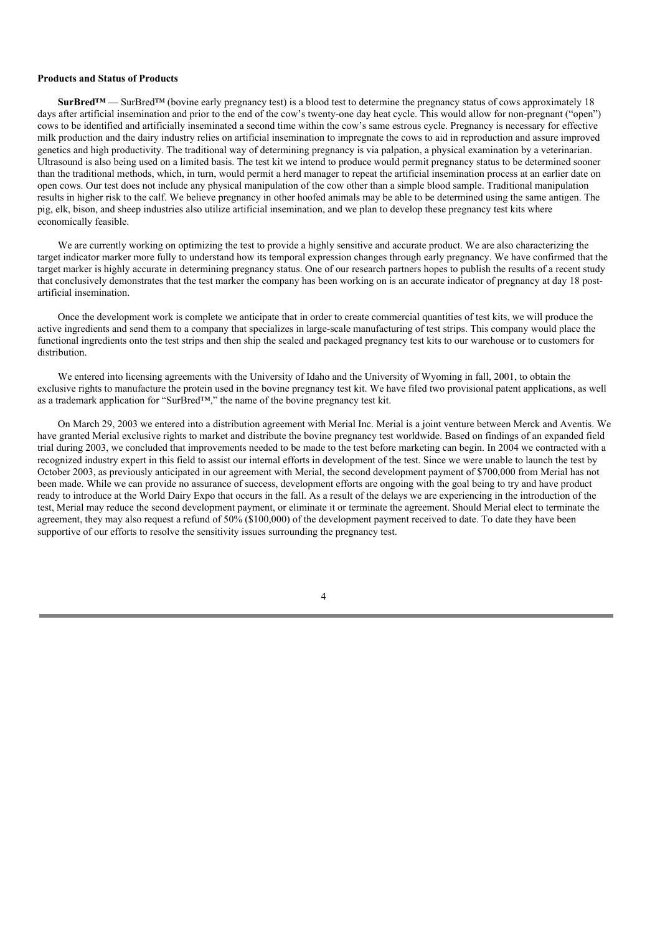# **Products and Status of Products**

**SurBred™** — SurBred™ (bovine early pregnancy test) is a blood test to determine the pregnancy status of cows approximately 18 days after artificial insemination and prior to the end of the cow's twenty-one day heat cycle. This would allow for non-pregnant ("open") cows to be identified and artificially inseminated a second time within the cow's same estrous cycle. Pregnancy is necessary for effective milk production and the dairy industry relies on artificial insemination to impregnate the cows to aid in reproduction and assure improved genetics and high productivity. The traditional way of determining pregnancy is via palpation, a physical examination by a veterinarian. Ultrasound is also being used on a limited basis. The test kit we intend to produce would permit pregnancy status to be determined sooner than the traditional methods, which, in turn, would permit a herd manager to repeat the artificial insemination process at an earlier date on open cows. Our test does not include any physical manipulation of the cow other than a simple blood sample. Traditional manipulation results in higher risk to the calf. We believe pregnancy in other hoofed animals may be able to be determined using the same antigen. The pig, elk, bison, and sheep industries also utilize artificial insemination, and we plan to develop these pregnancy test kits where economically feasible.

We are currently working on optimizing the test to provide a highly sensitive and accurate product. We are also characterizing the target indicator marker more fully to understand how its temporal expression changes through early pregnancy. We have confirmed that the target marker is highly accurate in determining pregnancy status. One of our research partners hopes to publish the results of a recent study that conclusively demonstrates that the test marker the company has been working on is an accurate indicator of pregnancy at day 18 postartificial insemination.

Once the development work is complete we anticipate that in order to create commercial quantities of test kits, we will produce the active ingredients and send them to a company that specializes in large-scale manufacturing of test strips. This company would place the functional ingredients onto the test strips and then ship the sealed and packaged pregnancy test kits to our warehouse or to customers for distribution.

We entered into licensing agreements with the University of Idaho and the University of Wyoming in fall, 2001, to obtain the exclusive rights to manufacture the protein used in the bovine pregnancy test kit. We have filed two provisional patent applications, as well as a trademark application for "SurBred™," the name of the bovine pregnancy test kit.

On March 29, 2003 we entered into a distribution agreement with Merial Inc. Merial is a joint venture between Merck and Aventis. We have granted Merial exclusive rights to market and distribute the bovine pregnancy test worldwide. Based on findings of an expanded field trial during 2003, we concluded that improvements needed to be made to the test before marketing can begin. In 2004 we contracted with a recognized industry expert in this field to assist our internal efforts in development of the test. Since we were unable to launch the test by October 2003, as previously anticipated in our agreement with Merial, the second development payment of \$700,000 from Merial has not been made. While we can provide no assurance of success, development efforts are ongoing with the goal being to try and have product ready to introduce at the World Dairy Expo that occurs in the fall. As a result of the delays we are experiencing in the introduction of the test, Merial may reduce the second development payment, or eliminate it or terminate the agreement. Should Merial elect to terminate the agreement, they may also request a refund of 50% (\$100,000) of the development payment received to date. To date they have been supportive of our efforts to resolve the sensitivity issues surrounding the pregnancy test.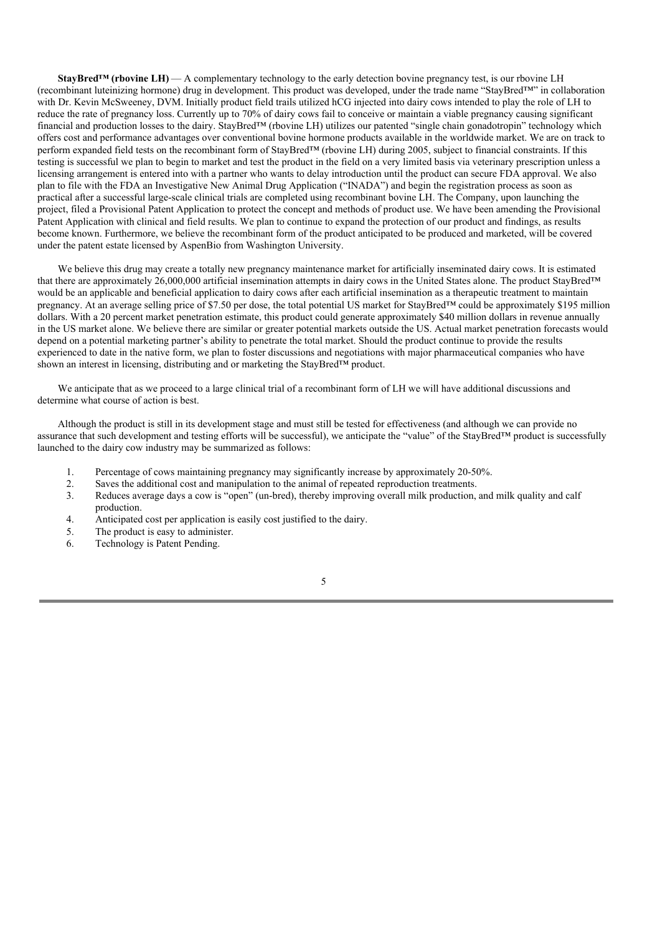**StayBred™ (rbovine LH)** — A complementary technology to the early detection bovine pregnancy test, is our rbovine LH (recombinant luteinizing hormone) drug in development. This product was developed, under the trade name "StayBred™" in collaboration with Dr. Kevin McSweeney, DVM. Initially product field trails utilized hCG injected into dairy cows intended to play the role of LH to reduce the rate of pregnancy loss. Currently up to 70% of dairy cows fail to conceive or maintain a viable pregnancy causing significant financial and production losses to the dairy. StayBred™ (rbovine LH) utilizes our patented "single chain gonadotropin" technology which offers cost and performance advantages over conventional bovine hormone products available in the worldwide market. We are on track to perform expanded field tests on the recombinant form of StayBred™ (rbovine LH) during 2005, subject to financial constraints. If this testing is successful we plan to begin to market and test the product in the field on a very limited basis via veterinary prescription unless a licensing arrangement is entered into with a partner who wants to delay introduction until the product can secure FDA approval. We also plan to file with the FDA an Investigative New Animal Drug Application ("INADA") and begin the registration process as soon as practical after a successful large-scale clinical trials are completed using recombinant bovine LH. The Company, upon launching the project, filed a Provisional Patent Application to protect the concept and methods of product use. We have been amending the Provisional Patent Application with clinical and field results. We plan to continue to expand the protection of our product and findings, as results become known. Furthermore, we believe the recombinant form of the product anticipated to be produced and marketed, will be covered under the patent estate licensed by AspenBio from Washington University.

We believe this drug may create a totally new pregnancy maintenance market for artificially inseminated dairy cows. It is estimated that there are approximately 26,000,000 artificial insemination attempts in dairy cows in the United States alone. The product StayBred™ would be an applicable and beneficial application to dairy cows after each artificial insemination as a therapeutic treatment to maintain pregnancy. At an average selling price of \$7.50 per dose, the total potential US market for StayBred™ could be approximately \$195 million dollars. With a 20 percent market penetration estimate, this product could generate approximately \$40 million dollars in revenue annually in the US market alone. We believe there are similar or greater potential markets outside the US. Actual market penetration forecasts would depend on a potential marketing partner's ability to penetrate the total market. Should the product continue to provide the results experienced to date in the native form, we plan to foster discussions and negotiations with major pharmaceutical companies who have shown an interest in licensing, distributing and or marketing the StavBred™ product.

We anticipate that as we proceed to a large clinical trial of a recombinant form of LH we will have additional discussions and determine what course of action is best.

Although the product is still in its development stage and must still be tested for effectiveness (and although we can provide no assurance that such development and testing efforts will be successful), we anticipate the "value" of the StayBred™ product is successfully launched to the dairy cow industry may be summarized as follows:

- 1. Percentage of cows maintaining pregnancy may significantly increase by approximately 20-50%.
- 2. Saves the additional cost and manipulation to the animal of repeated reproduction treatments.<br>3. Reduces average days a cow is "open" (un-bred), thereby improving overall milk production.
- Reduces average days a cow is "open" (un-bred), thereby improving overall milk production, and milk quality and calf production.
- 4. Anticipated cost per application is easily cost justified to the dairy.
- 5. The product is easy to administer.
- 6. Technology is Patent Pending.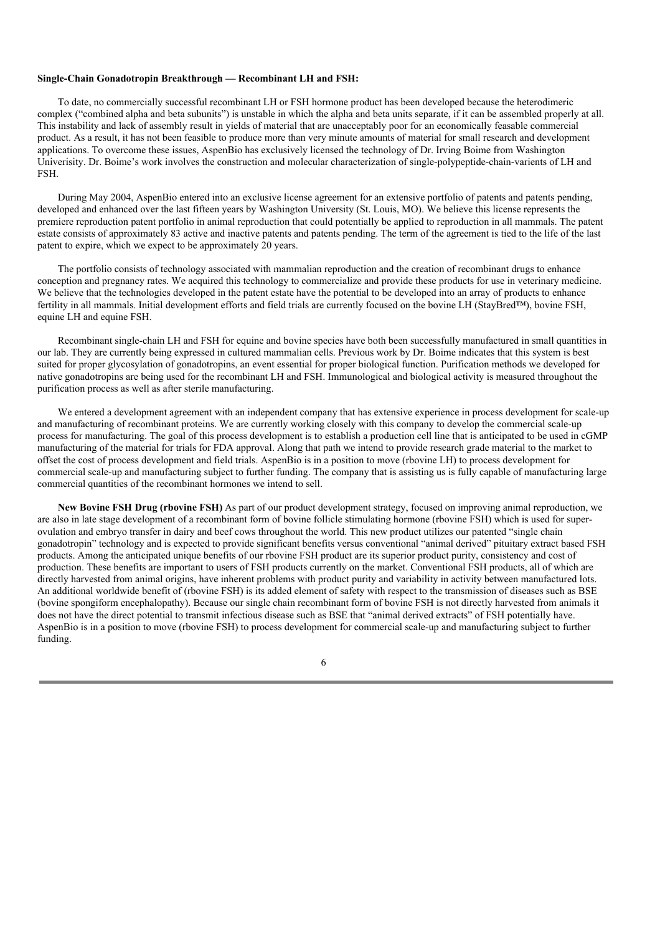# **Single-Chain Gonadotropin Breakthrough — Recombinant LH and FSH:**

To date, no commercially successful recombinant LH or FSH hormone product has been developed because the heterodimeric complex ("combined alpha and beta subunits") is unstable in which the alpha and beta units separate, if it can be assembled properly at all. This instability and lack of assembly result in yields of material that are unacceptably poor for an economically feasable commercial product. As a result, it has not been feasible to produce more than very minute amounts of material for small research and development applications. To overcome these issues, AspenBio has exclusively licensed the technology of Dr. Irving Boime from Washington Univerisity. Dr. Boime's work involves the construction and molecular characterization of single-polypeptide-chain-varients of LH and FSH.

During May 2004, AspenBio entered into an exclusive license agreement for an extensive portfolio of patents and patents pending, developed and enhanced over the last fifteen years by Washington University (St. Louis, MO). We believe this license represents the premiere reproduction patent portfolio in animal reproduction that could potentially be applied to reproduction in all mammals. The patent estate consists of approximately 83 active and inactive patents and patents pending. The term of the agreement is tied to the life of the last patent to expire, which we expect to be approximately 20 years.

The portfolio consists of technology associated with mammalian reproduction and the creation of recombinant drugs to enhance conception and pregnancy rates. We acquired this technology to commercialize and provide these products for use in veterinary medicine. We believe that the technologies developed in the patent estate have the potential to be developed into an array of products to enhance fertility in all mammals. Initial development efforts and field trials are currently focused on the bovine LH (StayBred™), bovine FSH, equine LH and equine FSH.

Recombinant single-chain LH and FSH for equine and bovine species have both been successfully manufactured in small quantities in our lab. They are currently being expressed in cultured mammalian cells. Previous work by Dr. Boime indicates that this system is best suited for proper glycosylation of gonadotropins, an event essential for proper biological function. Purification methods we developed for native gonadotropins are being used for the recombinant LH and FSH. Immunological and biological activity is measured throughout the purification process as well as after sterile manufacturing.

We entered a development agreement with an independent company that has extensive experience in process development for scale-up and manufacturing of recombinant proteins. We are currently working closely with this company to develop the commercial scale-up process for manufacturing. The goal of this process development is to establish a production cell line that is anticipated to be used in cGMP manufacturing of the material for trials for FDA approval. Along that path we intend to provide research grade material to the market to offset the cost of process development and field trials. AspenBio is in a position to move (rbovine LH) to process development for commercial scale-up and manufacturing subject to further funding. The company that is assisting us is fully capable of manufacturing large commercial quantities of the recombinant hormones we intend to sell.

**New Bovine FSH Drug (rbovine FSH)** As part of our product development strategy, focused on improving animal reproduction, we are also in late stage development of a recombinant form of bovine follicle stimulating hormone (rbovine FSH) which is used for superovulation and embryo transfer in dairy and beef cows throughout the world. This new product utilizes our patented "single chain gonadotropin" technology and is expected to provide significant benefits versus conventional "animal derived" pituitary extract based FSH products. Among the anticipated unique benefits of our rbovine FSH product are its superior product purity, consistency and cost of production. These benefits are important to users of FSH products currently on the market. Conventional FSH products, all of which are directly harvested from animal origins, have inherent problems with product purity and variability in activity between manufactured lots. An additional worldwide benefit of (rbovine FSH) is its added element of safety with respect to the transmission of diseases such as BSE (bovine spongiform encephalopathy). Because our single chain recombinant form of bovine FSH is not directly harvested from animals it does not have the direct potential to transmit infectious disease such as BSE that "animal derived extracts" of FSH potentially have. AspenBio is in a position to move (rbovine FSH) to process development for commercial scale-up and manufacturing subject to further funding.

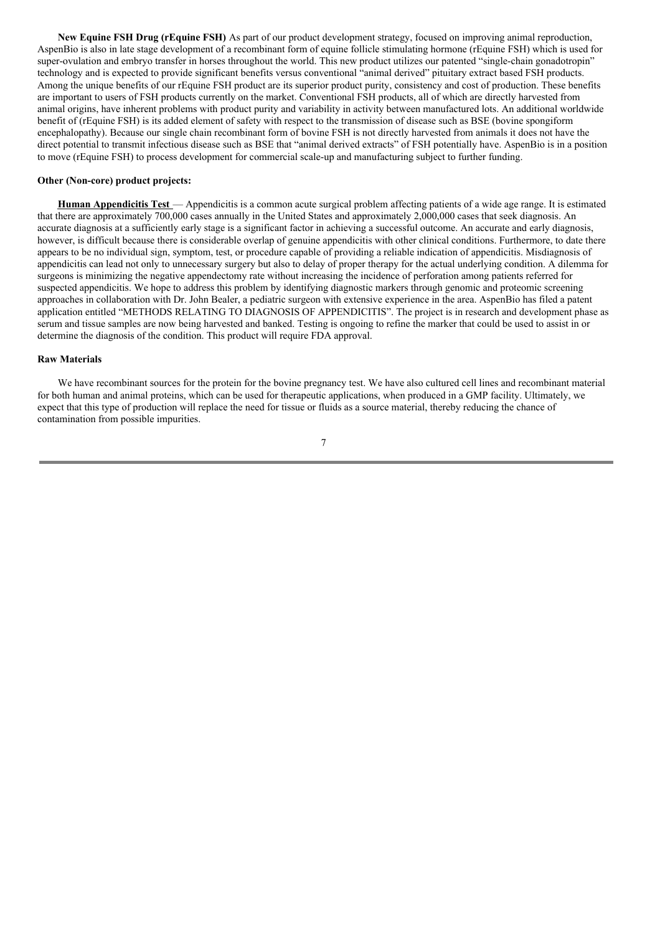**New Equine FSH Drug (rEquine FSH)** As part of our product development strategy, focused on improving animal reproduction, AspenBio is also in late stage development of a recombinant form of equine follicle stimulating hormone (rEquine FSH) which is used for super-ovulation and embryo transfer in horses throughout the world. This new product utilizes our patented "single-chain gonadotropin" technology and is expected to provide significant benefits versus conventional "animal derived" pituitary extract based FSH products. Among the unique benefits of our rEquine FSH product are its superior product purity, consistency and cost of production. These benefits are important to users of FSH products currently on the market. Conventional FSH products, all of which are directly harvested from animal origins, have inherent problems with product purity and variability in activity between manufactured lots. An additional worldwide benefit of (rEquine FSH) is its added element of safety with respect to the transmission of disease such as BSE (bovine spongiform encephalopathy). Because our single chain recombinant form of bovine FSH is not directly harvested from animals it does not have the direct potential to transmit infectious disease such as BSE that "animal derived extracts" of FSH potentially have. AspenBio is in a position to move (rEquine FSH) to process development for commercial scale-up and manufacturing subject to further funding.

### **Other (Non-core) product projects:**

**Human Appendicitis Test** — Appendicitis is a common acute surgical problem affecting patients of a wide age range. It is estimated that there are approximately 700,000 cases annually in the United States and approximately 2,000,000 cases that seek diagnosis. An accurate diagnosis at a sufficiently early stage is a significant factor in achieving a successful outcome. An accurate and early diagnosis, however, is difficult because there is considerable overlap of genuine appendicitis with other clinical conditions. Furthermore, to date there appears to be no individual sign, symptom, test, or procedure capable of providing a reliable indication of appendicitis. Misdiagnosis of appendicitis can lead not only to unnecessary surgery but also to delay of proper therapy for the actual underlying condition. A dilemma for surgeons is minimizing the negative appendectomy rate without increasing the incidence of perforation among patients referred for suspected appendicitis. We hope to address this problem by identifying diagnostic markers through genomic and proteomic screening approaches in collaboration with Dr. John Bealer, a pediatric surgeon with extensive experience in the area. AspenBio has filed a patent application entitled "METHODS RELATING TO DIAGNOSIS OF APPENDICITIS". The project is in research and development phase as serum and tissue samples are now being harvested and banked. Testing is ongoing to refine the marker that could be used to assist in or determine the diagnosis of the condition. This product will require FDA approval.

#### **Raw Materials**

We have recombinant sources for the protein for the bovine pregnancy test. We have also cultured cell lines and recombinant material for both human and animal proteins, which can be used for therapeutic applications, when produced in a GMP facility. Ultimately, we expect that this type of production will replace the need for tissue or fluids as a source material, thereby reducing the chance of contamination from possible impurities.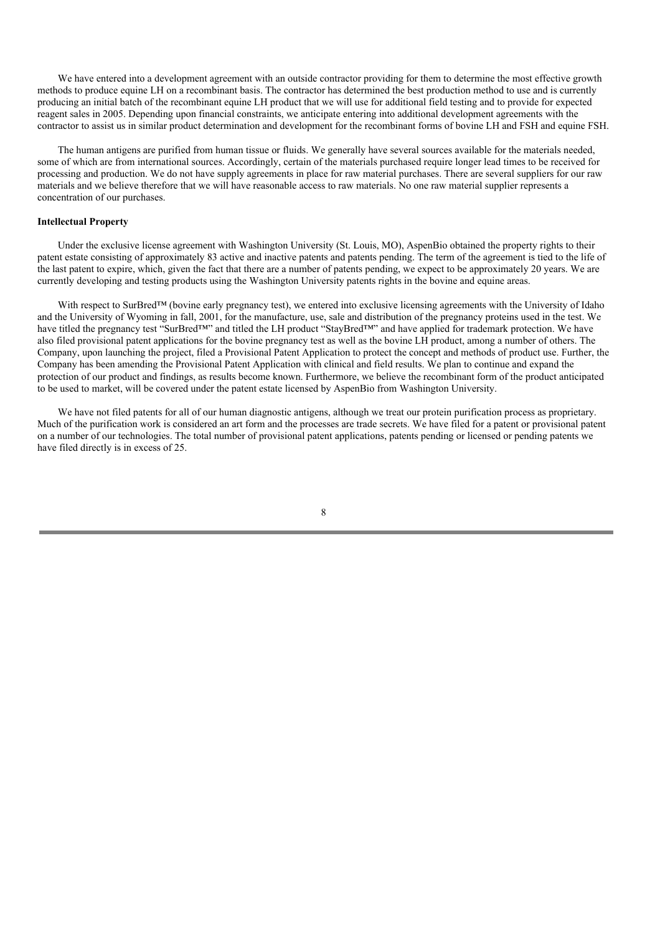We have entered into a development agreement with an outside contractor providing for them to determine the most effective growth methods to produce equine LH on a recombinant basis. The contractor has determined the best production method to use and is currently producing an initial batch of the recombinant equine LH product that we will use for additional field testing and to provide for expected reagent sales in 2005. Depending upon financial constraints, we anticipate entering into additional development agreements with the contractor to assist us in similar product determination and development for the recombinant forms of bovine LH and FSH and equine FSH.

The human antigens are purified from human tissue or fluids. We generally have several sources available for the materials needed, some of which are from international sources. Accordingly, certain of the materials purchased require longer lead times to be received for processing and production. We do not have supply agreements in place for raw material purchases. There are several suppliers for our raw materials and we believe therefore that we will have reasonable access to raw materials. No one raw material supplier represents a concentration of our purchases.

#### **Intellectual Property**

Under the exclusive license agreement with Washington University (St. Louis, MO), AspenBio obtained the property rights to their patent estate consisting of approximately 83 active and inactive patents and patents pending. The term of the agreement is tied to the life of the last patent to expire, which, given the fact that there are a number of patents pending, we expect to be approximately 20 years. We are currently developing and testing products using the Washington University patents rights in the bovine and equine areas.

With respect to SurBred™ (bovine early pregnancy test), we entered into exclusive licensing agreements with the University of Idaho and the University of Wyoming in fall, 2001, for the manufacture, use, sale and distribution of the pregnancy proteins used in the test. We have titled the pregnancy test "SurBred™" and titled the LH product "StayBred™" and have applied for trademark protection. We have also filed provisional patent applications for the bovine pregnancy test as well as the bovine LH product, among a number of others. The Company, upon launching the project, filed a Provisional Patent Application to protect the concept and methods of product use. Further, the Company has been amending the Provisional Patent Application with clinical and field results. We plan to continue and expand the protection of our product and findings, as results become known. Furthermore, we believe the recombinant form of the product anticipated to be used to market, will be covered under the patent estate licensed by AspenBio from Washington University.

We have not filed patents for all of our human diagnostic antigens, although we treat our protein purification process as proprietary. Much of the purification work is considered an art form and the processes are trade secrets. We have filed for a patent or provisional patent on a number of our technologies. The total number of provisional patent applications, patents pending or licensed or pending patents we have filed directly is in excess of 25.

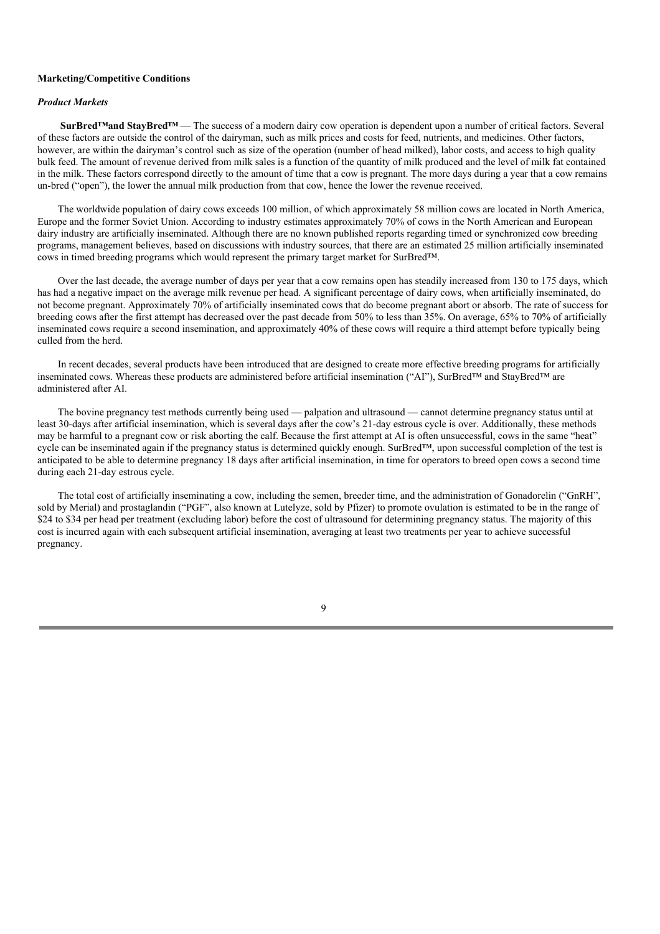### **Marketing/Competitive Conditions**

#### *Product Markets*

**SurBred™and StayBred™** — The success of a modern dairy cow operation is dependent upon a number of critical factors. Several of these factors are outside the control of the dairyman, such as milk prices and costs for feed, nutrients, and medicines. Other factors, however, are within the dairyman's control such as size of the operation (number of head milked), labor costs, and access to high quality bulk feed. The amount of revenue derived from milk sales is a function of the quantity of milk produced and the level of milk fat contained in the milk. These factors correspond directly to the amount of time that a cow is pregnant. The more days during a year that a cow remains un-bred ("open"), the lower the annual milk production from that cow, hence the lower the revenue received.

The worldwide population of dairy cows exceeds 100 million, of which approximately 58 million cows are located in North America, Europe and the former Soviet Union. According to industry estimates approximately 70% of cows in the North American and European dairy industry are artificially inseminated. Although there are no known published reports regarding timed or synchronized cow breeding programs, management believes, based on discussions with industry sources, that there are an estimated 25 million artificially inseminated cows in timed breeding programs which would represent the primary target market for SurBred™.

Over the last decade, the average number of days per year that a cow remains open has steadily increased from 130 to 175 days, which has had a negative impact on the average milk revenue per head. A significant percentage of dairy cows, when artificially inseminated, do not become pregnant. Approximately 70% of artificially inseminated cows that do become pregnant abort or absorb. The rate of success for breeding cows after the first attempt has decreased over the past decade from 50% to less than 35%. On average, 65% to 70% of artificially inseminated cows require a second insemination, and approximately 40% of these cows will require a third attempt before typically being culled from the herd.

In recent decades, several products have been introduced that are designed to create more effective breeding programs for artificially inseminated cows. Whereas these products are administered before artificial insemination ("AI"), SurBred™ and StayBred™ are administered after AI.

The bovine pregnancy test methods currently being used — palpation and ultrasound — cannot determine pregnancy status until at least 30-days after artificial insemination, which is several days after the cow's 21-day estrous cycle is over. Additionally, these methods may be harmful to a pregnant cow or risk aborting the calf. Because the first attempt at AI is often unsuccessful, cows in the same "heat" cycle can be inseminated again if the pregnancy status is determined quickly enough. SurBred™, upon successful completion of the test is anticipated to be able to determine pregnancy 18 days after artificial insemination, in time for operators to breed open cows a second time during each 21-day estrous cycle.

The total cost of artificially inseminating a cow, including the semen, breeder time, and the administration of Gonadorelin ("GnRH", sold by Merial) and prostaglandin ("PGF", also known at Lutelyze, sold by Pfizer) to promote ovulation is estimated to be in the range of \$24 to \$34 per head per treatment (excluding labor) before the cost of ultrasound for determining pregnancy status. The majority of this cost is incurred again with each subsequent artificial insemination, averaging at least two treatments per year to achieve successful pregnancy.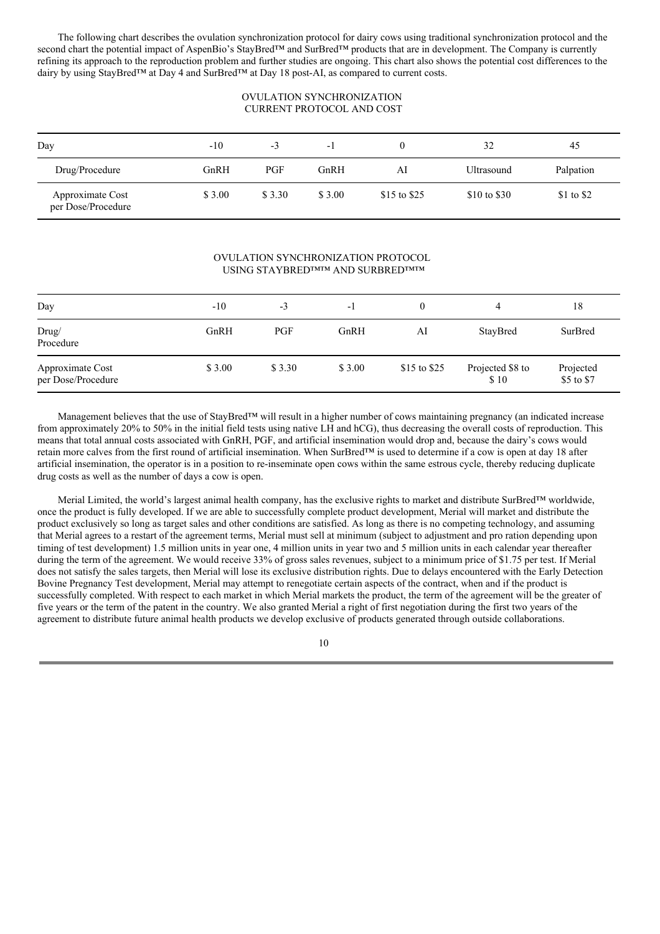The following chart describes the ovulation synchronization protocol for dairy cows using traditional synchronization protocol and the second chart the potential impact of AspenBio's StayBred™ and SurBred™ products that are in development. The Company is currently refining its approach to the reproduction problem and further studies are ongoing. This chart also shows the potential cost differences to the dairy by using StayBred™ at Day 4 and SurBred™ at Day 18 post-AI, as compared to current costs.

## OVULATION SYNCHRONIZATION CURRENT PROTOCOL AND COST

| Day                                    | $-10$  | $-3$   | - 1    |              | 32           | 45         |
|----------------------------------------|--------|--------|--------|--------------|--------------|------------|
| Drug/Procedure                         | GnRH   | PGF    | GnRH   | Al           | Ultrasound   | Palpation  |
| Approximate Cost<br>per Dose/Procedure | \$3.00 | \$3.30 | \$3.00 | \$15 to \$25 | \$10 to \$30 | \$1 to \$2 |

## OVULATION SYNCHRONIZATION PROTOCOL USING STAYBRED™™ AND SURBRED™™

| Day                                    | $-10$  | $-3$       | -1      |              |                          | 18                      |
|----------------------------------------|--------|------------|---------|--------------|--------------------------|-------------------------|
| Drug/<br>Procedure                     | GnRH   | <b>PGF</b> | GnRH    | AI           | StayBred                 | SurBred                 |
| Approximate Cost<br>per Dose/Procedure | \$3.00 | \$3.30     | \$ 3.00 | \$15 to \$25 | Projected \$8 to<br>\$10 | Projected<br>\$5 to \$7 |

Management believes that the use of StayBred™ will result in a higher number of cows maintaining pregnancy (an indicated increase from approximately 20% to 50% in the initial field tests using native LH and hCG), thus decreasing the overall costs of reproduction. This means that total annual costs associated with GnRH, PGF, and artificial insemination would drop and, because the dairy's cows would retain more calves from the first round of artificial insemination. When SurBred™ is used to determine if a cow is open at day 18 after artificial insemination, the operator is in a position to re-inseminate open cows within the same estrous cycle, thereby reducing duplicate drug costs as well as the number of days a cow is open.

Merial Limited, the world's largest animal health company, has the exclusive rights to market and distribute SurBred™ worldwide, once the product is fully developed. If we are able to successfully complete product development, Merial will market and distribute the product exclusively so long as target sales and other conditions are satisfied. As long as there is no competing technology, and assuming that Merial agrees to a restart of the agreement terms, Merial must sell at minimum (subject to adjustment and pro ration depending upon timing of test development) 1.5 million units in year one, 4 million units in year two and 5 million units in each calendar year thereafter during the term of the agreement. We would receive 33% of gross sales revenues, subject to a minimum price of \$1.75 per test. If Merial does not satisfy the sales targets, then Merial will lose its exclusive distribution rights. Due to delays encountered with the Early Detection Bovine Pregnancy Test development, Merial may attempt to renegotiate certain aspects of the contract, when and if the product is successfully completed. With respect to each market in which Merial markets the product, the term of the agreement will be the greater of five years or the term of the patent in the country. We also granted Merial a right of first negotiation during the first two years of the agreement to distribute future animal health products we develop exclusive of products generated through outside collaborations.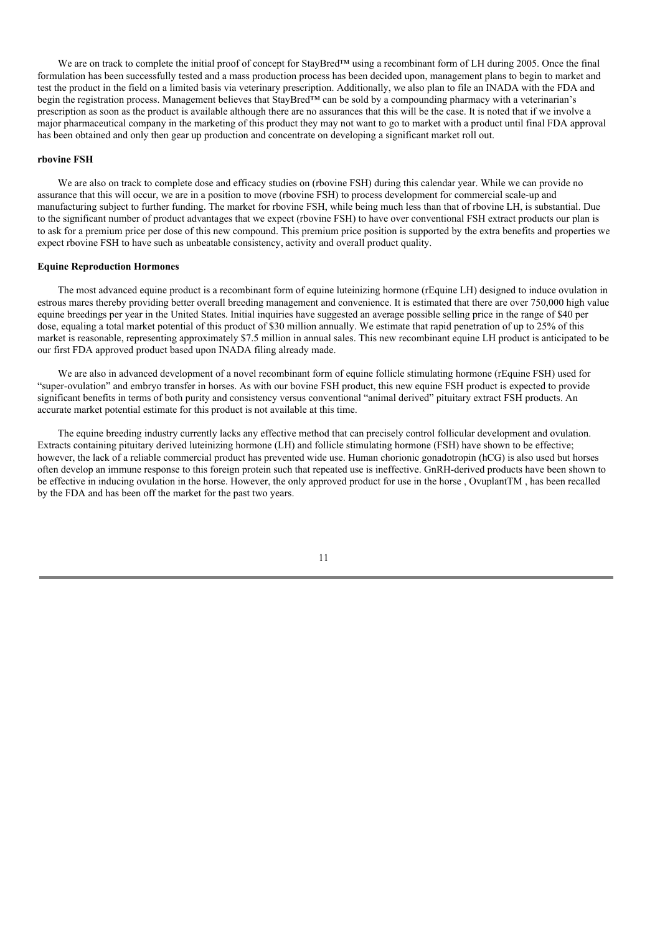We are on track to complete the initial proof of concept for StayBred™ using a recombinant form of LH during 2005. Once the final formulation has been successfully tested and a mass production process has been decided upon, management plans to begin to market and test the product in the field on a limited basis via veterinary prescription. Additionally, we also plan to file an INADA with the FDA and begin the registration process. Management believes that StayBred™ can be sold by a compounding pharmacy with a veterinarian's prescription as soon as the product is available although there are no assurances that this will be the case. It is noted that if we involve a major pharmaceutical company in the marketing of this product they may not want to go to market with a product until final FDA approval has been obtained and only then gear up production and concentrate on developing a significant market roll out.

#### **rbovine FSH**

We are also on track to complete dose and efficacy studies on (rbovine FSH) during this calendar year. While we can provide no assurance that this will occur, we are in a position to move (rbovine FSH) to process development for commercial scale-up and manufacturing subject to further funding. The market for rbovine FSH, while being much less than that of rbovine LH, is substantial. Due to the significant number of product advantages that we expect (rbovine FSH) to have over conventional FSH extract products our plan is to ask for a premium price per dose of this new compound. This premium price position is supported by the extra benefits and properties we expect rbovine FSH to have such as unbeatable consistency, activity and overall product quality.

#### **Equine Reproduction Hormones**

The most advanced equine product is a recombinant form of equine luteinizing hormone (rEquine LH) designed to induce ovulation in estrous mares thereby providing better overall breeding management and convenience. It is estimated that there are over 750,000 high value equine breedings per year in the United States. Initial inquiries have suggested an average possible selling price in the range of \$40 per dose, equaling a total market potential of this product of \$30 million annually. We estimate that rapid penetration of up to 25% of this market is reasonable, representing approximately \$7.5 million in annual sales. This new recombinant equine LH product is anticipated to be our first FDA approved product based upon INADA filing already made.

We are also in advanced development of a novel recombinant form of equine follicle stimulating hormone (rEquine FSH) used for "super-ovulation" and embryo transfer in horses. As with our bovine FSH product, this new equine FSH product is expected to provide significant benefits in terms of both purity and consistency versus conventional "animal derived" pituitary extract FSH products. An accurate market potential estimate for this product is not available at this time.

The equine breeding industry currently lacks any effective method that can precisely control follicular development and ovulation. Extracts containing pituitary derived luteinizing hormone (LH) and follicle stimulating hormone (FSH) have shown to be effective; however, the lack of a reliable commercial product has prevented wide use. Human chorionic gonadotropin (hCG) is also used but horses often develop an immune response to this foreign protein such that repeated use is ineffective. GnRH-derived products have been shown to be effective in inducing ovulation in the horse. However, the only approved product for use in the horse , OvuplantTM , has been recalled by the FDA and has been off the market for the past two years.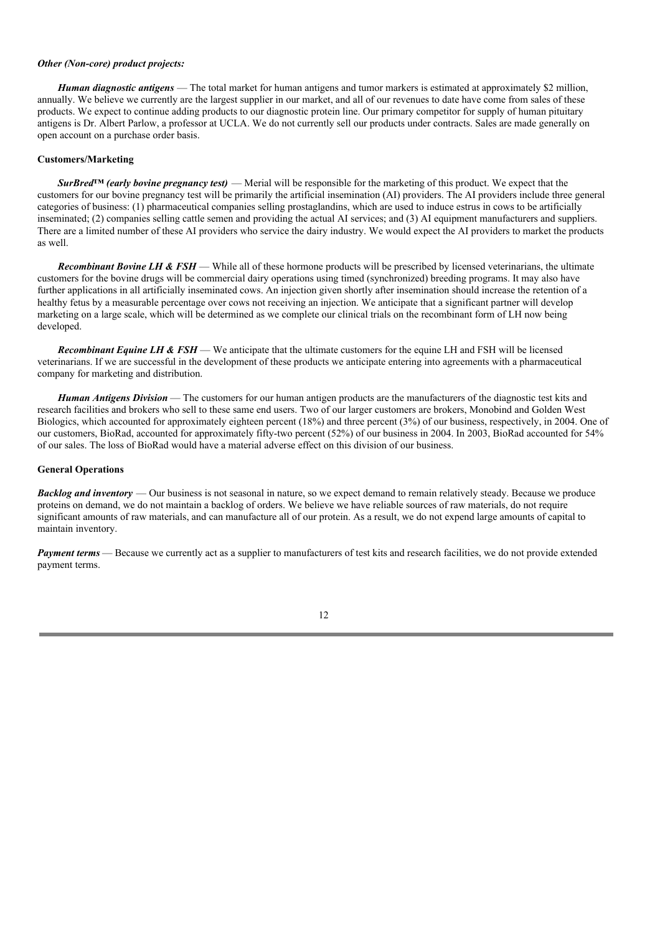#### *Other (Non-core) product projects:*

*Human diagnostic antigens* — The total market for human antigens and tumor markers is estimated at approximately \$2 million, annually. We believe we currently are the largest supplier in our market, and all of our revenues to date have come from sales of these products. We expect to continue adding products to our diagnostic protein line. Our primary competitor for supply of human pituitary antigens is Dr. Albert Parlow, a professor at UCLA. We do not currently sell our products under contracts. Sales are made generally on open account on a purchase order basis.

#### **Customers/Marketing**

*SurBred™ (early bovine pregnancy test)* — Merial will be responsible for the marketing of this product. We expect that the customers for our bovine pregnancy test will be primarily the artificial insemination (AI) providers. The AI providers include three general categories of business: (1) pharmaceutical companies selling prostaglandins, which are used to induce estrus in cows to be artificially inseminated; (2) companies selling cattle semen and providing the actual AI services; and (3) AI equipment manufacturers and suppliers. There are a limited number of these AI providers who service the dairy industry. We would expect the AI providers to market the products as well.

*Recombinant Bovine LH & FSH* — While all of these hormone products will be prescribed by licensed veterinarians, the ultimate customers for the bovine drugs will be commercial dairy operations using timed (synchronized) breeding programs. It may also have further applications in all artificially inseminated cows. An injection given shortly after insemination should increase the retention of a healthy fetus by a measurable percentage over cows not receiving an injection. We anticipate that a significant partner will develop marketing on a large scale, which will be determined as we complete our clinical trials on the recombinant form of LH now being developed.

*Recombinant Equine LH & FSH* — We anticipate that the ultimate customers for the equine LH and FSH will be licensed veterinarians. If we are successful in the development of these products we anticipate entering into agreements with a pharmaceutical company for marketing and distribution.

*Human Antigens Division* — The customers for our human antigen products are the manufacturers of the diagnostic test kits and research facilities and brokers who sell to these same end users. Two of our larger customers are brokers, Monobind and Golden West Biologics, which accounted for approximately eighteen percent (18%) and three percent (3%) of our business, respectively, in 2004. One of our customers, BioRad, accounted for approximately fifty-two percent (52%) of our business in 2004. In 2003, BioRad accounted for 54% of our sales. The loss of BioRad would have a material adverse effect on this division of our business.

### **General Operations**

*Backlog and inventory* — Our business is not seasonal in nature, so we expect demand to remain relatively steady. Because we produce proteins on demand, we do not maintain a backlog of orders. We believe we have reliable sources of raw materials, do not require significant amounts of raw materials, and can manufacture all of our protein. As a result, we do not expend large amounts of capital to maintain inventory.

*Payment terms* — Because we currently act as a supplier to manufacturers of test kits and research facilities, we do not provide extended payment terms.

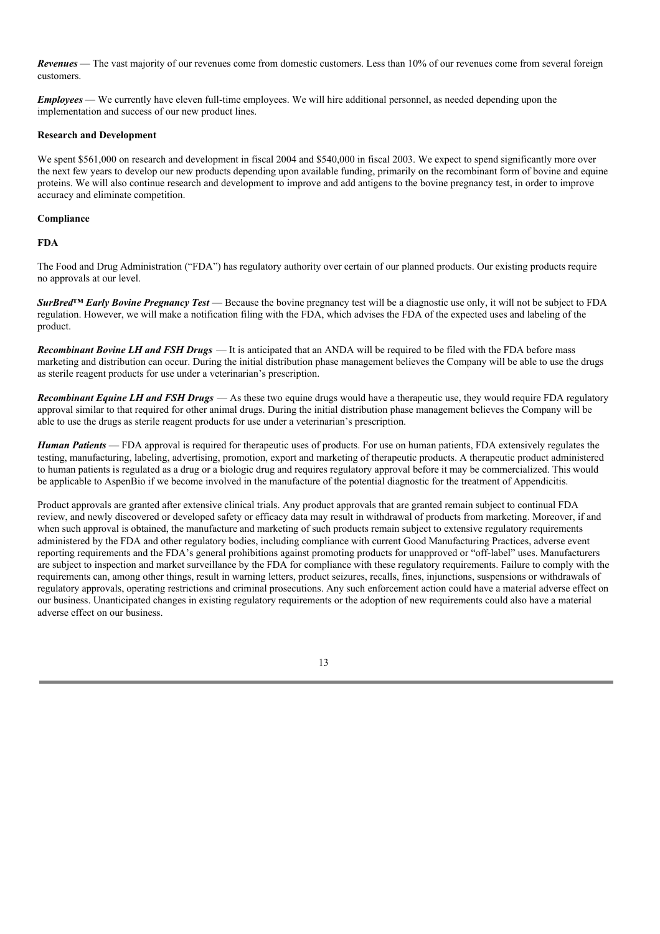*Revenues* — The vast majority of our revenues come from domestic customers. Less than 10% of our revenues come from several foreign customers.

*Employees* — We currently have eleven full-time employees. We will hire additional personnel, as needed depending upon the implementation and success of our new product lines.

### **Research and Development**

We spent \$561,000 on research and development in fiscal 2004 and \$540,000 in fiscal 2003. We expect to spend significantly more over the next few years to develop our new products depending upon available funding, primarily on the recombinant form of bovine and equine proteins. We will also continue research and development to improve and add antigens to the bovine pregnancy test, in order to improve accuracy and eliminate competition.

### **Compliance**

## **FDA**

The Food and Drug Administration ("FDA") has regulatory authority over certain of our planned products. Our existing products require no approvals at our level.

*SurBred™ Early Bovine Pregnancy Test* — Because the bovine pregnancy test will be a diagnostic use only, it will not be subject to FDA regulation. However, we will make a notification filing with the FDA, which advises the FDA of the expected uses and labeling of the product.

*Recombinant Bovine LH and FSH Drugs* — It is anticipated that an ANDA will be required to be filed with the FDA before mass marketing and distribution can occur. During the initial distribution phase management believes the Company will be able to use the drugs as sterile reagent products for use under a veterinarian's prescription.

*Recombinant Equine LH and FSH Drugs* — As these two equine drugs would have a therapeutic use, they would require FDA regulatory approval similar to that required for other animal drugs. During the initial distribution phase management believes the Company will be able to use the drugs as sterile reagent products for use under a veterinarian's prescription.

*Human Patients* — FDA approval is required for therapeutic uses of products. For use on human patients, FDA extensively regulates the testing, manufacturing, labeling, advertising, promotion, export and marketing of therapeutic products. A therapeutic product administered to human patients is regulated as a drug or a biologic drug and requires regulatory approval before it may be commercialized. This would be applicable to AspenBio if we become involved in the manufacture of the potential diagnostic for the treatment of Appendicitis.

Product approvals are granted after extensive clinical trials. Any product approvals that are granted remain subject to continual FDA review, and newly discovered or developed safety or efficacy data may result in withdrawal of products from marketing. Moreover, if and when such approval is obtained, the manufacture and marketing of such products remain subject to extensive regulatory requirements administered by the FDA and other regulatory bodies, including compliance with current Good Manufacturing Practices, adverse event reporting requirements and the FDA's general prohibitions against promoting products for unapproved or "off-label" uses. Manufacturers are subject to inspection and market surveillance by the FDA for compliance with these regulatory requirements. Failure to comply with the requirements can, among other things, result in warning letters, product seizures, recalls, fines, injunctions, suspensions or withdrawals of regulatory approvals, operating restrictions and criminal prosecutions. Any such enforcement action could have a material adverse effect on our business. Unanticipated changes in existing regulatory requirements or the adoption of new requirements could also have a material adverse effect on our business.

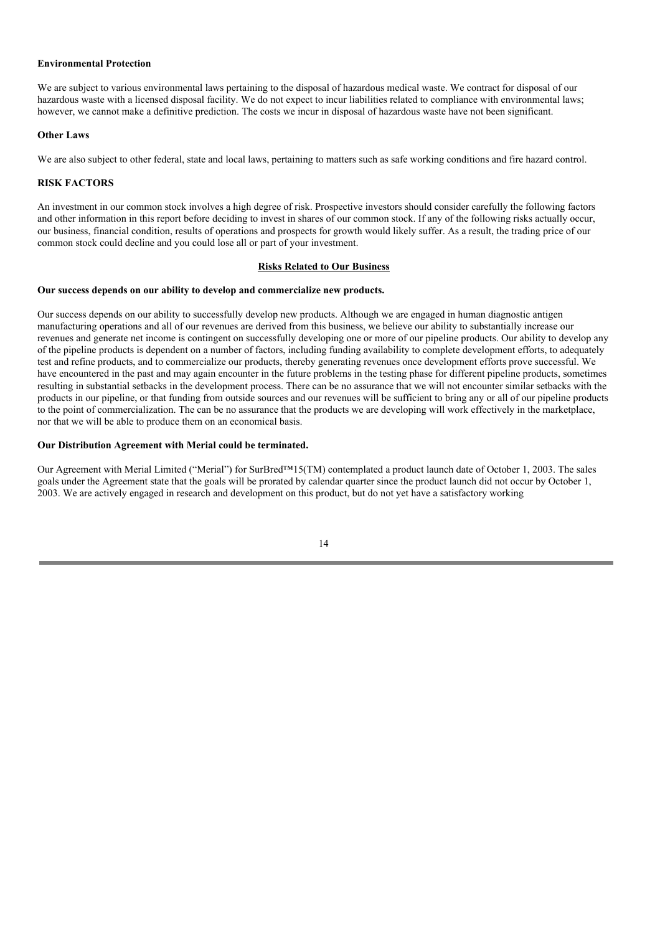#### **Environmental Protection**

We are subject to various environmental laws pertaining to the disposal of hazardous medical waste. We contract for disposal of our hazardous waste with a licensed disposal facility. We do not expect to incur liabilities related to compliance with environmental laws; however, we cannot make a definitive prediction. The costs we incur in disposal of hazardous waste have not been significant.

### **Other Laws**

We are also subject to other federal, state and local laws, pertaining to matters such as safe working conditions and fire hazard control.

# **RISK FACTORS**

An investment in our common stock involves a high degree of risk. Prospective investors should consider carefully the following factors and other information in this report before deciding to invest in shares of our common stock. If any of the following risks actually occur, our business, financial condition, results of operations and prospects for growth would likely suffer. As a result, the trading price of our common stock could decline and you could lose all or part of your investment.

## **Risks Related to Our Business**

#### **Our success depends on our ability to develop and commercialize new products.**

Our success depends on our ability to successfully develop new products. Although we are engaged in human diagnostic antigen manufacturing operations and all of our revenues are derived from this business, we believe our ability to substantially increase our revenues and generate net income is contingent on successfully developing one or more of our pipeline products. Our ability to develop any of the pipeline products is dependent on a number of factors, including funding availability to complete development efforts, to adequately test and refine products, and to commercialize our products, thereby generating revenues once development efforts prove successful. We have encountered in the past and may again encounter in the future problems in the testing phase for different pipeline products, sometimes resulting in substantial setbacks in the development process. There can be no assurance that we will not encounter similar setbacks with the products in our pipeline, or that funding from outside sources and our revenues will be sufficient to bring any or all of our pipeline products to the point of commercialization. The can be no assurance that the products we are developing will work effectively in the marketplace, nor that we will be able to produce them on an economical basis.

#### **Our Distribution Agreement with Merial could be terminated.**

Our Agreement with Merial Limited ("Merial") for SurBred™15(TM) contemplated a product launch date of October 1, 2003. The sales goals under the Agreement state that the goals will be prorated by calendar quarter since the product launch did not occur by October 1, 2003. We are actively engaged in research and development on this product, but do not yet have a satisfactory working

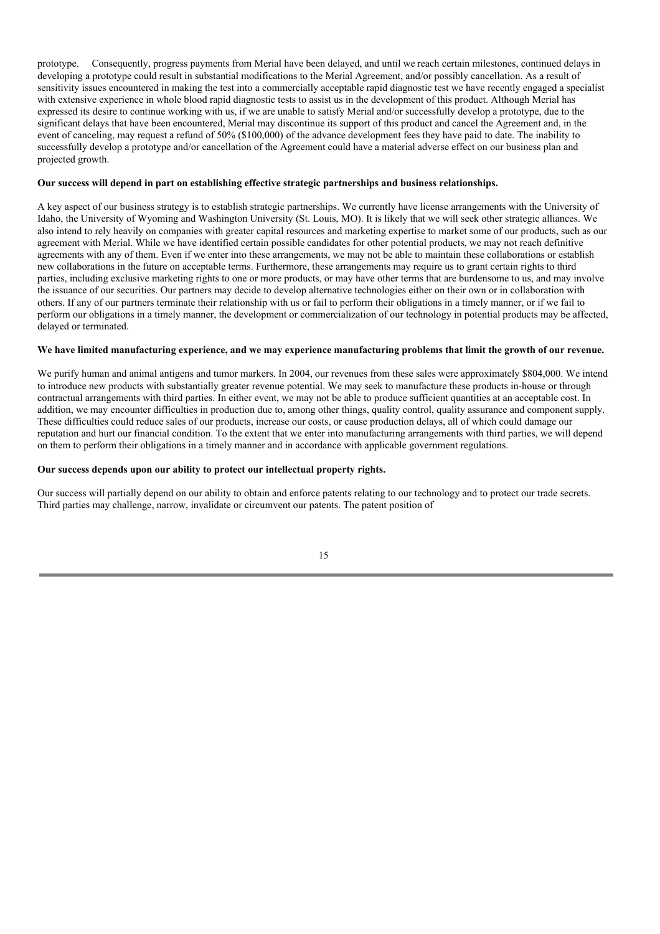prototype. Consequently, progress payments from Merial have been delayed, and until we reach certain milestones, continued delays in developing a prototype could result in substantial modifications to the Merial Agreement, and/or possibly cancellation. As a result of sensitivity issues encountered in making the test into a commercially acceptable rapid diagnostic test we have recently engaged a specialist with extensive experience in whole blood rapid diagnostic tests to assist us in the development of this product. Although Merial has expressed its desire to continue working with us, if we are unable to satisfy Merial and/or successfully develop a prototype, due to the significant delays that have been encountered, Merial may discontinue its support of this product and cancel the Agreement and, in the event of canceling, may request a refund of 50% (\$100,000) of the advance development fees they have paid to date. The inability to successfully develop a prototype and/or cancellation of the Agreement could have a material adverse effect on our business plan and projected growth.

#### **Our success will depend in part on establishing effective strategic partnerships and business relationships.**

A key aspect of our business strategy is to establish strategic partnerships. We currently have license arrangements with the University of Idaho, the University of Wyoming and Washington University (St. Louis, MO). It is likely that we will seek other strategic alliances. We also intend to rely heavily on companies with greater capital resources and marketing expertise to market some of our products, such as our agreement with Merial. While we have identified certain possible candidates for other potential products, we may not reach definitive agreements with any of them. Even if we enter into these arrangements, we may not be able to maintain these collaborations or establish new collaborations in the future on acceptable terms. Furthermore, these arrangements may require us to grant certain rights to third parties, including exclusive marketing rights to one or more products, or may have other terms that are burdensome to us, and may involve the issuance of our securities. Our partners may decide to develop alternative technologies either on their own or in collaboration with others. If any of our partners terminate their relationship with us or fail to perform their obligations in a timely manner, or if we fail to perform our obligations in a timely manner, the development or commercialization of our technology in potential products may be affected, delayed or terminated.

### We have limited manufacturing experience, and we may experience manufacturing problems that limit the growth of our revenue.

We purify human and animal antigens and tumor markers. In 2004, our revenues from these sales were approximately \$804,000. We intend to introduce new products with substantially greater revenue potential. We may seek to manufacture these products in-house or through contractual arrangements with third parties. In either event, we may not be able to produce sufficient quantities at an acceptable cost. In addition, we may encounter difficulties in production due to, among other things, quality control, quality assurance and component supply. These difficulties could reduce sales of our products, increase our costs, or cause production delays, all of which could damage our reputation and hurt our financial condition. To the extent that we enter into manufacturing arrangements with third parties, we will depend on them to perform their obligations in a timely manner and in accordance with applicable government regulations.

#### **Our success depends upon our ability to protect our intellectual property rights.**

Our success will partially depend on our ability to obtain and enforce patents relating to our technology and to protect our trade secrets. Third parties may challenge, narrow, invalidate or circumvent our patents. The patent position of

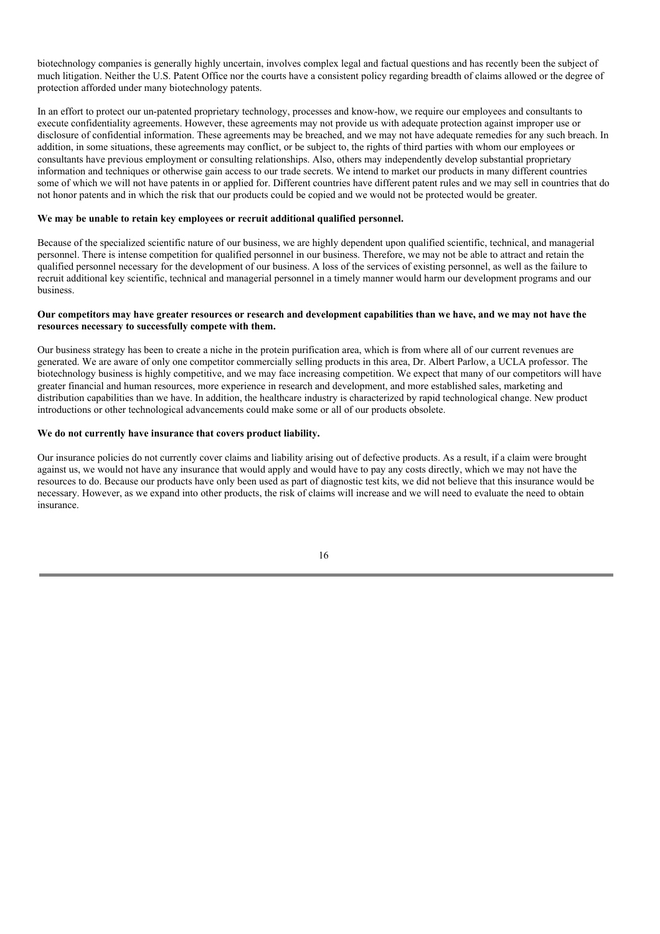biotechnology companies is generally highly uncertain, involves complex legal and factual questions and has recently been the subject of much litigation. Neither the U.S. Patent Office nor the courts have a consistent policy regarding breadth of claims allowed or the degree of protection afforded under many biotechnology patents.

In an effort to protect our un-patented proprietary technology, processes and know-how, we require our employees and consultants to execute confidentiality agreements. However, these agreements may not provide us with adequate protection against improper use or disclosure of confidential information. These agreements may be breached, and we may not have adequate remedies for any such breach. In addition, in some situations, these agreements may conflict, or be subject to, the rights of third parties with whom our employees or consultants have previous employment or consulting relationships. Also, others may independently develop substantial proprietary information and techniques or otherwise gain access to our trade secrets. We intend to market our products in many different countries some of which we will not have patents in or applied for. Different countries have different patent rules and we may sell in countries that do not honor patents and in which the risk that our products could be copied and we would not be protected would be greater.

#### **We may be unable to retain key employees or recruit additional qualified personnel.**

Because of the specialized scientific nature of our business, we are highly dependent upon qualified scientific, technical, and managerial personnel. There is intense competition for qualified personnel in our business. Therefore, we may not be able to attract and retain the qualified personnel necessary for the development of our business. A loss of the services of existing personnel, as well as the failure to recruit additional key scientific, technical and managerial personnel in a timely manner would harm our development programs and our business.

### Our competitors may have greater resources or research and development capabilities than we have, and we may not have the **resources necessary to successfully compete with them.**

Our business strategy has been to create a niche in the protein purification area, which is from where all of our current revenues are generated. We are aware of only one competitor commercially selling products in this area, Dr. Albert Parlow, a UCLA professor. The biotechnology business is highly competitive, and we may face increasing competition. We expect that many of our competitors will have greater financial and human resources, more experience in research and development, and more established sales, marketing and distribution capabilities than we have. In addition, the healthcare industry is characterized by rapid technological change. New product introductions or other technological advancements could make some or all of our products obsolete.

# **We do not currently have insurance that covers product liability.**

Our insurance policies do not currently cover claims and liability arising out of defective products. As a result, if a claim were brought against us, we would not have any insurance that would apply and would have to pay any costs directly, which we may not have the resources to do. Because our products have only been used as part of diagnostic test kits, we did not believe that this insurance would be necessary. However, as we expand into other products, the risk of claims will increase and we will need to evaluate the need to obtain insurance.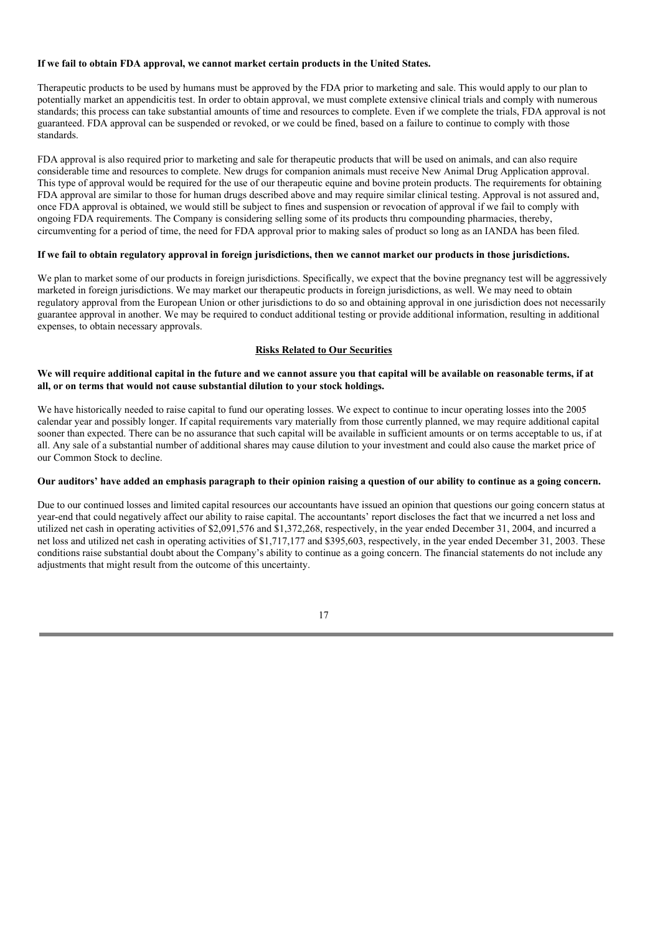# **If we fail to obtain FDA approval, we cannot market certain products in the United States.**

Therapeutic products to be used by humans must be approved by the FDA prior to marketing and sale. This would apply to our plan to potentially market an appendicitis test. In order to obtain approval, we must complete extensive clinical trials and comply with numerous standards; this process can take substantial amounts of time and resources to complete. Even if we complete the trials, FDA approval is not guaranteed. FDA approval can be suspended or revoked, or we could be fined, based on a failure to continue to comply with those standards.

FDA approval is also required prior to marketing and sale for therapeutic products that will be used on animals, and can also require considerable time and resources to complete. New drugs for companion animals must receive New Animal Drug Application approval. This type of approval would be required for the use of our therapeutic equine and bovine protein products. The requirements for obtaining FDA approval are similar to those for human drugs described above and may require similar clinical testing. Approval is not assured and, once FDA approval is obtained, we would still be subject to fines and suspension or revocation of approval if we fail to comply with ongoing FDA requirements. The Company is considering selling some of its products thru compounding pharmacies, thereby, circumventing for a period of time, the need for FDA approval prior to making sales of product so long as an IANDA has been filed.

## If we fail to obtain regulatory approval in foreign jurisdictions, then we cannot market our products in those jurisdictions.

We plan to market some of our products in foreign jurisdictions. Specifically, we expect that the bovine pregnancy test will be aggressively marketed in foreign jurisdictions. We may market our therapeutic products in foreign jurisdictions, as well. We may need to obtain regulatory approval from the European Union or other jurisdictions to do so and obtaining approval in one jurisdiction does not necessarily guarantee approval in another. We may be required to conduct additional testing or provide additional information, resulting in additional expenses, to obtain necessary approvals.

# **Risks Related to Our Securities**

## We will require additional capital in the future and we cannot assure you that capital will be available on reasonable terms, if at **all, or on terms that would not cause substantial dilution to your stock holdings.**

We have historically needed to raise capital to fund our operating losses. We expect to continue to incur operating losses into the 2005 calendar year and possibly longer. If capital requirements vary materially from those currently planned, we may require additional capital sooner than expected. There can be no assurance that such capital will be available in sufficient amounts or on terms acceptable to us, if at all. Any sale of a substantial number of additional shares may cause dilution to your investment and could also cause the market price of our Common Stock to decline.

## Our auditors' have added an emphasis paragraph to their opinion raising a question of our ability to continue as a going concern.

Due to our continued losses and limited capital resources our accountants have issued an opinion that questions our going concern status at year-end that could negatively affect our ability to raise capital. The accountants' report discloses the fact that we incurred a net loss and utilized net cash in operating activities of \$2,091,576 and \$1,372,268, respectively, in the year ended December 31, 2004, and incurred a net loss and utilized net cash in operating activities of \$1,717,177 and \$395,603, respectively, in the year ended December 31, 2003. These conditions raise substantial doubt about the Company's ability to continue as a going concern. The financial statements do not include any adjustments that might result from the outcome of this uncertainty.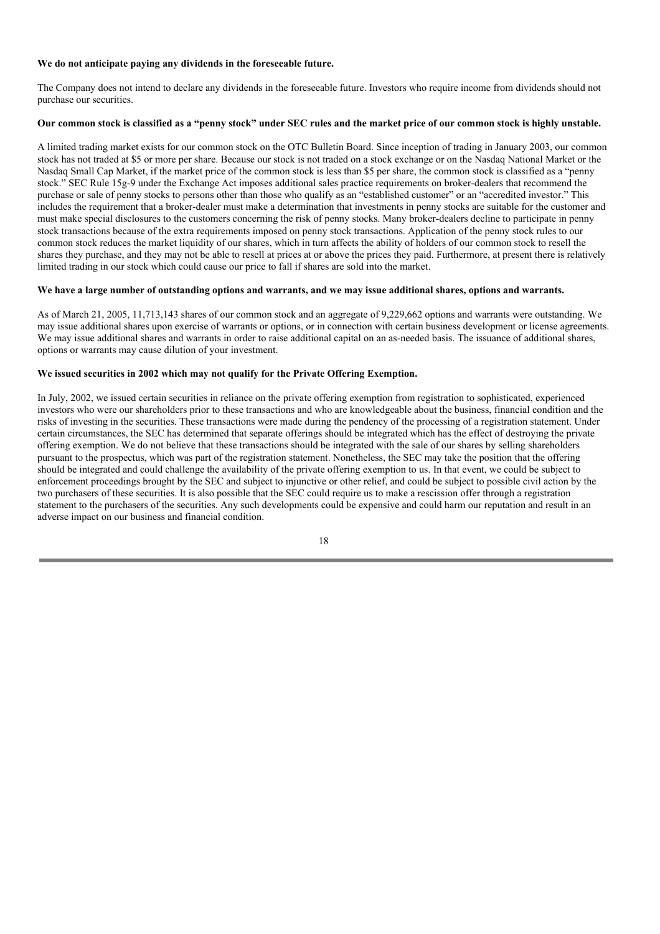## **We do not anticipate paying any dividends in the foreseeable future.**

The Company does not intend to declare any dividends in the foreseeable future. Investors who require income from dividends should not purchase our securities.

#### Our common stock is classified as a "penny stock" under SEC rules and the market price of our common stock is highly unstable.

A limited trading market exists for our common stock on the OTC Bulletin Board. Since inception of trading in January 2003, our common stock has not traded at \$5 or more per share. Because our stock is not traded on a stock exchange or on the Nasdaq National Market or the Nasdaq Small Cap Market, if the market price of the common stock is less than \$5 per share, the common stock is classified as a "penny stock." SEC Rule 15g-9 under the Exchange Act imposes additional sales practice requirements on broker-dealers that recommend the purchase or sale of penny stocks to persons other than those who qualify as an "established customer" or an "accredited investor." This includes the requirement that a broker-dealer must make a determination that investments in penny stocks are suitable for the customer and must make special disclosures to the customers concerning the risk of penny stocks. Many broker-dealers decline to participate in penny stock transactions because of the extra requirements imposed on penny stock transactions. Application of the penny stock rules to our common stock reduces the market liquidity of our shares, which in turn affects the ability of holders of our common stock to resell the shares they purchase, and they may not be able to resell at prices at or above the prices they paid. Furthermore, at present there is relatively limited trading in our stock which could cause our price to fall if shares are sold into the market.

#### We have a large number of outstanding options and warrants, and we may issue additional shares, options and warrants,

As of March 21, 2005, 11,713,143 shares of our common stock and an aggregate of 9,229,662 options and warrants were outstanding. We may issue additional shares upon exercise of warrants or options, or in connection with certain business development or license agreements. We may issue additional shares and warrants in order to raise additional capital on an as-needed basis. The issuance of additional shares, options or warrants may cause dilution of your investment.

# **We issued securities in 2002 which may not qualify for the Private Offering Exemption.**

In July, 2002, we issued certain securities in reliance on the private offering exemption from registration to sophisticated, experienced investors who were our shareholders prior to these transactions and who are knowledgeable about the business, financial condition and the risks of investing in the securities. These transactions were made during the pendency of the processing of a registration statement. Under certain circumstances, the SEC has determined that separate offerings should be integrated which has the effect of destroying the private offering exemption. We do not believe that these transactions should be integrated with the sale of our shares by selling shareholders pursuant to the prospectus, which was part of the registration statement. Nonetheless, the SEC may take the position that the offering should be integrated and could challenge the availability of the private offering exemption to us. In that event, we could be subject to enforcement proceedings brought by the SEC and subject to injunctive or other relief, and could be subject to possible civil action by the two purchasers of these securities. It is also possible that the SEC could require us to make a rescission offer through a registration statement to the purchasers of the securities. Any such developments could be expensive and could harm our reputation and result in an adverse impact on our business and financial condition.

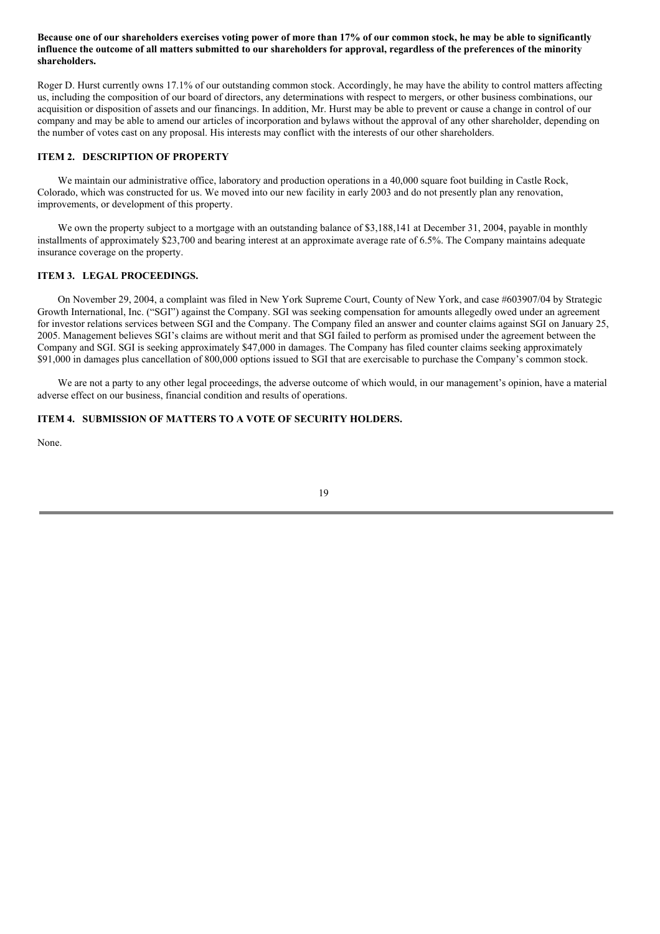Because one of our shareholders exercises voting power of more than 17% of our common stock, he may be able to significantly influence the outcome of all matters submitted to our shareholders for approval, regardless of the preferences of the minority **shareholders.**

Roger D. Hurst currently owns 17.1% of our outstanding common stock. Accordingly, he may have the ability to control matters affecting us, including the composition of our board of directors, any determinations with respect to mergers, or other business combinations, our acquisition or disposition of assets and our financings. In addition, Mr. Hurst may be able to prevent or cause a change in control of our company and may be able to amend our articles of incorporation and bylaws without the approval of any other shareholder, depending on the number of votes cast on any proposal. His interests may conflict with the interests of our other shareholders.

#### **ITEM 2. DESCRIPTION OF PROPERTY**

We maintain our administrative office, laboratory and production operations in a 40,000 square foot building in Castle Rock, Colorado, which was constructed for us. We moved into our new facility in early 2003 and do not presently plan any renovation, improvements, or development of this property.

We own the property subject to a mortgage with an outstanding balance of \$3,188,141 at December 31, 2004, payable in monthly installments of approximately \$23,700 and bearing interest at an approximate average rate of 6.5%. The Company maintains adequate insurance coverage on the property.

### **ITEM 3. LEGAL PROCEEDINGS.**

On November 29, 2004, a complaint was filed in New York Supreme Court, County of New York, and case #603907/04 by Strategic Growth International, Inc. ("SGI") against the Company. SGI was seeking compensation for amounts allegedly owed under an agreement for investor relations services between SGI and the Company. The Company filed an answer and counter claims against SGI on January 25, 2005. Management believes SGI's claims are without merit and that SGI failed to perform as promised under the agreement between the Company and SGI. SGI is seeking approximately \$47,000 in damages. The Company has filed counter claims seeking approximately \$91,000 in damages plus cancellation of 800,000 options issued to SGI that are exercisable to purchase the Company's common stock.

We are not a party to any other legal proceedings, the adverse outcome of which would, in our management's opinion, have a material adverse effect on our business, financial condition and results of operations.

# **ITEM 4. SUBMISSION OF MATTERS TO A VOTE OF SECURITY HOLDERS.**

None.

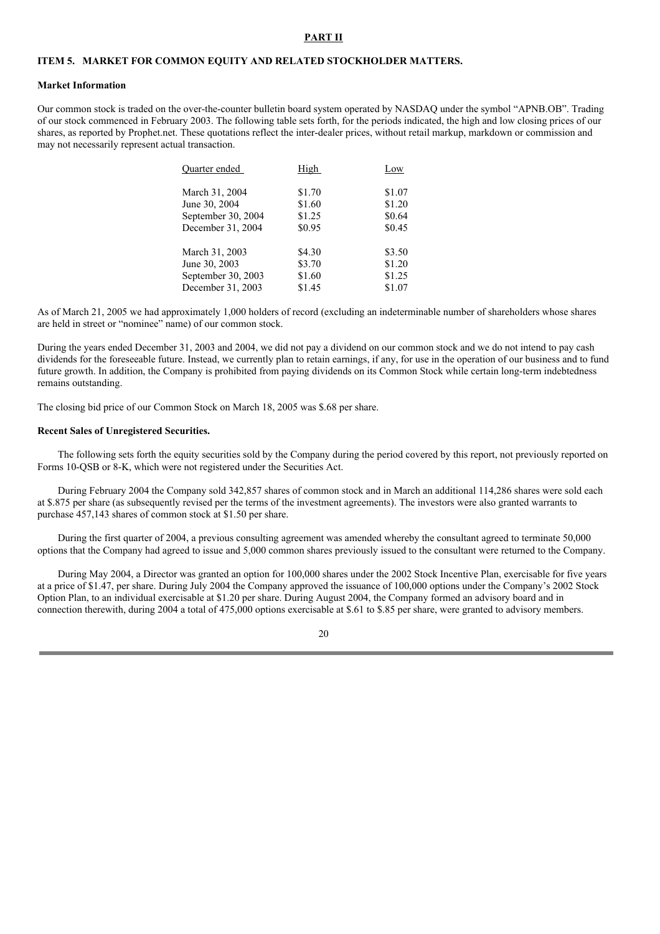#### **PART II**

#### **ITEM 5. MARKET FOR COMMON EQUITY AND RELATED STOCKHOLDER MATTERS.**

#### **Market Information**

Our common stock is traded on the over-the-counter bulletin board system operated by NASDAQ under the symbol "APNB.OB". Trading of our stock commenced in February 2003. The following table sets forth, for the periods indicated, the high and low closing prices of our shares, as reported by Prophet.net. These quotations reflect the inter-dealer prices, without retail markup, markdown or commission and may not necessarily represent actual transaction.

| Quarter ended      | High   | Low    |
|--------------------|--------|--------|
| March 31, 2004     | \$1.70 | \$1.07 |
| June 30, 2004      | \$1.60 | \$1.20 |
| September 30, 2004 | \$1.25 | \$0.64 |
| December 31, 2004  | \$0.95 | \$0.45 |
| March 31, 2003     | \$4.30 | \$3.50 |
| June 30, 2003      | \$3.70 | \$1.20 |
| September 30, 2003 | \$1.60 | \$1.25 |
| December 31, 2003  | \$1.45 | \$1.07 |

As of March 21, 2005 we had approximately 1,000 holders of record (excluding an indeterminable number of shareholders whose shares are held in street or "nominee" name) of our common stock.

During the years ended December 31, 2003 and 2004, we did not pay a dividend on our common stock and we do not intend to pay cash dividends for the foreseeable future. Instead, we currently plan to retain earnings, if any, for use in the operation of our business and to fund future growth. In addition, the Company is prohibited from paying dividends on its Common Stock while certain long-term indebtedness remains outstanding.

The closing bid price of our Common Stock on March 18, 2005 was \$.68 per share.

### **Recent Sales of Unregistered Securities.**

The following sets forth the equity securities sold by the Company during the period covered by this report, not previously reported on Forms 10-QSB or 8-K, which were not registered under the Securities Act.

During February 2004 the Company sold 342,857 shares of common stock and in March an additional 114,286 shares were sold each at \$.875 per share (as subsequently revised per the terms of the investment agreements). The investors were also granted warrants to purchase 457,143 shares of common stock at \$1.50 per share.

During the first quarter of 2004, a previous consulting agreement was amended whereby the consultant agreed to terminate 50,000 options that the Company had agreed to issue and 5,000 common shares previously issued to the consultant were returned to the Company.

During May 2004, a Director was granted an option for 100,000 shares under the 2002 Stock Incentive Plan, exercisable for five years at a price of \$1.47, per share. During July 2004 the Company approved the issuance of 100,000 options under the Company's 2002 Stock Option Plan, to an individual exercisable at \$1.20 per share. During August 2004, the Company formed an advisory board and in connection therewith, during 2004 a total of 475,000 options exercisable at \$.61 to \$.85 per share, were granted to advisory members.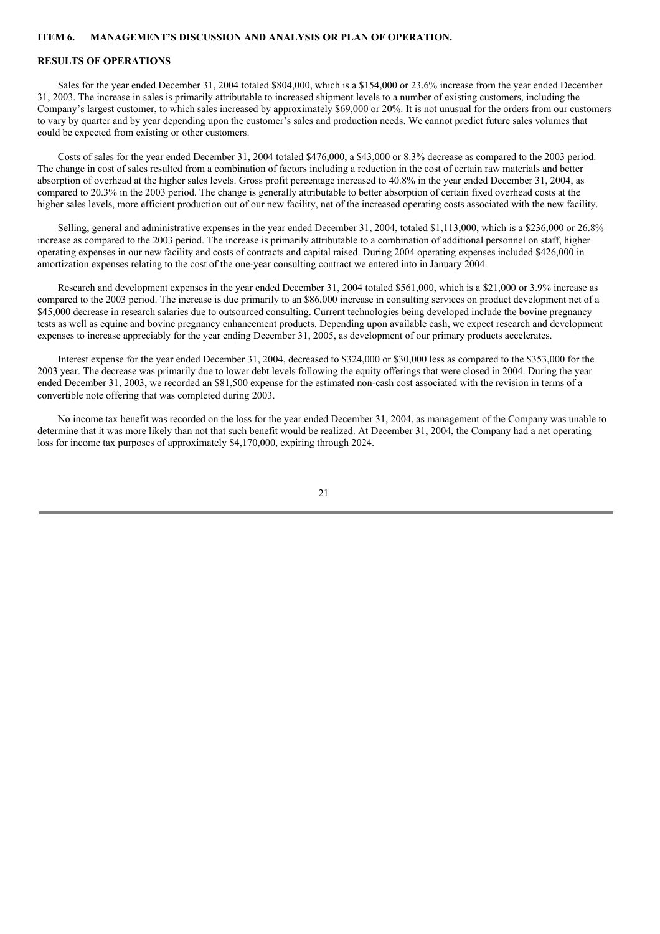## **ITEM 6. MANAGEMENT'S DISCUSSION AND ANALYSIS OR PLAN OF OPERATION.**

#### **RESULTS OF OPERATIONS**

Sales for the year ended December 31, 2004 totaled \$804,000, which is a \$154,000 or 23.6% increase from the year ended December 31, 2003. The increase in sales is primarily attributable to increased shipment levels to a number of existing customers, including the Company's largest customer, to which sales increased by approximately \$69,000 or 20%. It is not unusual for the orders from our customers to vary by quarter and by year depending upon the customer's sales and production needs. We cannot predict future sales volumes that could be expected from existing or other customers.

Costs of sales for the year ended December 31, 2004 totaled \$476,000, a \$43,000 or 8.3% decrease as compared to the 2003 period. The change in cost of sales resulted from a combination of factors including a reduction in the cost of certain raw materials and better absorption of overhead at the higher sales levels. Gross profit percentage increased to 40.8% in the year ended December 31, 2004, as compared to 20.3% in the 2003 period. The change is generally attributable to better absorption of certain fixed overhead costs at the higher sales levels, more efficient production out of our new facility, net of the increased operating costs associated with the new facility.

Selling, general and administrative expenses in the year ended December 31, 2004, totaled \$1,113,000, which is a \$236,000 or 26.8% increase as compared to the 2003 period. The increase is primarily attributable to a combination of additional personnel on staff, higher operating expenses in our new facility and costs of contracts and capital raised. During 2004 operating expenses included \$426,000 in amortization expenses relating to the cost of the one-year consulting contract we entered into in January 2004.

Research and development expenses in the year ended December 31, 2004 totaled \$561,000, which is a \$21,000 or 3.9% increase as compared to the 2003 period. The increase is due primarily to an \$86,000 increase in consulting services on product development net of a \$45,000 decrease in research salaries due to outsourced consulting. Current technologies being developed include the bovine pregnancy tests as well as equine and bovine pregnancy enhancement products. Depending upon available cash, we expect research and development expenses to increase appreciably for the year ending December 31, 2005, as development of our primary products accelerates.

Interest expense for the year ended December 31, 2004, decreased to \$324,000 or \$30,000 less as compared to the \$353,000 for the 2003 year. The decrease was primarily due to lower debt levels following the equity offerings that were closed in 2004. During the year ended December 31, 2003, we recorded an \$81,500 expense for the estimated non-cash cost associated with the revision in terms of a convertible note offering that was completed during 2003.

No income tax benefit was recorded on the loss for the year ended December 31, 2004, as management of the Company was unable to determine that it was more likely than not that such benefit would be realized. At December 31, 2004, the Company had a net operating loss for income tax purposes of approximately \$4,170,000, expiring through 2024.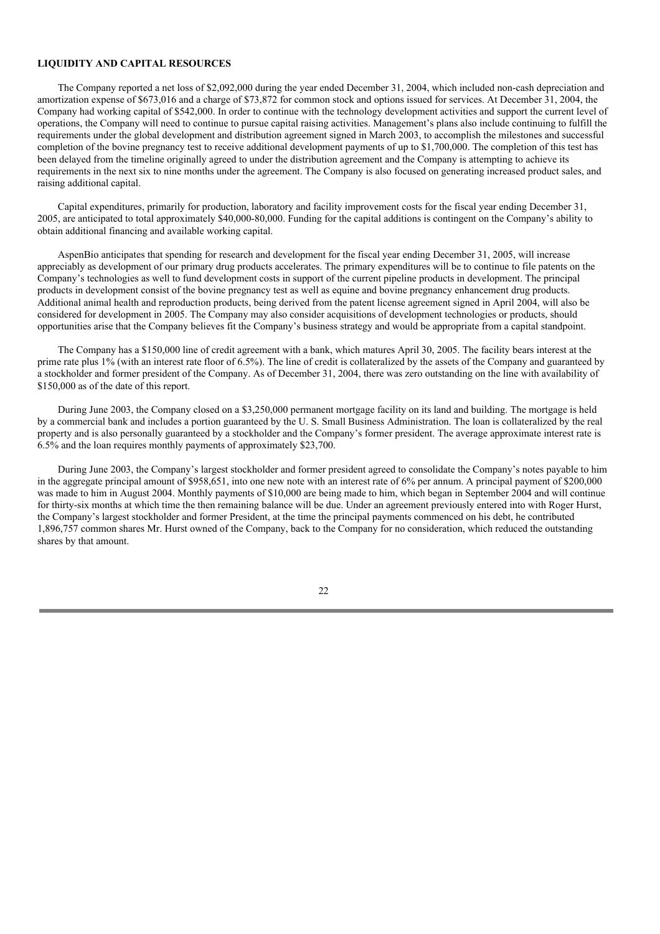#### **LIQUIDITY AND CAPITAL RESOURCES**

The Company reported a net loss of \$2,092,000 during the year ended December 31, 2004, which included non-cash depreciation and amortization expense of \$673,016 and a charge of \$73,872 for common stock and options issued for services. At December 31, 2004, the Company had working capital of \$542,000. In order to continue with the technology development activities and support the current level of operations, the Company will need to continue to pursue capital raising activities. Management's plans also include continuing to fulfill the requirements under the global development and distribution agreement signed in March 2003, to accomplish the milestones and successful completion of the bovine pregnancy test to receive additional development payments of up to \$1,700,000. The completion of this test has been delayed from the timeline originally agreed to under the distribution agreement and the Company is attempting to achieve its requirements in the next six to nine months under the agreement. The Company is also focused on generating increased product sales, and raising additional capital.

Capital expenditures, primarily for production, laboratory and facility improvement costs for the fiscal year ending December 31, 2005, are anticipated to total approximately \$40,000-80,000. Funding for the capital additions is contingent on the Company's ability to obtain additional financing and available working capital.

AspenBio anticipates that spending for research and development for the fiscal year ending December 31, 2005, will increase appreciably as development of our primary drug products accelerates. The primary expenditures will be to continue to file patents on the Company's technologies as well to fund development costs in support of the current pipeline products in development. The principal products in development consist of the bovine pregnancy test as well as equine and bovine pregnancy enhancement drug products. Additional animal health and reproduction products, being derived from the patent license agreement signed in April 2004, will also be considered for development in 2005. The Company may also consider acquisitions of development technologies or products, should opportunities arise that the Company believes fit the Company's business strategy and would be appropriate from a capital standpoint.

The Company has a \$150,000 line of credit agreement with a bank, which matures April 30, 2005. The facility bears interest at the prime rate plus 1% (with an interest rate floor of 6.5%). The line of credit is collateralized by the assets of the Company and guaranteed by a stockholder and former president of the Company. As of December 31, 2004, there was zero outstanding on the line with availability of \$150,000 as of the date of this report.

During June 2003, the Company closed on a \$3,250,000 permanent mortgage facility on its land and building. The mortgage is held by a commercial bank and includes a portion guaranteed by the U. S. Small Business Administration. The loan is collateralized by the real property and is also personally guaranteed by a stockholder and the Company's former president. The average approximate interest rate is 6.5% and the loan requires monthly payments of approximately \$23,700.

During June 2003, the Company's largest stockholder and former president agreed to consolidate the Company's notes payable to him in the aggregate principal amount of \$958,651, into one new note with an interest rate of 6% per annum. A principal payment of \$200,000 was made to him in August 2004. Monthly payments of \$10,000 are being made to him, which began in September 2004 and will continue for thirty-six months at which time the then remaining balance will be due. Under an agreement previously entered into with Roger Hurst, the Company's largest stockholder and former President, at the time the principal payments commenced on his debt, he contributed 1,896,757 common shares Mr. Hurst owned of the Company, back to the Company for no consideration, which reduced the outstanding shares by that amount.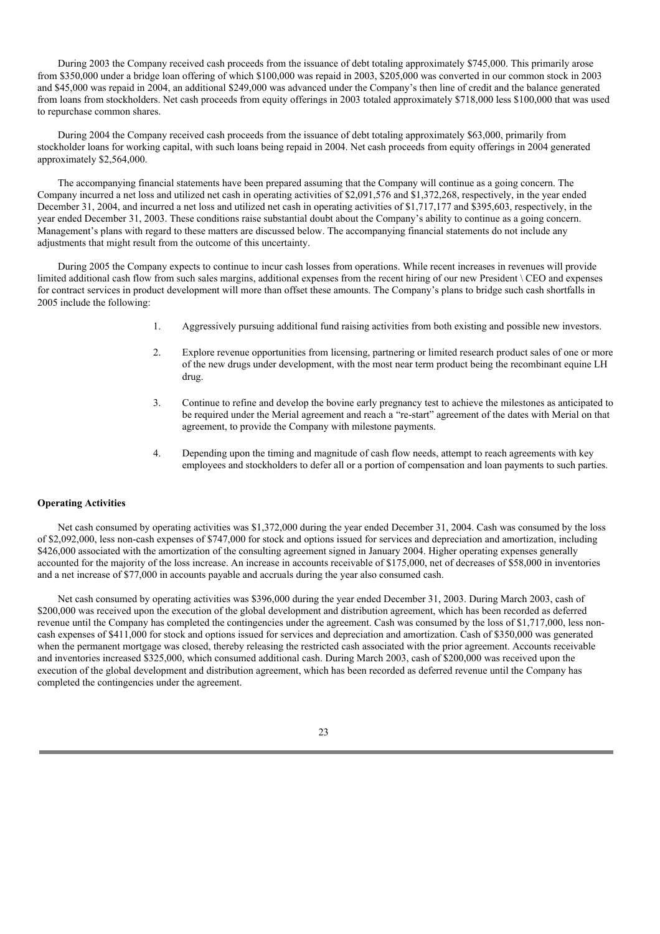During 2003 the Company received cash proceeds from the issuance of debt totaling approximately \$745,000. This primarily arose from \$350,000 under a bridge loan offering of which \$100,000 was repaid in 2003, \$205,000 was converted in our common stock in 2003 and \$45,000 was repaid in 2004, an additional \$249,000 was advanced under the Company's then line of credit and the balance generated from loans from stockholders. Net cash proceeds from equity offerings in 2003 totaled approximately \$718,000 less \$100,000 that was used to repurchase common shares.

During 2004 the Company received cash proceeds from the issuance of debt totaling approximately \$63,000, primarily from stockholder loans for working capital, with such loans being repaid in 2004. Net cash proceeds from equity offerings in 2004 generated approximately \$2,564,000.

The accompanying financial statements have been prepared assuming that the Company will continue as a going concern. The Company incurred a net loss and utilized net cash in operating activities of \$2,091,576 and \$1,372,268, respectively, in the year ended December 31, 2004, and incurred a net loss and utilized net cash in operating activities of \$1,717,177 and \$395,603, respectively, in the year ended December 31, 2003. These conditions raise substantial doubt about the Company's ability to continue as a going concern. Management's plans with regard to these matters are discussed below. The accompanying financial statements do not include any adjustments that might result from the outcome of this uncertainty.

During 2005 the Company expects to continue to incur cash losses from operations. While recent increases in revenues will provide limited additional cash flow from such sales margins, additional expenses from the recent hiring of our new President \ CEO and expenses for contract services in product development will more than offset these amounts. The Company's plans to bridge such cash shortfalls in 2005 include the following:

- 1. Aggressively pursuing additional fund raising activities from both existing and possible new investors.
- 2. Explore revenue opportunities from licensing, partnering or limited research product sales of one or more of the new drugs under development, with the most near term product being the recombinant equine LH drug.
- 3. Continue to refine and develop the bovine early pregnancy test to achieve the milestones as anticipated to be required under the Merial agreement and reach a "re-start" agreement of the dates with Merial on that agreement, to provide the Company with milestone payments.
- 4. Depending upon the timing and magnitude of cash flow needs, attempt to reach agreements with key employees and stockholders to defer all or a portion of compensation and loan payments to such parties.

### **Operating Activities**

Net cash consumed by operating activities was \$1,372,000 during the year ended December 31, 2004. Cash was consumed by the loss of \$2,092,000, less non-cash expenses of \$747,000 for stock and options issued for services and depreciation and amortization, including \$426,000 associated with the amortization of the consulting agreement signed in January 2004. Higher operating expenses generally accounted for the majority of the loss increase. An increase in accounts receivable of \$175,000, net of decreases of \$58,000 in inventories and a net increase of \$77,000 in accounts payable and accruals during the year also consumed cash.

Net cash consumed by operating activities was \$396,000 during the year ended December 31, 2003. During March 2003, cash of \$200,000 was received upon the execution of the global development and distribution agreement, which has been recorded as deferred revenue until the Company has completed the contingencies under the agreement. Cash was consumed by the loss of \$1,717,000, less noncash expenses of \$411,000 for stock and options issued for services and depreciation and amortization. Cash of \$350,000 was generated when the permanent mortgage was closed, thereby releasing the restricted cash associated with the prior agreement. Accounts receivable and inventories increased \$325,000, which consumed additional cash. During March 2003, cash of \$200,000 was received upon the execution of the global development and distribution agreement, which has been recorded as deferred revenue until the Company has completed the contingencies under the agreement.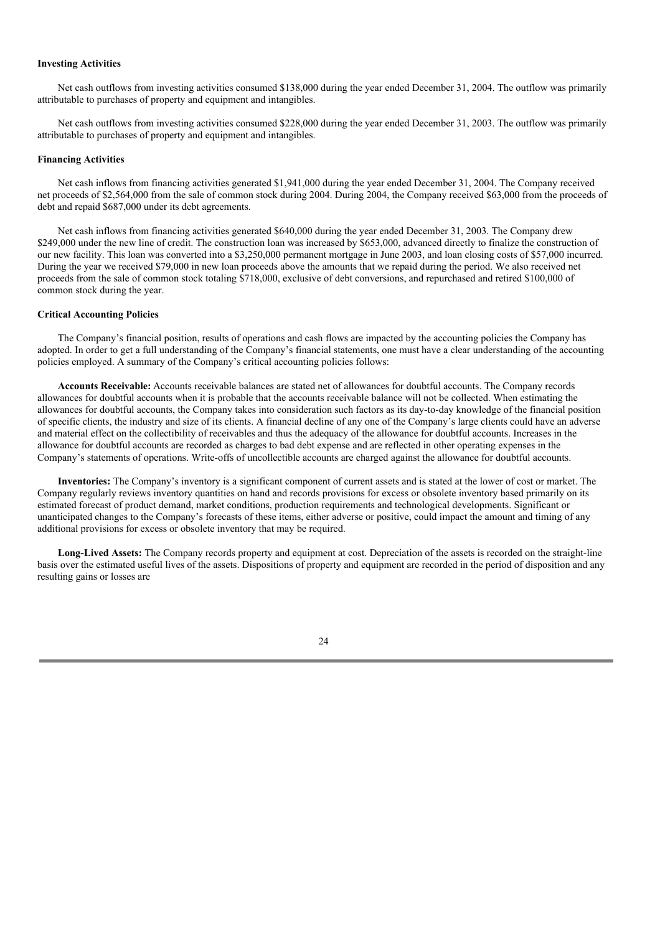#### **Investing Activities**

Net cash outflows from investing activities consumed \$138,000 during the year ended December 31, 2004. The outflow was primarily attributable to purchases of property and equipment and intangibles.

Net cash outflows from investing activities consumed \$228,000 during the year ended December 31, 2003. The outflow was primarily attributable to purchases of property and equipment and intangibles.

### **Financing Activities**

Net cash inflows from financing activities generated \$1,941,000 during the year ended December 31, 2004. The Company received net proceeds of \$2,564,000 from the sale of common stock during 2004. During 2004, the Company received \$63,000 from the proceeds of debt and repaid \$687,000 under its debt agreements.

Net cash inflows from financing activities generated \$640,000 during the year ended December 31, 2003. The Company drew \$249,000 under the new line of credit. The construction loan was increased by \$653,000, advanced directly to finalize the construction of our new facility. This loan was converted into a \$3,250,000 permanent mortgage in June 2003, and loan closing costs of \$57,000 incurred. During the year we received \$79,000 in new loan proceeds above the amounts that we repaid during the period. We also received net proceeds from the sale of common stock totaling \$718,000, exclusive of debt conversions, and repurchased and retired \$100,000 of common stock during the year.

### **Critical Accounting Policies**

The Company's financial position, results of operations and cash flows are impacted by the accounting policies the Company has adopted. In order to get a full understanding of the Company's financial statements, one must have a clear understanding of the accounting policies employed. A summary of the Company's critical accounting policies follows:

**Accounts Receivable:** Accounts receivable balances are stated net of allowances for doubtful accounts. The Company records allowances for doubtful accounts when it is probable that the accounts receivable balance will not be collected. When estimating the allowances for doubtful accounts, the Company takes into consideration such factors as its day-to-day knowledge of the financial position of specific clients, the industry and size of its clients. A financial decline of any one of the Company's large clients could have an adverse and material effect on the collectibility of receivables and thus the adequacy of the allowance for doubtful accounts. Increases in the allowance for doubtful accounts are recorded as charges to bad debt expense and are reflected in other operating expenses in the Company's statements of operations. Write-offs of uncollectible accounts are charged against the allowance for doubtful accounts.

**Inventories:** The Company's inventory is a significant component of current assets and is stated at the lower of cost or market. The Company regularly reviews inventory quantities on hand and records provisions for excess or obsolete inventory based primarily on its estimated forecast of product demand, market conditions, production requirements and technological developments. Significant or unanticipated changes to the Company's forecasts of these items, either adverse or positive, could impact the amount and timing of any additional provisions for excess or obsolete inventory that may be required.

**Long-Lived Assets:** The Company records property and equipment at cost. Depreciation of the assets is recorded on the straight-line basis over the estimated useful lives of the assets. Dispositions of property and equipment are recorded in the period of disposition and any resulting gains or losses are

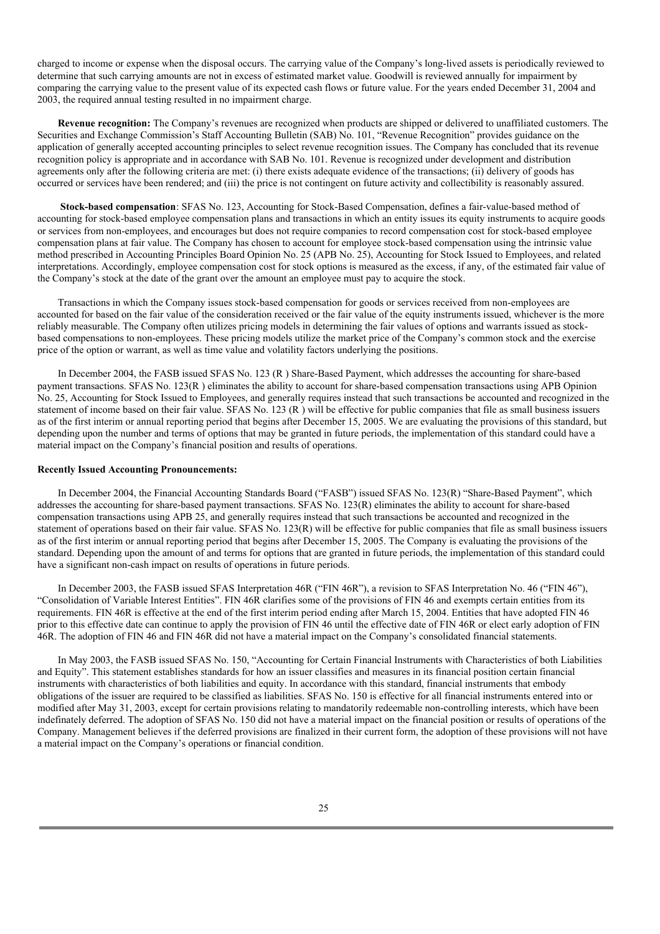charged to income or expense when the disposal occurs. The carrying value of the Company's long-lived assets is periodically reviewed to determine that such carrying amounts are not in excess of estimated market value. Goodwill is reviewed annually for impairment by comparing the carrying value to the present value of its expected cash flows or future value. For the years ended December 31, 2004 and 2003, the required annual testing resulted in no impairment charge.

**Revenue recognition:** The Company's revenues are recognized when products are shipped or delivered to unaffiliated customers. The Securities and Exchange Commission's Staff Accounting Bulletin (SAB) No. 101, "Revenue Recognition" provides guidance on the application of generally accepted accounting principles to select revenue recognition issues. The Company has concluded that its revenue recognition policy is appropriate and in accordance with SAB No. 101. Revenue is recognized under development and distribution agreements only after the following criteria are met: (i) there exists adequate evidence of the transactions; (ii) delivery of goods has occurred or services have been rendered; and (iii) the price is not contingent on future activity and collectibility is reasonably assured.

**Stock-based compensation**: SFAS No. 123, Accounting for Stock-Based Compensation, defines a fair-value-based method of accounting for stock-based employee compensation plans and transactions in which an entity issues its equity instruments to acquire goods or services from non-employees, and encourages but does not require companies to record compensation cost for stock-based employee compensation plans at fair value. The Company has chosen to account for employee stock-based compensation using the intrinsic value method prescribed in Accounting Principles Board Opinion No. 25 (APB No. 25), Accounting for Stock Issued to Employees, and related interpretations. Accordingly, employee compensation cost for stock options is measured as the excess, if any, of the estimated fair value of the Company's stock at the date of the grant over the amount an employee must pay to acquire the stock.

Transactions in which the Company issues stock-based compensation for goods or services received from non-employees are accounted for based on the fair value of the consideration received or the fair value of the equity instruments issued, whichever is the more reliably measurable. The Company often utilizes pricing models in determining the fair values of options and warrants issued as stockbased compensations to non-employees. These pricing models utilize the market price of the Company's common stock and the exercise price of the option or warrant, as well as time value and volatility factors underlying the positions.

In December 2004, the FASB issued SFAS No. 123 (R ) Share-Based Payment, which addresses the accounting for share-based payment transactions. SFAS No. 123(R ) eliminates the ability to account for share-based compensation transactions using APB Opinion No. 25, Accounting for Stock Issued to Employees, and generally requires instead that such transactions be accounted and recognized in the statement of income based on their fair value. SFAS No. 123 (R ) will be effective for public companies that file as small business issuers as of the first interim or annual reporting period that begins after December 15, 2005. We are evaluating the provisions of this standard, but depending upon the number and terms of options that may be granted in future periods, the implementation of this standard could have a material impact on the Company's financial position and results of operations.

#### **Recently Issued Accounting Pronouncements:**

In December 2004, the Financial Accounting Standards Board ("FASB") issued SFAS No. 123(R) "Share-Based Payment", which addresses the accounting for share-based payment transactions. SFAS No. 123(R) eliminates the ability to account for share-based compensation transactions using APB 25, and generally requires instead that such transactions be accounted and recognized in the statement of operations based on their fair value. SFAS No. 123(R) will be effective for public companies that file as small business issuers as of the first interim or annual reporting period that begins after December 15, 2005. The Company is evaluating the provisions of the standard. Depending upon the amount of and terms for options that are granted in future periods, the implementation of this standard could have a significant non-cash impact on results of operations in future periods.

In December 2003, the FASB issued SFAS Interpretation 46R ("FIN 46R"), a revision to SFAS Interpretation No. 46 ("FIN 46"), "Consolidation of Variable Interest Entities". FIN 46R clarifies some of the provisions of FIN 46 and exempts certain entities from its requirements. FIN 46R is effective at the end of the first interim period ending after March 15, 2004. Entities that have adopted FIN 46 prior to this effective date can continue to apply the provision of FIN 46 until the effective date of FIN 46R or elect early adoption of FIN 46R. The adoption of FIN 46 and FIN 46R did not have a material impact on the Company's consolidated financial statements.

In May 2003, the FASB issued SFAS No. 150, "Accounting for Certain Financial Instruments with Characteristics of both Liabilities and Equity". This statement establishes standards for how an issuer classifies and measures in its financial position certain financial instruments with characteristics of both liabilities and equity. In accordance with this standard, financial instruments that embody obligations of the issuer are required to be classified as liabilities. SFAS No. 150 is effective for all financial instruments entered into or modified after May 31, 2003, except for certain provisions relating to mandatorily redeemable non-controlling interests, which have been indefinately deferred. The adoption of SFAS No. 150 did not have a material impact on the financial position or results of operations of the Company. Management believes if the deferred provisions are finalized in their current form, the adoption of these provisions will not have a material impact on the Company's operations or financial condition.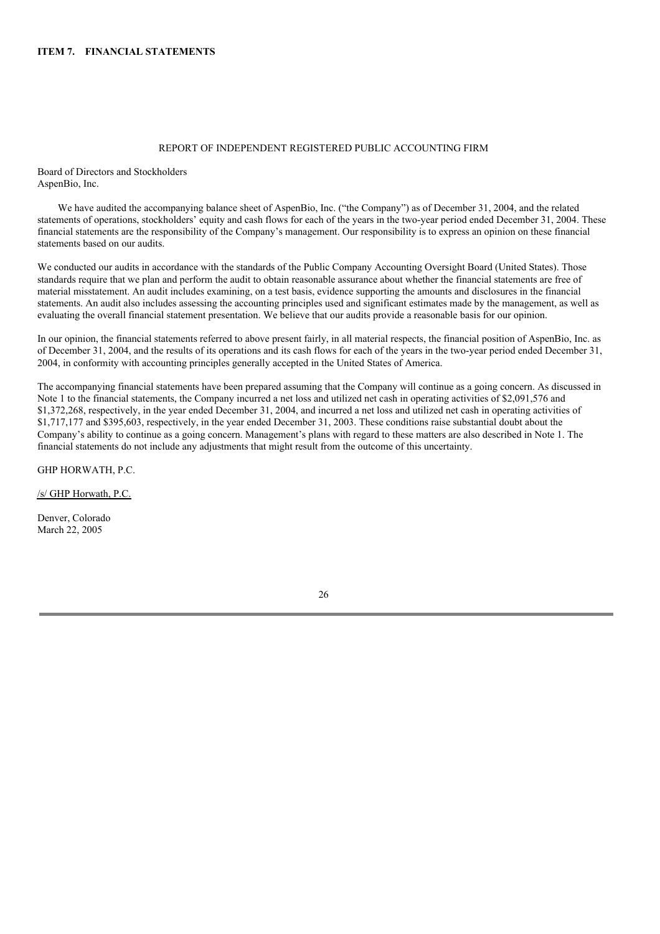### REPORT OF INDEPENDENT REGISTERED PUBLIC ACCOUNTING FIRM

Board of Directors and Stockholders AspenBio, Inc.

We have audited the accompanying balance sheet of AspenBio, Inc. ("the Company") as of December 31, 2004, and the related statements of operations, stockholders' equity and cash flows for each of the years in the two-year period ended December 31, 2004. These financial statements are the responsibility of the Company's management. Our responsibility is to express an opinion on these financial statements based on our audits.

We conducted our audits in accordance with the standards of the Public Company Accounting Oversight Board (United States). Those standards require that we plan and perform the audit to obtain reasonable assurance about whether the financial statements are free of material misstatement. An audit includes examining, on a test basis, evidence supporting the amounts and disclosures in the financial statements. An audit also includes assessing the accounting principles used and significant estimates made by the management, as well as evaluating the overall financial statement presentation. We believe that our audits provide a reasonable basis for our opinion.

In our opinion, the financial statements referred to above present fairly, in all material respects, the financial position of AspenBio, Inc. as of December 31, 2004, and the results of its operations and its cash flows for each of the years in the two-year period ended December 31, 2004, in conformity with accounting principles generally accepted in the United States of America.

The accompanying financial statements have been prepared assuming that the Company will continue as a going concern. As discussed in Note 1 to the financial statements, the Company incurred a net loss and utilized net cash in operating activities of \$2,091,576 and \$1,372,268, respectively, in the year ended December 31, 2004, and incurred a net loss and utilized net cash in operating activities of \$1,717,177 and \$395,603, respectively, in the year ended December 31, 2003. These conditions raise substantial doubt about the Company's ability to continue as a going concern. Management's plans with regard to these matters are also described in Note 1. The financial statements do not include any adjustments that might result from the outcome of this uncertainty.

GHP HORWATH, P.C.

/s/ GHP Horwath, P.C.

Denver, Colorado March 22, 2005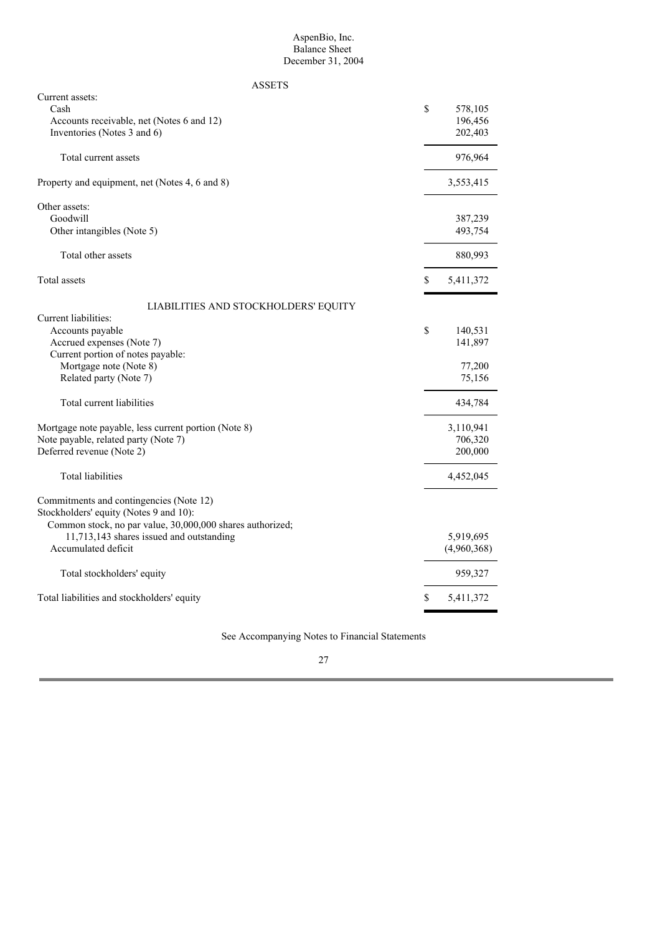### AspenBio, Inc. Balance Sheet December 31, 2004

| <b>ASSETS</b>                                                                                                                                                                                                     |                                     |
|-------------------------------------------------------------------------------------------------------------------------------------------------------------------------------------------------------------------|-------------------------------------|
| Current assets:<br>Cash<br>Accounts receivable, net (Notes 6 and 12)<br>Inventories (Notes 3 and 6)                                                                                                               | \$<br>578,105<br>196,456<br>202,403 |
| Total current assets                                                                                                                                                                                              | 976,964                             |
| Property and equipment, net (Notes 4, 6 and 8)                                                                                                                                                                    | 3,553,415                           |
| Other assets:<br>Goodwill<br>Other intangibles (Note 5)                                                                                                                                                           | 387,239<br>493,754                  |
| Total other assets                                                                                                                                                                                                | 880,993                             |
| Total assets                                                                                                                                                                                                      | \$<br>5,411,372                     |
| LIABILITIES AND STOCKHOLDERS' EQUITY<br>Current liabilities:                                                                                                                                                      |                                     |
| Accounts payable<br>Accrued expenses (Note 7)<br>Current portion of notes payable:<br>Mortgage note (Note 8)                                                                                                      | \$<br>140,531<br>141,897<br>77,200  |
| Related party (Note 7)                                                                                                                                                                                            | 75,156                              |
| Total current liabilities                                                                                                                                                                                         | 434,784                             |
| Mortgage note payable, less current portion (Note 8)<br>Note payable, related party (Note 7)<br>Deferred revenue (Note 2)                                                                                         | 3,110,941<br>706,320<br>200,000     |
| <b>Total liabilities</b>                                                                                                                                                                                          | 4,452,045                           |
| Commitments and contingencies (Note 12)<br>Stockholders' equity (Notes 9 and 10):<br>Common stock, no par value, 30,000,000 shares authorized;<br>11,713,143 shares issued and outstanding<br>Accumulated deficit | 5,919,695<br>(4,960,368)            |
| Total stockholders' equity                                                                                                                                                                                        | 959,327                             |
| Total liabilities and stockholders' equity                                                                                                                                                                        | \$<br>5,411,372                     |

See Accompanying Notes to Financial Statements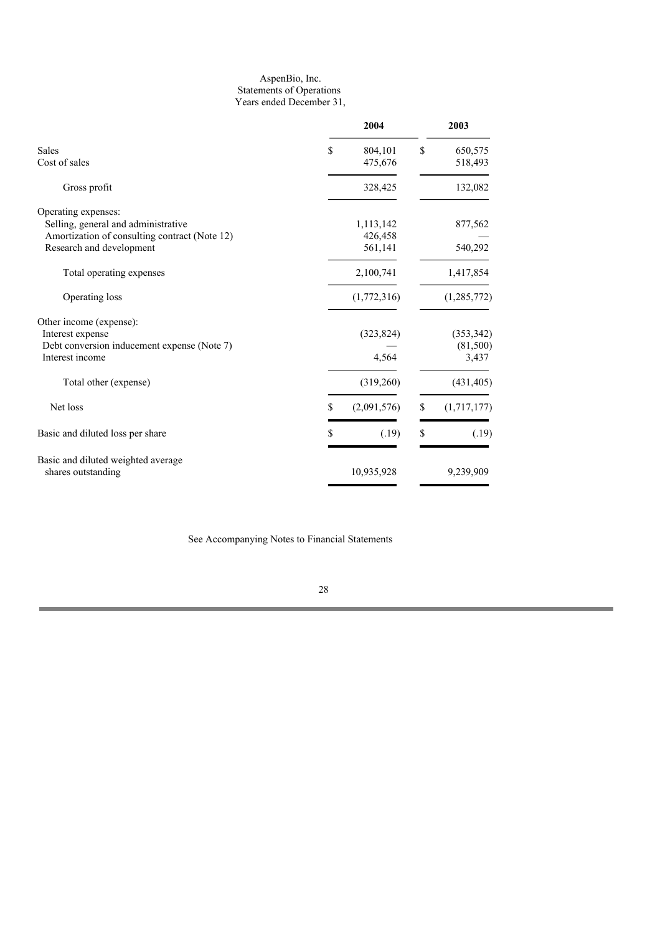# AspenBio, Inc. Statements of Operations Years ended December 31,

|                                               | 2004              | 2003              |
|-----------------------------------------------|-------------------|-------------------|
| <b>Sales</b>                                  | \$<br>804,101     | \$<br>650,575     |
| Cost of sales                                 | 475,676           | 518,493           |
| Gross profit                                  | 328,425           | 132,082           |
| Operating expenses:                           |                   |                   |
| Selling, general and administrative           | 1,113,142         | 877,562           |
| Amortization of consulting contract (Note 12) | 426,458           |                   |
| Research and development                      | 561,141           | 540,292           |
| Total operating expenses                      | 2,100,741         | 1,417,854         |
| Operating loss                                | (1,772,316)       | (1,285,772)       |
| Other income (expense):                       |                   |                   |
| Interest expense                              | (323, 824)        | (353, 342)        |
| Debt conversion inducement expense (Note 7)   |                   | (81,500)          |
| Interest income                               | 4,564             | 3,437             |
| Total other (expense)                         | (319,260)         | (431, 405)        |
| Net loss                                      | \$<br>(2,091,576) | \$<br>(1,717,177) |
| Basic and diluted loss per share              | (.19)             | \$<br>(.19)       |
|                                               |                   |                   |
| Basic and diluted weighted average            |                   |                   |
| shares outstanding                            | 10,935,928        | 9,239,909         |

See Accompanying Notes to Financial Statements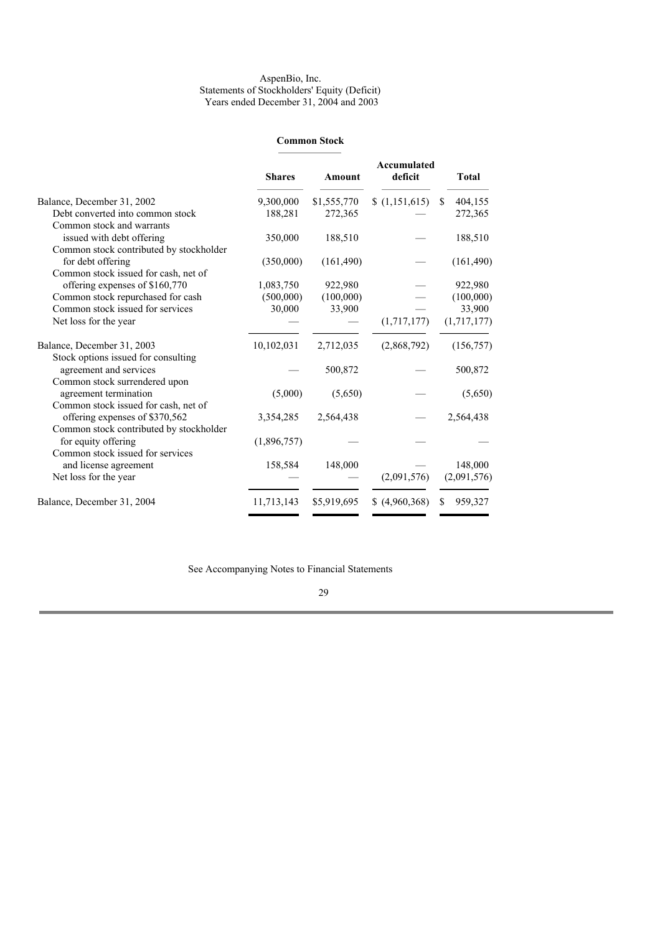### AspenBio, Inc. Statements of Stockholders' Equity (Deficit) Years ended December 31, 2004 and 2003

# **Common Stock**

|                                                                           | <b>Shares</b>       | Amount              | Accumulated<br>deficit | <b>Total</b>        |
|---------------------------------------------------------------------------|---------------------|---------------------|------------------------|---------------------|
| Balance, December 31, 2002                                                | 9,300,000           | \$1,555,770         | (1,151,615)            | 404,155<br>S.       |
| Debt converted into common stock                                          | 188,281             | 272,365             |                        | 272,365             |
| Common stock and warrants                                                 |                     |                     |                        |                     |
| issued with debt offering                                                 | 350,000             | 188,510             |                        | 188,510             |
| Common stock contributed by stockholder                                   |                     |                     |                        |                     |
| for debt offering                                                         | (350,000)           | (161, 490)          |                        | (161, 490)          |
| Common stock issued for cash, net of                                      |                     |                     |                        |                     |
| offering expenses of \$160,770                                            | 1,083,750           | 922,980             |                        | 922,980             |
| Common stock repurchased for cash<br>Common stock issued for services     | (500,000)<br>30,000 | (100,000)<br>33,900 |                        | (100,000)<br>33,900 |
| Net loss for the year                                                     |                     |                     | (1,717,177)            | (1,717,177)         |
|                                                                           |                     |                     |                        |                     |
| Balance, December 31, 2003                                                | 10,102,031          | 2,712,035           | (2,868,792)            | (156, 757)          |
| Stock options issued for consulting                                       |                     |                     |                        |                     |
| agreement and services                                                    |                     | 500,872             |                        | 500,872             |
| Common stock surrendered upon                                             |                     |                     |                        |                     |
| agreement termination                                                     | (5,000)             | (5,650)             |                        | (5,650)             |
| Common stock issued for cash, net of                                      |                     |                     |                        |                     |
| offering expenses of \$370,562<br>Common stock contributed by stockholder | 3,354,285           | 2,564,438           |                        | 2,564,438           |
| for equity offering                                                       | (1,896,757)         |                     |                        |                     |
| Common stock issued for services                                          |                     |                     |                        |                     |
| and license agreement                                                     | 158,584             | 148,000             |                        | 148,000             |
| Net loss for the year                                                     |                     |                     | (2,091,576)            | (2,091,576)         |
| Balance, December 31, 2004                                                | 11,713,143          | \$5,919,695         | \$ (4,960,368)         | 959,327<br>\$.      |
|                                                                           |                     |                     |                        |                     |

See Accompanying Notes to Financial Statements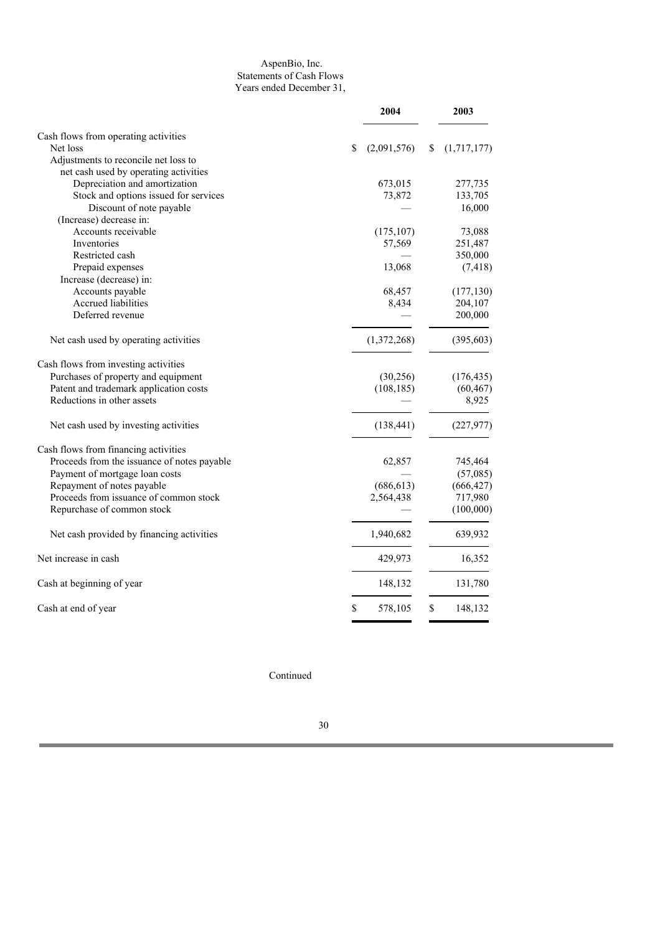### AspenBio, Inc. Statements of Cash Flows Years ended December 31,

|                                             | 2004              | 2003              |
|---------------------------------------------|-------------------|-------------------|
| Cash flows from operating activities        |                   |                   |
| Net loss                                    | \$<br>(2,091,576) | \$<br>(1,717,177) |
| Adjustments to reconcile net loss to        |                   |                   |
| net cash used by operating activities       |                   |                   |
| Depreciation and amortization               | 673,015           | 277,735           |
| Stock and options issued for services       | 73,872            | 133,705           |
| Discount of note payable                    |                   | 16,000            |
| (Increase) decrease in:                     |                   |                   |
| Accounts receivable                         | (175, 107)        | 73,088            |
| Inventories                                 | 57,569            | 251,487           |
| Restricted cash                             |                   | 350,000           |
| Prepaid expenses                            | 13,068            | (7, 418)          |
| Increase (decrease) in:                     |                   |                   |
| Accounts payable                            | 68,457            | (177, 130)        |
| Accrued liabilities                         | 8,434             | 204,107           |
| Deferred revenue                            |                   | 200,000           |
| Net cash used by operating activities       | (1,372,268)       | (395, 603)        |
| Cash flows from investing activities        |                   |                   |
| Purchases of property and equipment         | (30,256)          | (176, 435)        |
| Patent and trademark application costs      | (108, 185)        | (60, 467)         |
| Reductions in other assets                  |                   | 8,925             |
| Net cash used by investing activities       | (138, 441)        | (227, 977)        |
| Cash flows from financing activities        |                   |                   |
| Proceeds from the issuance of notes payable | 62,857            | 745,464           |
| Payment of mortgage loan costs              |                   | (57,085)          |
| Repayment of notes payable                  | (686, 613)        | (666, 427)        |
| Proceeds from issuance of common stock      | 2,564,438         | 717,980           |
| Repurchase of common stock                  |                   | (100,000)         |
| Net cash provided by financing activities   | 1,940,682         | 639,932           |
| Net increase in cash                        | 429,973           | 16,352            |
| Cash at beginning of year                   | 148,132           | 131,780           |
| Cash at end of year                         | \$<br>578,105     | \$<br>148,132     |

Continued

30

ı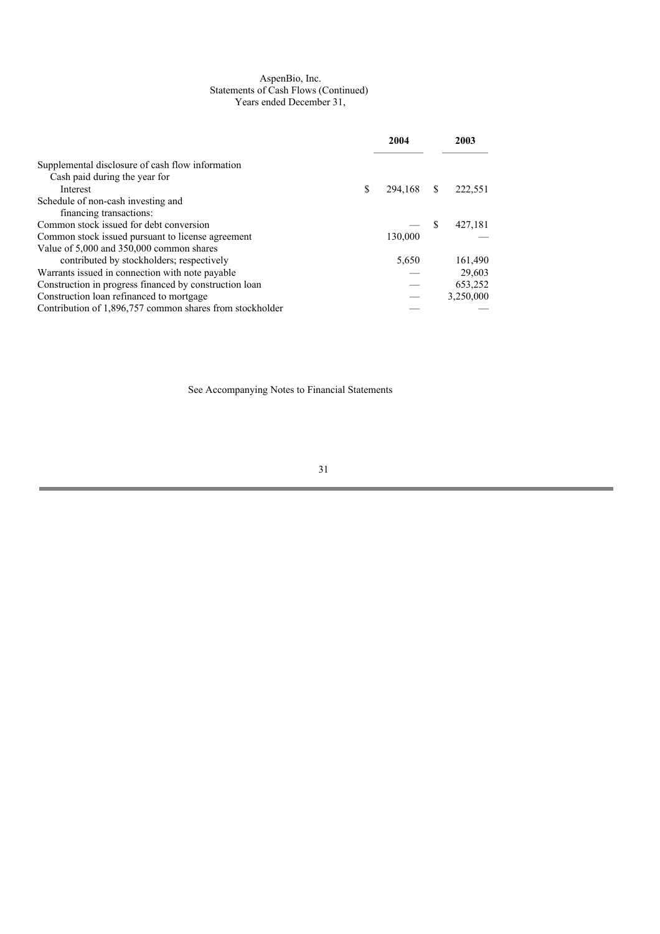#### AspenBio, Inc. Statements of Cash Flows (Continued) Years ended December 31,

|                                                          | 2004          |     | 2003      |
|----------------------------------------------------------|---------------|-----|-----------|
| Supplemental disclosure of cash flow information         |               |     |           |
| Cash paid during the year for                            |               |     |           |
| Interest                                                 | \$<br>294.168 | \$. | 222,551   |
| Schedule of non-cash investing and                       |               |     |           |
| financing transactions:                                  |               |     |           |
| Common stock issued for debt conversion                  |               | - S | 427,181   |
| Common stock issued pursuant to license agreement        | 130,000       |     |           |
| Value of 5,000 and 350,000 common shares                 |               |     |           |
| contributed by stockholders; respectively                | 5,650         |     | 161,490   |
| Warrants issued in connection with note payable          |               |     | 29,603    |
| Construction in progress financed by construction loan   |               |     | 653,252   |
| Construction loan refinanced to mortgage                 |               |     | 3,250,000 |
| Contribution of 1,896,757 common shares from stockholder |               |     |           |

See Accompanying Notes to Financial Statements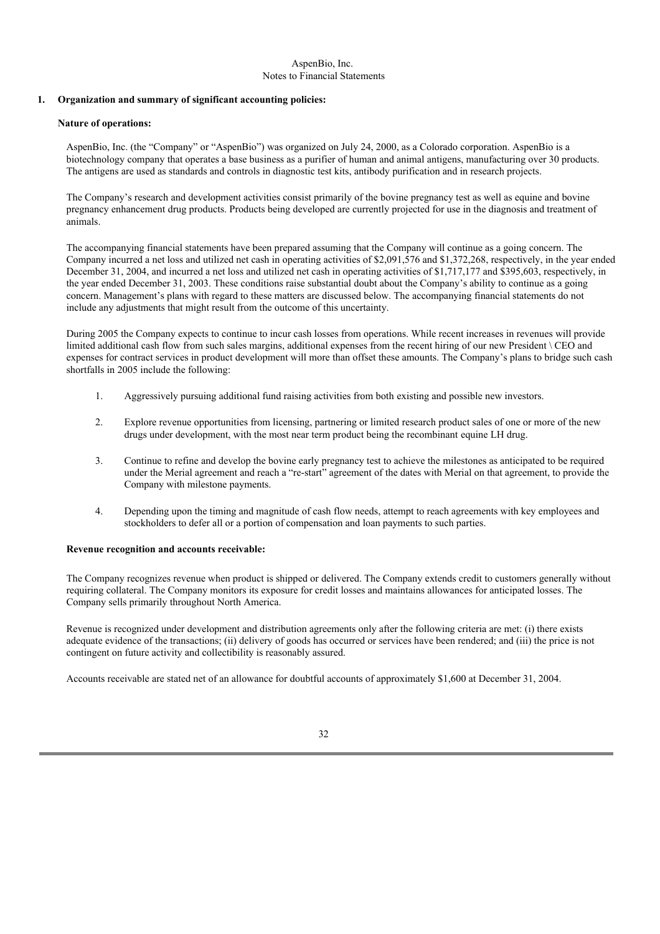#### AspenBio, Inc. Notes to Financial Statements

### **1. Organization and summary of significant accounting policies:**

### **Nature of operations:**

AspenBio, Inc. (the "Company" or "AspenBio") was organized on July 24, 2000, as a Colorado corporation. AspenBio is a biotechnology company that operates a base business as a purifier of human and animal antigens, manufacturing over 30 products. The antigens are used as standards and controls in diagnostic test kits, antibody purification and in research projects.

The Company's research and development activities consist primarily of the bovine pregnancy test as well as equine and bovine pregnancy enhancement drug products. Products being developed are currently projected for use in the diagnosis and treatment of animals.

The accompanying financial statements have been prepared assuming that the Company will continue as a going concern. The Company incurred a net loss and utilized net cash in operating activities of \$2,091,576 and \$1,372,268, respectively, in the year ended December 31, 2004, and incurred a net loss and utilized net cash in operating activities of \$1,717,177 and \$395,603, respectively, in the year ended December 31, 2003. These conditions raise substantial doubt about the Company's ability to continue as a going concern. Management's plans with regard to these matters are discussed below. The accompanying financial statements do not include any adjustments that might result from the outcome of this uncertainty.

During 2005 the Company expects to continue to incur cash losses from operations. While recent increases in revenues will provide limited additional cash flow from such sales margins, additional expenses from the recent hiring of our new President  $\setminus$  CEO and expenses for contract services in product development will more than offset these amounts. The Company's plans to bridge such cash shortfalls in 2005 include the following:

- 1. Aggressively pursuing additional fund raising activities from both existing and possible new investors.
- 2. Explore revenue opportunities from licensing, partnering or limited research product sales of one or more of the new drugs under development, with the most near term product being the recombinant equine LH drug.
- 3. Continue to refine and develop the bovine early pregnancy test to achieve the milestones as anticipated to be required under the Merial agreement and reach a "re-start" agreement of the dates with Merial on that agreement, to provide the Company with milestone payments.
- 4. Depending upon the timing and magnitude of cash flow needs, attempt to reach agreements with key employees and stockholders to defer all or a portion of compensation and loan payments to such parties.

## **Revenue recognition and accounts receivable:**

The Company recognizes revenue when product is shipped or delivered. The Company extends credit to customers generally without requiring collateral. The Company monitors its exposure for credit losses and maintains allowances for anticipated losses. The Company sells primarily throughout North America.

Revenue is recognized under development and distribution agreements only after the following criteria are met: (i) there exists adequate evidence of the transactions; (ii) delivery of goods has occurred or services have been rendered; and (iii) the price is not contingent on future activity and collectibility is reasonably assured.

Accounts receivable are stated net of an allowance for doubtful accounts of approximately \$1,600 at December 31, 2004.

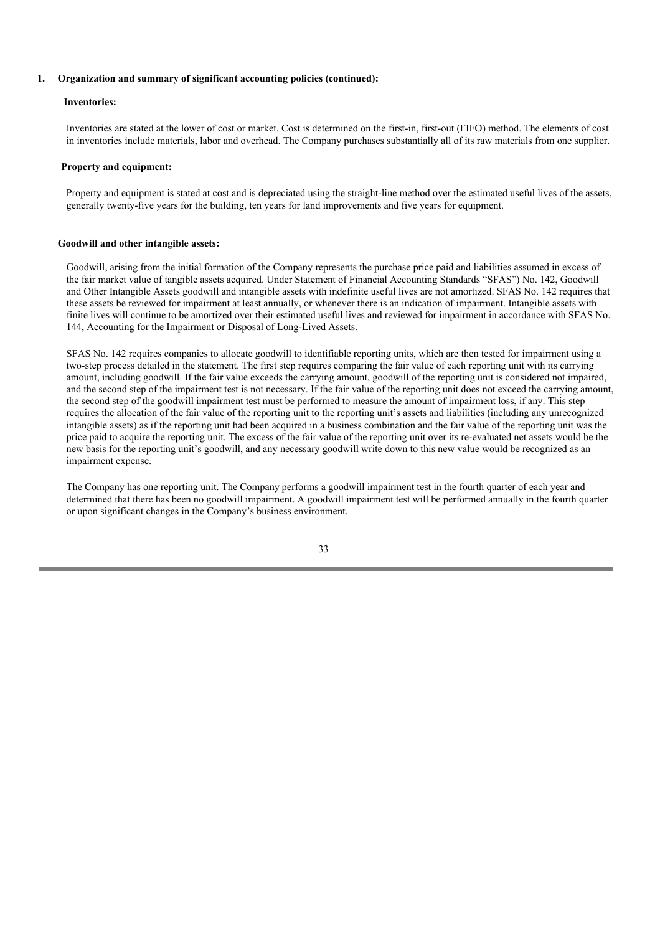### **Inventories:**

Inventories are stated at the lower of cost or market. Cost is determined on the first-in, first-out (FIFO) method. The elements of cost in inventories include materials, labor and overhead. The Company purchases substantially all of its raw materials from one supplier.

#### **Property and equipment:**

Property and equipment is stated at cost and is depreciated using the straight-line method over the estimated useful lives of the assets, generally twenty-five years for the building, ten years for land improvements and five years for equipment.

#### **Goodwill and other intangible assets:**

Goodwill, arising from the initial formation of the Company represents the purchase price paid and liabilities assumed in excess of the fair market value of tangible assets acquired. Under Statement of Financial Accounting Standards "SFAS") No. 142, Goodwill and Other Intangible Assets goodwill and intangible assets with indefinite useful lives are not amortized. SFAS No. 142 requires that these assets be reviewed for impairment at least annually, or whenever there is an indication of impairment. Intangible assets with finite lives will continue to be amortized over their estimated useful lives and reviewed for impairment in accordance with SFAS No. 144, Accounting for the Impairment or Disposal of Long-Lived Assets.

SFAS No. 142 requires companies to allocate goodwill to identifiable reporting units, which are then tested for impairment using a two-step process detailed in the statement. The first step requires comparing the fair value of each reporting unit with its carrying amount, including goodwill. If the fair value exceeds the carrying amount, goodwill of the reporting unit is considered not impaired, and the second step of the impairment test is not necessary. If the fair value of the reporting unit does not exceed the carrying amount, the second step of the goodwill impairment test must be performed to measure the amount of impairment loss, if any. This step requires the allocation of the fair value of the reporting unit to the reporting unit's assets and liabilities (including any unrecognized intangible assets) as if the reporting unit had been acquired in a business combination and the fair value of the reporting unit was the price paid to acquire the reporting unit. The excess of the fair value of the reporting unit over its re-evaluated net assets would be the new basis for the reporting unit's goodwill, and any necessary goodwill write down to this new value would be recognized as an impairment expense.

The Company has one reporting unit. The Company performs a goodwill impairment test in the fourth quarter of each year and determined that there has been no goodwill impairment. A goodwill impairment test will be performed annually in the fourth quarter or upon significant changes in the Company's business environment.

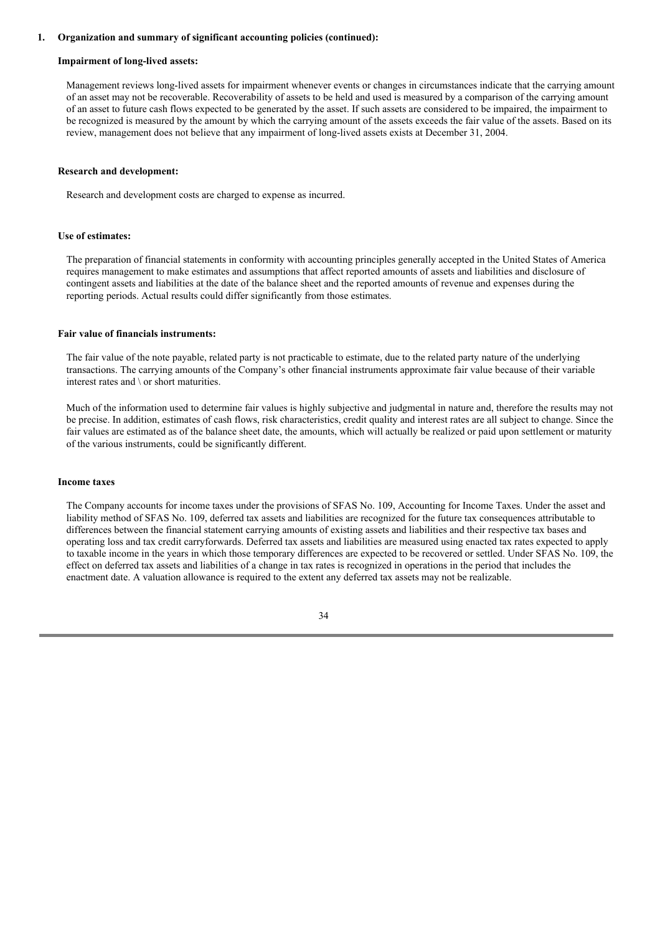#### **Impairment of long-lived assets:**

Management reviews long-lived assets for impairment whenever events or changes in circumstances indicate that the carrying amount of an asset may not be recoverable. Recoverability of assets to be held and used is measured by a comparison of the carrying amount of an asset to future cash flows expected to be generated by the asset. If such assets are considered to be impaired, the impairment to be recognized is measured by the amount by which the carrying amount of the assets exceeds the fair value of the assets. Based on its review, management does not believe that any impairment of long-lived assets exists at December 31, 2004.

#### **Research and development:**

Research and development costs are charged to expense as incurred.

### **Use of estimates:**

The preparation of financial statements in conformity with accounting principles generally accepted in the United States of America requires management to make estimates and assumptions that affect reported amounts of assets and liabilities and disclosure of contingent assets and liabilities at the date of the balance sheet and the reported amounts of revenue and expenses during the reporting periods. Actual results could differ significantly from those estimates.

### **Fair value of financials instruments:**

The fair value of the note payable, related party is not practicable to estimate, due to the related party nature of the underlying transactions. The carrying amounts of the Company's other financial instruments approximate fair value because of their variable interest rates and \ or short maturities.

Much of the information used to determine fair values is highly subjective and judgmental in nature and, therefore the results may not be precise. In addition, estimates of cash flows, risk characteristics, credit quality and interest rates are all subject to change. Since the fair values are estimated as of the balance sheet date, the amounts, which will actually be realized or paid upon settlement or maturity of the various instruments, could be significantly different.

#### **Income taxes**

The Company accounts for income taxes under the provisions of SFAS No. 109, Accounting for Income Taxes. Under the asset and liability method of SFAS No. 109, deferred tax assets and liabilities are recognized for the future tax consequences attributable to differences between the financial statement carrying amounts of existing assets and liabilities and their respective tax bases and operating loss and tax credit carryforwards. Deferred tax assets and liabilities are measured using enacted tax rates expected to apply to taxable income in the years in which those temporary differences are expected to be recovered or settled. Under SFAS No. 109, the effect on deferred tax assets and liabilities of a change in tax rates is recognized in operations in the period that includes the enactment date. A valuation allowance is required to the extent any deferred tax assets may not be realizable.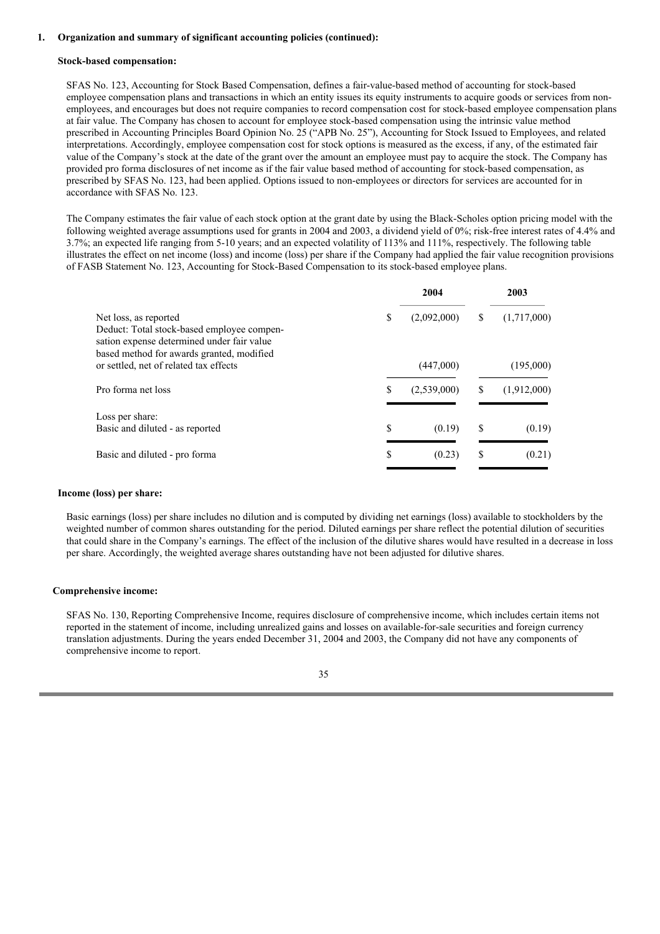#### **Stock-based compensation:**

SFAS No. 123, Accounting for Stock Based Compensation, defines a fair-value-based method of accounting for stock-based employee compensation plans and transactions in which an entity issues its equity instruments to acquire goods or services from nonemployees, and encourages but does not require companies to record compensation cost for stock-based employee compensation plans at fair value. The Company has chosen to account for employee stock-based compensation using the intrinsic value method prescribed in Accounting Principles Board Opinion No. 25 ("APB No. 25"), Accounting for Stock Issued to Employees, and related interpretations. Accordingly, employee compensation cost for stock options is measured as the excess, if any, of the estimated fair value of the Company's stock at the date of the grant over the amount an employee must pay to acquire the stock. The Company has provided pro forma disclosures of net income as if the fair value based method of accounting for stock-based compensation, as prescribed by SFAS No. 123, had been applied. Options issued to non-employees or directors for services are accounted for in accordance with SFAS No. 123.

The Company estimates the fair value of each stock option at the grant date by using the Black-Scholes option pricing model with the following weighted average assumptions used for grants in 2004 and 2003, a dividend yield of 0%; risk-free interest rates of 4.4% and 3.7%; an expected life ranging from 5-10 years; and an expected volatility of 113% and 111%, respectively. The following table illustrates the effect on net income (loss) and income (loss) per share if the Company had applied the fair value recognition provisions of FASB Statement No. 123, Accounting for Stock-Based Compensation to its stock-based employee plans.

|                                                                                          |    | 2004        |     | 2003        |
|------------------------------------------------------------------------------------------|----|-------------|-----|-------------|
| Net loss, as reported                                                                    | \$ | (2,092,000) | \$. | (1,717,000) |
| Deduct: Total stock-based employee compen-<br>sation expense determined under fair value |    |             |     |             |
| based method for awards granted, modified                                                |    |             |     |             |
| or settled, net of related tax effects                                                   |    | (447,000)   |     | (195,000)   |
| Pro forma net loss                                                                       | S  | (2,539,000) | \$. | (1,912,000) |
| Loss per share:                                                                          |    |             |     |             |
| Basic and diluted - as reported                                                          | S  | (0.19)      | \$. | (0.19)      |
| Basic and diluted - pro forma                                                            | S  | (0.23)      | S   | (0.21)      |
|                                                                                          |    |             |     |             |

#### **Income (loss) per share:**

Basic earnings (loss) per share includes no dilution and is computed by dividing net earnings (loss) available to stockholders by the weighted number of common shares outstanding for the period. Diluted earnings per share reflect the potential dilution of securities that could share in the Company's earnings. The effect of the inclusion of the dilutive shares would have resulted in a decrease in loss per share. Accordingly, the weighted average shares outstanding have not been adjusted for dilutive shares.

#### **Comprehensive income:**

SFAS No. 130, Reporting Comprehensive Income, requires disclosure of comprehensive income, which includes certain items not reported in the statement of income, including unrealized gains and losses on available-for-sale securities and foreign currency translation adjustments. During the years ended December 31, 2004 and 2003, the Company did not have any components of comprehensive income to report.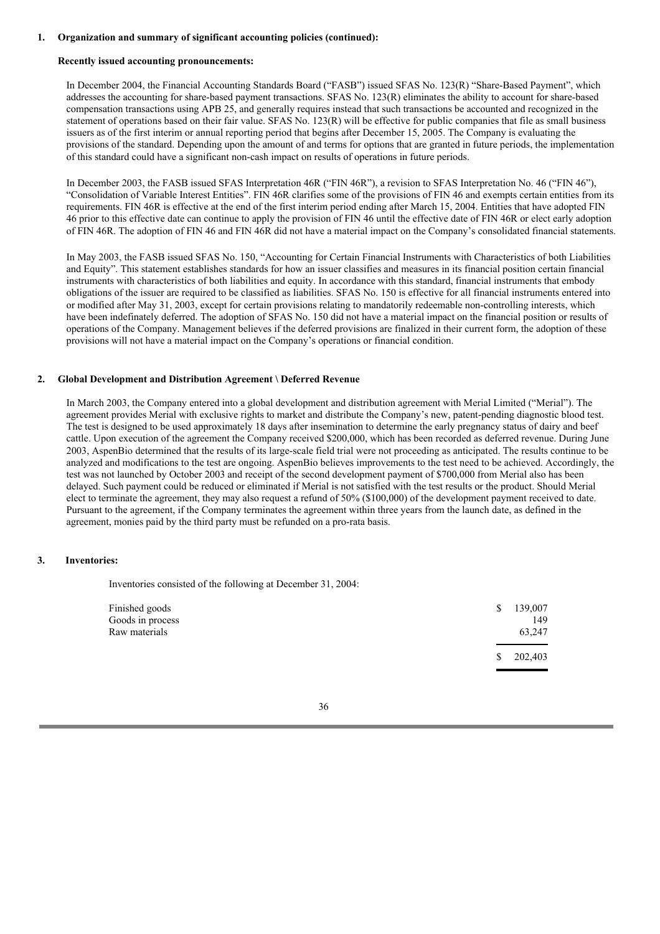#### **Recently issued accounting pronouncements:**

In December 2004, the Financial Accounting Standards Board ("FASB") issued SFAS No. 123(R) "Share-Based Payment", which addresses the accounting for share-based payment transactions. SFAS No. 123(R) eliminates the ability to account for share-based compensation transactions using APB 25, and generally requires instead that such transactions be accounted and recognized in the statement of operations based on their fair value. SFAS No. 123(R) will be effective for public companies that file as small business issuers as of the first interim or annual reporting period that begins after December 15, 2005. The Company is evaluating the provisions of the standard. Depending upon the amount of and terms for options that are granted in future periods, the implementation of this standard could have a significant non-cash impact on results of operations in future periods.

In December 2003, the FASB issued SFAS Interpretation 46R ("FIN 46R"), a revision to SFAS Interpretation No. 46 ("FIN 46"), "Consolidation of Variable Interest Entities". FIN 46R clarifies some of the provisions of FIN 46 and exempts certain entities from its requirements. FIN 46R is effective at the end of the first interim period ending after March 15, 2004. Entities that have adopted FIN 46 prior to this effective date can continue to apply the provision of FIN 46 until the effective date of FIN 46R or elect early adoption of FIN 46R. The adoption of FIN 46 and FIN 46R did not have a material impact on the Company's consolidated financial statements.

In May 2003, the FASB issued SFAS No. 150, "Accounting for Certain Financial Instruments with Characteristics of both Liabilities and Equity". This statement establishes standards for how an issuer classifies and measures in its financial position certain financial instruments with characteristics of both liabilities and equity. In accordance with this standard, financial instruments that embody obligations of the issuer are required to be classified as liabilities. SFAS No. 150 is effective for all financial instruments entered into or modified after May 31, 2003, except for certain provisions relating to mandatorily redeemable non-controlling interests, which have been indefinately deferred. The adoption of SFAS No. 150 did not have a material impact on the financial position or results of operations of the Company. Management believes if the deferred provisions are finalized in their current form, the adoption of these provisions will not have a material impact on the Company's operations or financial condition.

## **2. Global Development and Distribution Agreement \ Deferred Revenue**

In March 2003, the Company entered into a global development and distribution agreement with Merial Limited ("Merial"). The agreement provides Merial with exclusive rights to market and distribute the Company's new, patent-pending diagnostic blood test. The test is designed to be used approximately 18 days after insemination to determine the early pregnancy status of dairy and beef cattle. Upon execution of the agreement the Company received \$200,000, which has been recorded as deferred revenue. During June 2003, AspenBio determined that the results of its large-scale field trial were not proceeding as anticipated. The results continue to be analyzed and modifications to the test are ongoing. AspenBio believes improvements to the test need to be achieved. Accordingly, the test was not launched by October 2003 and receipt of the second development payment of \$700,000 from Merial also has been delayed. Such payment could be reduced or eliminated if Merial is not satisfied with the test results or the product. Should Merial elect to terminate the agreement, they may also request a refund of 50% (\$100,000) of the development payment received to date. Pursuant to the agreement, if the Company terminates the agreement within three years from the launch date, as defined in the agreement, monies paid by the third party must be refunded on a pro-rata basis.

## **3. Inventories:**

Inventories consisted of the following at December 31, 2004:

| Finished goods<br>Goods in process<br>Raw materials | \$ | 139,007<br>149<br>63,247 |
|-----------------------------------------------------|----|--------------------------|
|                                                     | S. | 202,403                  |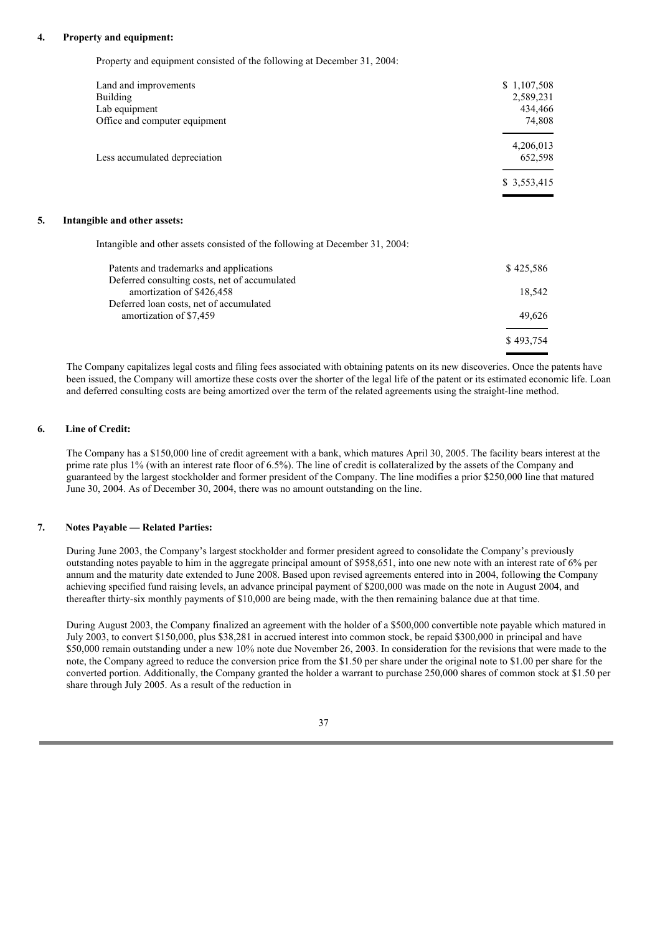# **4. Property and equipment:**

Property and equipment consisted of the following at December 31, 2004:

| Land and improvements         | \$1,107,508 |
|-------------------------------|-------------|
| <b>Building</b>               | 2,589,231   |
| Lab equipment                 | 434,466     |
| Office and computer equipment | 74,808      |
|                               | 4,206,013   |
| Less accumulated depreciation | 652,598     |
|                               | \$3,553,415 |

#### **5. Intangible and other assets:**

Intangible and other assets consisted of the following at December 31, 2004:

| Patents and trademarks and applications       | \$425,586 |
|-----------------------------------------------|-----------|
| Deferred consulting costs, net of accumulated |           |
| amortization of \$426,458                     | 18.542    |
| Deferred loan costs, net of accumulated       |           |
| amortization of \$7,459                       | 49.626    |
|                                               | \$493.754 |

The Company capitalizes legal costs and filing fees associated with obtaining patents on its new discoveries. Once the patents have been issued, the Company will amortize these costs over the shorter of the legal life of the patent or its estimated economic life. Loan and deferred consulting costs are being amortized over the term of the related agreements using the straight-line method.

### **6. Line of Credit:**

The Company has a \$150,000 line of credit agreement with a bank, which matures April 30, 2005. The facility bears interest at the prime rate plus 1% (with an interest rate floor of 6.5%). The line of credit is collateralized by the assets of the Company and guaranteed by the largest stockholder and former president of the Company. The line modifies a prior \$250,000 line that matured June 30, 2004. As of December 30, 2004, there was no amount outstanding on the line.

# **7. Notes Payable — Related Parties:**

During June 2003, the Company's largest stockholder and former president agreed to consolidate the Company's previously outstanding notes payable to him in the aggregate principal amount of \$958,651, into one new note with an interest rate of 6% per annum and the maturity date extended to June 2008. Based upon revised agreements entered into in 2004, following the Company achieving specified fund raising levels, an advance principal payment of \$200,000 was made on the note in August 2004, and thereafter thirty-six monthly payments of \$10,000 are being made, with the then remaining balance due at that time.

During August 2003, the Company finalized an agreement with the holder of a \$500,000 convertible note payable which matured in July 2003, to convert \$150,000, plus \$38,281 in accrued interest into common stock, be repaid \$300,000 in principal and have \$50,000 remain outstanding under a new 10% note due November 26, 2003. In consideration for the revisions that were made to the note, the Company agreed to reduce the conversion price from the \$1.50 per share under the original note to \$1.00 per share for the converted portion. Additionally, the Company granted the holder a warrant to purchase 250,000 shares of common stock at \$1.50 per share through July 2005. As a result of the reduction in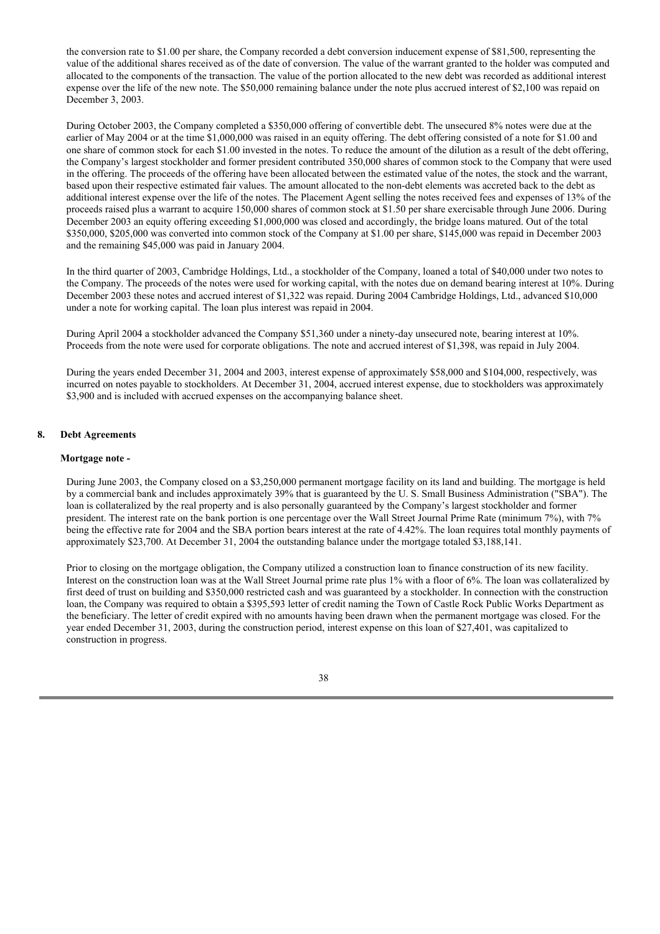the conversion rate to \$1.00 per share, the Company recorded a debt conversion inducement expense of \$81,500, representing the value of the additional shares received as of the date of conversion. The value of the warrant granted to the holder was computed and allocated to the components of the transaction. The value of the portion allocated to the new debt was recorded as additional interest expense over the life of the new note. The \$50,000 remaining balance under the note plus accrued interest of \$2,100 was repaid on December 3, 2003.

During October 2003, the Company completed a \$350,000 offering of convertible debt. The unsecured 8% notes were due at the earlier of May 2004 or at the time \$1,000,000 was raised in an equity offering. The debt offering consisted of a note for \$1.00 and one share of common stock for each \$1.00 invested in the notes. To reduce the amount of the dilution as a result of the debt offering, the Company's largest stockholder and former president contributed 350,000 shares of common stock to the Company that were used in the offering. The proceeds of the offering have been allocated between the estimated value of the notes, the stock and the warrant, based upon their respective estimated fair values. The amount allocated to the non-debt elements was accreted back to the debt as additional interest expense over the life of the notes. The Placement Agent selling the notes received fees and expenses of 13% of the proceeds raised plus a warrant to acquire 150,000 shares of common stock at \$1.50 per share exercisable through June 2006. During December 2003 an equity offering exceeding \$1,000,000 was closed and accordingly, the bridge loans matured. Out of the total \$350,000, \$205,000 was converted into common stock of the Company at \$1.00 per share, \$145,000 was repaid in December 2003 and the remaining \$45,000 was paid in January 2004.

In the third quarter of 2003, Cambridge Holdings, Ltd., a stockholder of the Company, loaned a total of \$40,000 under two notes to the Company. The proceeds of the notes were used for working capital, with the notes due on demand bearing interest at 10%. During December 2003 these notes and accrued interest of \$1,322 was repaid. During 2004 Cambridge Holdings, Ltd., advanced \$10,000 under a note for working capital. The loan plus interest was repaid in 2004.

During April 2004 a stockholder advanced the Company \$51,360 under a ninety-day unsecured note, bearing interest at 10%. Proceeds from the note were used for corporate obligations. The note and accrued interest of \$1,398, was repaid in July 2004.

During the years ended December 31, 2004 and 2003, interest expense of approximately \$58,000 and \$104,000, respectively, was incurred on notes payable to stockholders. At December 31, 2004, accrued interest expense, due to stockholders was approximately \$3,900 and is included with accrued expenses on the accompanying balance sheet.

### **8. Debt Agreements**

#### **Mortgage note -**

During June 2003, the Company closed on a \$3,250,000 permanent mortgage facility on its land and building. The mortgage is held by a commercial bank and includes approximately 39% that is guaranteed by the U. S. Small Business Administration ("SBA"). The loan is collateralized by the real property and is also personally guaranteed by the Company's largest stockholder and former president. The interest rate on the bank portion is one percentage over the Wall Street Journal Prime Rate (minimum 7%), with 7% being the effective rate for 2004 and the SBA portion bears interest at the rate of 4.42%. The loan requires total monthly payments of approximately \$23,700. At December 31, 2004 the outstanding balance under the mortgage totaled \$3,188,141.

Prior to closing on the mortgage obligation, the Company utilized a construction loan to finance construction of its new facility. Interest on the construction loan was at the Wall Street Journal prime rate plus 1% with a floor of 6%. The loan was collateralized by first deed of trust on building and \$350,000 restricted cash and was guaranteed by a stockholder. In connection with the construction loan, the Company was required to obtain a \$395,593 letter of credit naming the Town of Castle Rock Public Works Department as the beneficiary. The letter of credit expired with no amounts having been drawn when the permanent mortgage was closed. For the year ended December 31, 2003, during the construction period, interest expense on this loan of \$27,401, was capitalized to construction in progress.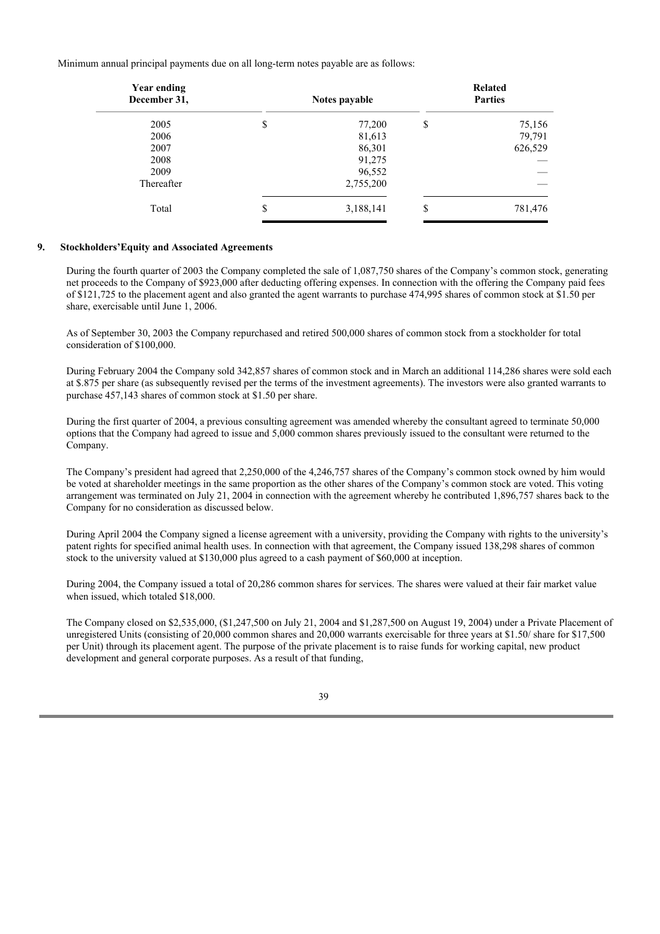Minimum annual principal payments due on all long-term notes payable are as follows:

| Year ending<br>December 31, | Notes payable   | Related<br><b>Parties</b> |
|-----------------------------|-----------------|---------------------------|
| 2005                        | \$<br>77,200    | \$<br>75,156              |
| 2006                        | 81,613          | 79,791                    |
| 2007                        | 86,301          | 626,529                   |
| 2008                        | 91,275          |                           |
| 2009                        | 96,552          |                           |
| Thereafter                  | 2,755,200       |                           |
| Total                       | \$<br>3,188,141 | \$<br>781,476             |

#### **9. Stockholders'Equity and Associated Agreements**

During the fourth quarter of 2003 the Company completed the sale of 1,087,750 shares of the Company's common stock, generating net proceeds to the Company of \$923,000 after deducting offering expenses. In connection with the offering the Company paid fees of \$121,725 to the placement agent and also granted the agent warrants to purchase 474,995 shares of common stock at \$1.50 per share, exercisable until June 1, 2006.

As of September 30, 2003 the Company repurchased and retired 500,000 shares of common stock from a stockholder for total consideration of \$100,000.

During February 2004 the Company sold 342,857 shares of common stock and in March an additional 114,286 shares were sold each at \$.875 per share (as subsequently revised per the terms of the investment agreements). The investors were also granted warrants to purchase 457,143 shares of common stock at \$1.50 per share.

During the first quarter of 2004, a previous consulting agreement was amended whereby the consultant agreed to terminate 50,000 options that the Company had agreed to issue and 5,000 common shares previously issued to the consultant were returned to the Company.

The Company's president had agreed that 2,250,000 of the 4,246,757 shares of the Company's common stock owned by him would be voted at shareholder meetings in the same proportion as the other shares of the Company's common stock are voted. This voting arrangement was terminated on July 21, 2004 in connection with the agreement whereby he contributed 1,896,757 shares back to the Company for no consideration as discussed below.

During April 2004 the Company signed a license agreement with a university, providing the Company with rights to the university's patent rights for specified animal health uses. In connection with that agreement, the Company issued 138,298 shares of common stock to the university valued at \$130,000 plus agreed to a cash payment of \$60,000 at inception.

During 2004, the Company issued a total of 20,286 common shares for services. The shares were valued at their fair market value when issued, which totaled \$18,000.

The Company closed on \$2,535,000, (\$1,247,500 on July 21, 2004 and \$1,287,500 on August 19, 2004) under a Private Placement of unregistered Units (consisting of 20,000 common shares and 20,000 warrants exercisable for three years at \$1.50/ share for \$17,500 per Unit) through its placement agent. The purpose of the private placement is to raise funds for working capital, new product development and general corporate purposes. As a result of that funding,

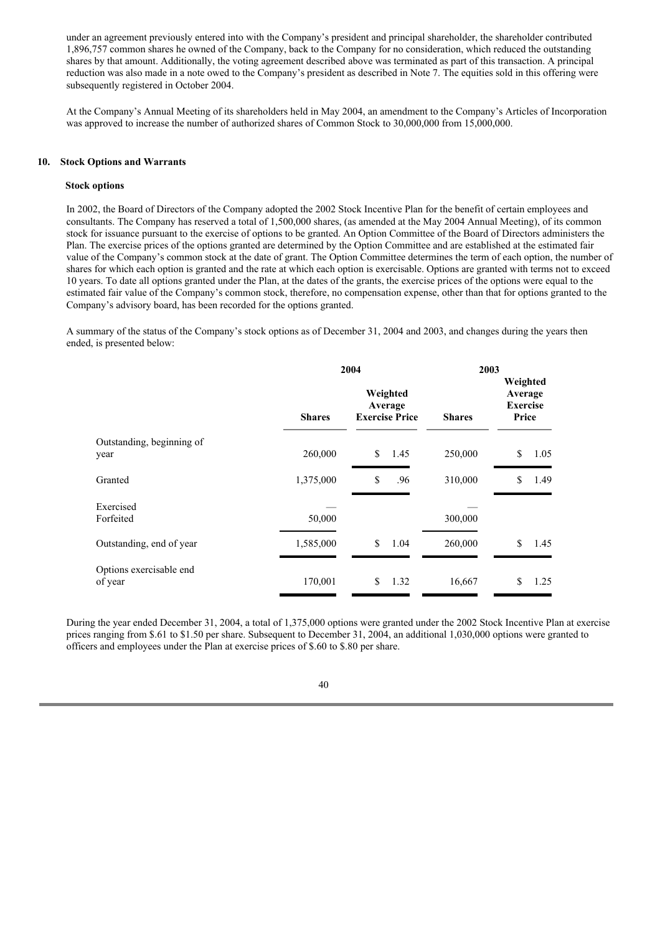under an agreement previously entered into with the Company's president and principal shareholder, the shareholder contributed 1,896,757 common shares he owned of the Company, back to the Company for no consideration, which reduced the outstanding shares by that amount. Additionally, the voting agreement described above was terminated as part of this transaction. A principal reduction was also made in a note owed to the Company's president as described in Note 7. The equities sold in this offering were subsequently registered in October 2004.

At the Company's Annual Meeting of its shareholders held in May 2004, an amendment to the Company's Articles of Incorporation was approved to increase the number of authorized shares of Common Stock to 30,000,000 from 15,000,000.

#### **10. Stock Options and Warrants**

#### **Stock options**

In 2002, the Board of Directors of the Company adopted the 2002 Stock Incentive Plan for the benefit of certain employees and consultants. The Company has reserved a total of 1,500,000 shares, (as amended at the May 2004 Annual Meeting), of its common stock for issuance pursuant to the exercise of options to be granted. An Option Committee of the Board of Directors administers the Plan. The exercise prices of the options granted are determined by the Option Committee and are established at the estimated fair value of the Company's common stock at the date of grant. The Option Committee determines the term of each option, the number of shares for which each option is granted and the rate at which each option is exercisable. Options are granted with terms not to exceed 10 years. To date all options granted under the Plan, at the dates of the grants, the exercise prices of the options were equal to the estimated fair value of the Company's common stock, therefore, no compensation expense, other than that for options granted to the Company's advisory board, has been recorded for the options granted.

A summary of the status of the Company's stock options as of December 31, 2004 and 2003, and changes during the years then ended, is presented below:

|                                    |               | 2004                                         |               |                                                 |
|------------------------------------|---------------|----------------------------------------------|---------------|-------------------------------------------------|
|                                    | <b>Shares</b> | Weighted<br>Average<br><b>Exercise Price</b> | <b>Shares</b> | Weighted<br>Average<br><b>Exercise</b><br>Price |
| Outstanding, beginning of<br>year  | 260,000       | \$<br>1.45                                   | 250,000       | \$<br>1.05                                      |
| Granted                            | 1,375,000     | \$<br>.96                                    | 310,000       | 1.49<br>S.                                      |
| Exercised<br>Forfeited             | 50,000        |                                              | 300,000       |                                                 |
| Outstanding, end of year           | 1,585,000     | 1.04<br>\$                                   | 260,000       | \$<br>1.45                                      |
| Options exercisable end<br>of year | 170,001       | \$<br>1.32                                   | 16,667        | \$.<br>1.25                                     |

During the year ended December 31, 2004, a total of 1,375,000 options were granted under the 2002 Stock Incentive Plan at exercise prices ranging from \$.61 to \$1.50 per share. Subsequent to December 31, 2004, an additional 1,030,000 options were granted to officers and employees under the Plan at exercise prices of \$.60 to \$.80 per share.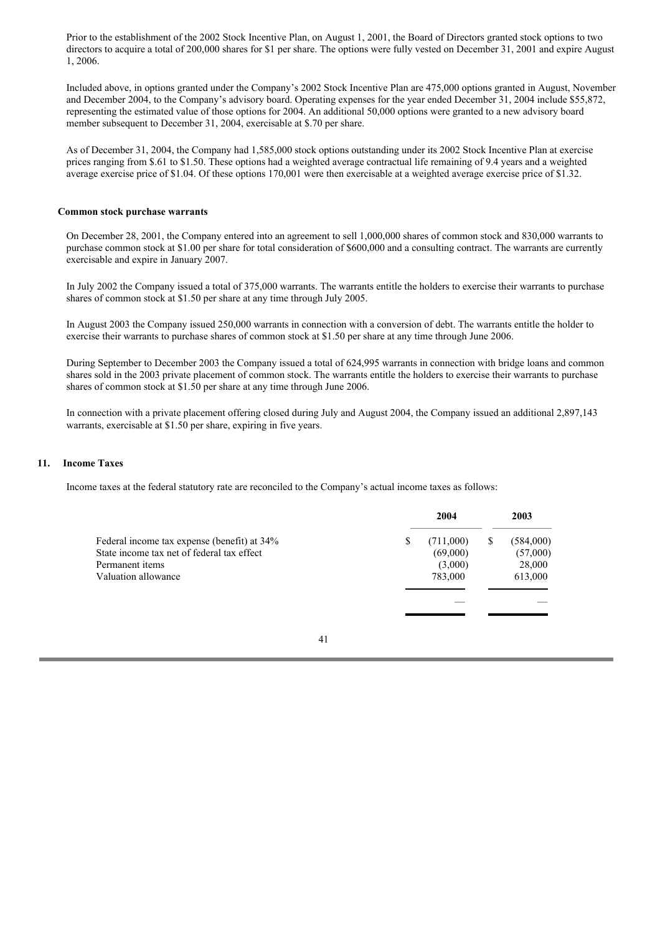Prior to the establishment of the 2002 Stock Incentive Plan, on August 1, 2001, the Board of Directors granted stock options to two directors to acquire a total of 200,000 shares for \$1 per share. The options were fully vested on December 31, 2001 and expire August 1, 2006.

Included above, in options granted under the Company's 2002 Stock Incentive Plan are 475,000 options granted in August, November and December 2004, to the Company's advisory board. Operating expenses for the year ended December 31, 2004 include \$55,872, representing the estimated value of those options for 2004. An additional 50,000 options were granted to a new advisory board member subsequent to December 31, 2004, exercisable at \$.70 per share.

As of December 31, 2004, the Company had 1,585,000 stock options outstanding under its 2002 Stock Incentive Plan at exercise prices ranging from \$.61 to \$1.50. These options had a weighted average contractual life remaining of 9.4 years and a weighted average exercise price of \$1.04. Of these options 170,001 were then exercisable at a weighted average exercise price of \$1.32.

#### **Common stock purchase warrants**

On December 28, 2001, the Company entered into an agreement to sell 1,000,000 shares of common stock and 830,000 warrants to purchase common stock at \$1.00 per share for total consideration of \$600,000 and a consulting contract. The warrants are currently exercisable and expire in January 2007.

In July 2002 the Company issued a total of 375,000 warrants. The warrants entitle the holders to exercise their warrants to purchase shares of common stock at \$1.50 per share at any time through July 2005.

In August 2003 the Company issued 250,000 warrants in connection with a conversion of debt. The warrants entitle the holder to exercise their warrants to purchase shares of common stock at \$1.50 per share at any time through June 2006.

During September to December 2003 the Company issued a total of 624,995 warrants in connection with bridge loans and common shares sold in the 2003 private placement of common stock. The warrants entitle the holders to exercise their warrants to purchase shares of common stock at \$1.50 per share at any time through June 2006.

In connection with a private placement offering closed during July and August 2004, the Company issued an additional 2,897,143 warrants, exercisable at \$1.50 per share, expiring in five years.

#### **11. Income Taxes**

Income taxes at the federal statutory rate are reconciled to the Company's actual income taxes as follows:

|                                             | 2004 |           | 2003 |           |
|---------------------------------------------|------|-----------|------|-----------|
| Federal income tax expense (benefit) at 34% |      | (711,000) |      | (584,000) |
| State income tax net of federal tax effect  |      | (69,000)  |      | (57,000)  |
| Permanent items                             |      | (3,000)   |      | 28,000    |
| Valuation allowance                         |      | 783,000   |      | 613,000   |
|                                             |      |           |      |           |
|                                             |      |           |      |           |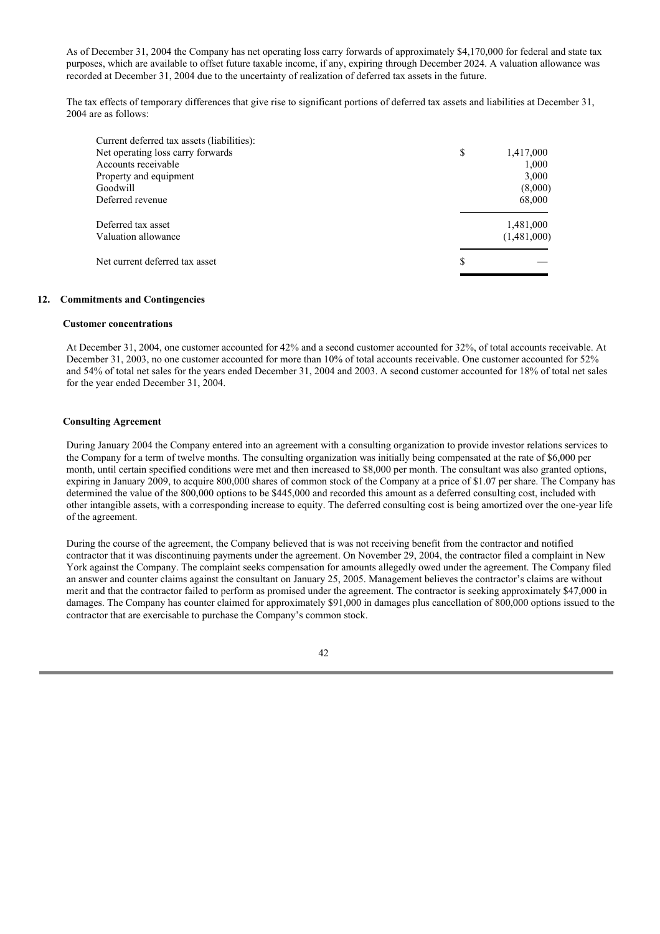As of December 31, 2004 the Company has net operating loss carry forwards of approximately \$4,170,000 for federal and state tax purposes, which are available to offset future taxable income, if any, expiring through December 2024. A valuation allowance was recorded at December 31, 2004 due to the uncertainty of realization of deferred tax assets in the future.

The tax effects of temporary differences that give rise to significant portions of deferred tax assets and liabilities at December 31, 2004 are as follows:

| Current deferred tax assets (liabilities): |   |             |
|--------------------------------------------|---|-------------|
| Net operating loss carry forwards          | S | 1,417,000   |
| Accounts receivable                        |   | 1,000       |
| Property and equipment                     |   | 3,000       |
| Goodwill                                   |   | (8,000)     |
| Deferred revenue                           |   | 68,000      |
| Deferred tax asset                         |   | 1,481,000   |
| Valuation allowance                        |   | (1,481,000) |
| Net current deferred tax asset             | S |             |
|                                            |   |             |

### **12. Commitments and Contingencies**

### **Customer concentrations**

At December 31, 2004, one customer accounted for 42% and a second customer accounted for 32%, of total accounts receivable. At December 31, 2003, no one customer accounted for more than 10% of total accounts receivable. One customer accounted for 52% and 54% of total net sales for the years ended December 31, 2004 and 2003. A second customer accounted for 18% of total net sales for the year ended December 31, 2004.

#### **Consulting Agreement**

During January 2004 the Company entered into an agreement with a consulting organization to provide investor relations services to the Company for a term of twelve months. The consulting organization was initially being compensated at the rate of \$6,000 per month, until certain specified conditions were met and then increased to \$8,000 per month. The consultant was also granted options, expiring in January 2009, to acquire 800,000 shares of common stock of the Company at a price of \$1.07 per share. The Company has determined the value of the 800,000 options to be \$445,000 and recorded this amount as a deferred consulting cost, included with other intangible assets, with a corresponding increase to equity. The deferred consulting cost is being amortized over the one-year life of the agreement.

During the course of the agreement, the Company believed that is was not receiving benefit from the contractor and notified contractor that it was discontinuing payments under the agreement. On November 29, 2004, the contractor filed a complaint in New York against the Company. The complaint seeks compensation for amounts allegedly owed under the agreement. The Company filed an answer and counter claims against the consultant on January 25, 2005. Management believes the contractor's claims are without merit and that the contractor failed to perform as promised under the agreement. The contractor is seeking approximately \$47,000 in damages. The Company has counter claimed for approximately \$91,000 in damages plus cancellation of 800,000 options issued to the contractor that are exercisable to purchase the Company's common stock.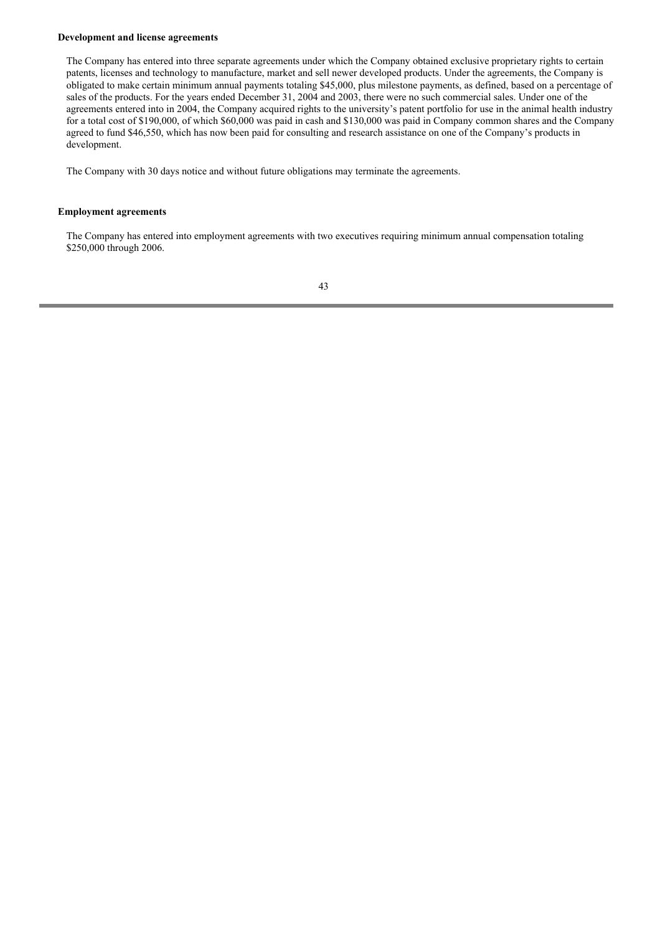#### **Development and license agreements**

The Company has entered into three separate agreements under which the Company obtained exclusive proprietary rights to certain patents, licenses and technology to manufacture, market and sell newer developed products. Under the agreements, the Company is obligated to make certain minimum annual payments totaling \$45,000, plus milestone payments, as defined, based on a percentage of sales of the products. For the years ended December 31, 2004 and 2003, there were no such commercial sales. Under one of the agreements entered into in 2004, the Company acquired rights to the university's patent portfolio for use in the animal health industry for a total cost of \$190,000, of which \$60,000 was paid in cash and \$130,000 was paid in Company common shares and the Company agreed to fund \$46,550, which has now been paid for consulting and research assistance on one of the Company's products in development.

The Company with 30 days notice and without future obligations may terminate the agreements.

# **Employment agreements**

The Company has entered into employment agreements with two executives requiring minimum annual compensation totaling \$250,000 through 2006.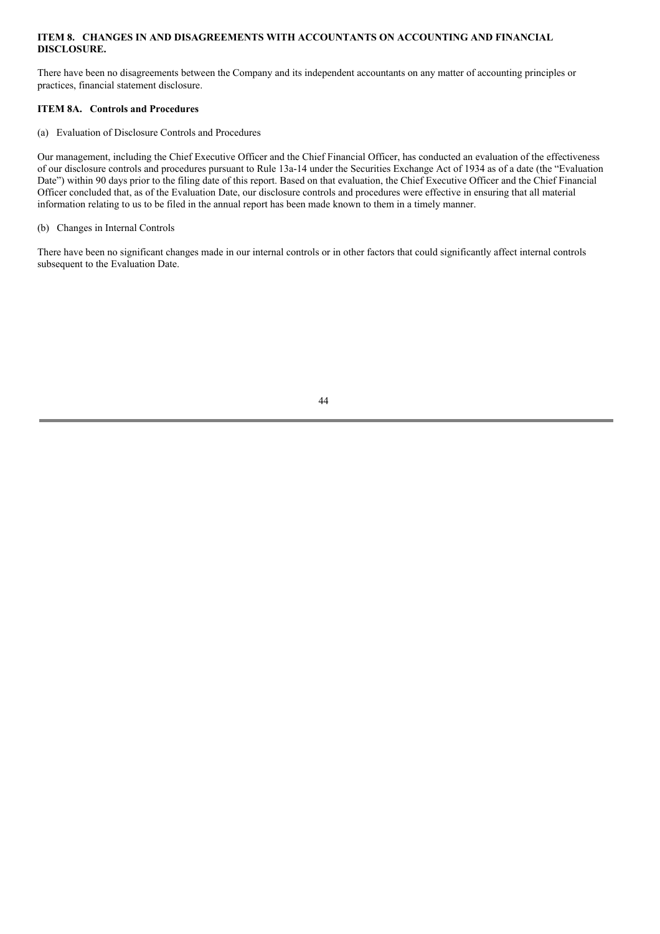# **ITEM 8. CHANGES IN AND DISAGREEMENTS WITH ACCOUNTANTS ON ACCOUNTING AND FINANCIAL DISCLOSURE.**

There have been no disagreements between the Company and its independent accountants on any matter of accounting principles or practices, financial statement disclosure.

# **ITEM 8A. Controls and Procedures**

(a) Evaluation of Disclosure Controls and Procedures

Our management, including the Chief Executive Officer and the Chief Financial Officer, has conducted an evaluation of the effectiveness of our disclosure controls and procedures pursuant to Rule 13a-14 under the Securities Exchange Act of 1934 as of a date (the "Evaluation Date") within 90 days prior to the filing date of this report. Based on that evaluation, the Chief Executive Officer and the Chief Financial Officer concluded that, as of the Evaluation Date, our disclosure controls and procedures were effective in ensuring that all material information relating to us to be filed in the annual report has been made known to them in a timely manner.

## (b) Changes in Internal Controls

There have been no significant changes made in our internal controls or in other factors that could significantly affect internal controls subsequent to the Evaluation Date.

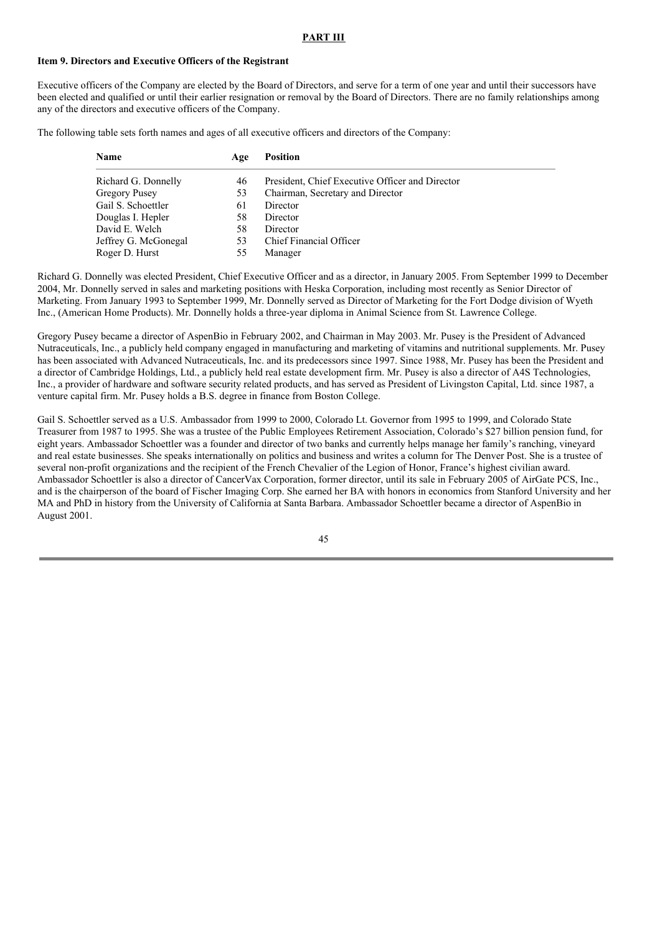#### **PART III**

#### **Item 9. Directors and Executive Officers of the Registrant**

Executive officers of the Company are elected by the Board of Directors, and serve for a term of one year and until their successors have been elected and qualified or until their earlier resignation or removal by the Board of Directors. There are no family relationships among any of the directors and executive officers of the Company.

The following table sets forth names and ages of all executive officers and directors of the Company:

| <b>Name</b>          | Age | <b>Position</b>                                 |
|----------------------|-----|-------------------------------------------------|
| Richard G. Donnelly  | 46  | President, Chief Executive Officer and Director |
| Gregory Pusey        | 53  | Chairman, Secretary and Director                |
| Gail S. Schoettler   | 61  | Director                                        |
| Douglas I. Hepler    | 58  | Director                                        |
| David E. Welch       | 58  | Director                                        |
| Jeffrey G. McGonegal | 53  | Chief Financial Officer                         |
| Roger D. Hurst       | 55  | Manager                                         |

Richard G. Donnelly was elected President, Chief Executive Officer and as a director, in January 2005. From September 1999 to December 2004, Mr. Donnelly served in sales and marketing positions with Heska Corporation, including most recently as Senior Director of Marketing. From January 1993 to September 1999, Mr. Donnelly served as Director of Marketing for the Fort Dodge division of Wyeth Inc., (American Home Products). Mr. Donnelly holds a three-year diploma in Animal Science from St. Lawrence College.

Gregory Pusey became a director of AspenBio in February 2002, and Chairman in May 2003. Mr. Pusey is the President of Advanced Nutraceuticals, Inc., a publicly held company engaged in manufacturing and marketing of vitamins and nutritional supplements. Mr. Pusey has been associated with Advanced Nutraceuticals, Inc. and its predecessors since 1997. Since 1988, Mr. Pusey has been the President and a director of Cambridge Holdings, Ltd., a publicly held real estate development firm. Mr. Pusey is also a director of A4S Technologies, Inc., a provider of hardware and software security related products, and has served as President of Livingston Capital, Ltd. since 1987, a venture capital firm. Mr. Pusey holds a B.S. degree in finance from Boston College.

Gail S. Schoettler served as a U.S. Ambassador from 1999 to 2000, Colorado Lt. Governor from 1995 to 1999, and Colorado State Treasurer from 1987 to 1995. She was a trustee of the Public Employees Retirement Association, Colorado's \$27 billion pension fund, for eight years. Ambassador Schoettler was a founder and director of two banks and currently helps manage her family's ranching, vineyard and real estate businesses. She speaks internationally on politics and business and writes a column for The Denver Post. She is a trustee of several non-profit organizations and the recipient of the French Chevalier of the Legion of Honor, France's highest civilian award. Ambassador Schoettler is also a director of CancerVax Corporation, former director, until its sale in February 2005 of AirGate PCS, Inc., and is the chairperson of the board of Fischer Imaging Corp. She earned her BA with honors in economics from Stanford University and her MA and PhD in history from the University of California at Santa Barbara. Ambassador Schoettler became a director of AspenBio in August 2001.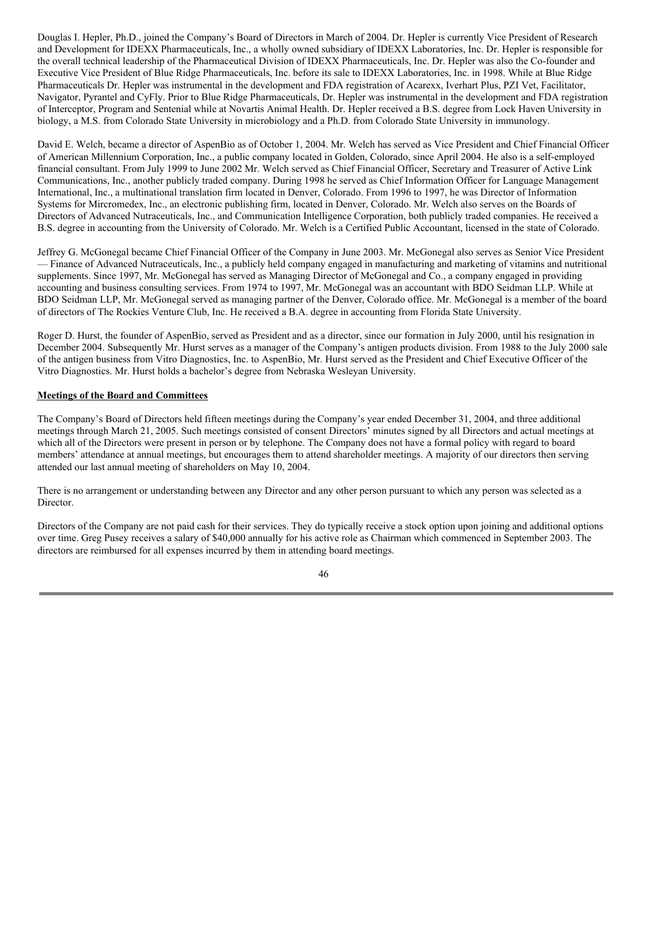Douglas I. Hepler, Ph.D., joined the Company's Board of Directors in March of 2004. Dr. Hepler is currently Vice President of Research and Development for IDEXX Pharmaceuticals, Inc., a wholly owned subsidiary of IDEXX Laboratories, Inc. Dr. Hepler is responsible for the overall technical leadership of the Pharmaceutical Division of IDEXX Pharmaceuticals, Inc. Dr. Hepler was also the Co-founder and Executive Vice President of Blue Ridge Pharmaceuticals, Inc. before its sale to IDEXX Laboratories, Inc. in 1998. While at Blue Ridge Pharmaceuticals Dr. Hepler was instrumental in the development and FDA registration of Acarexx, Iverhart Plus, PZI Vet, Facilitator, Navigator, Pyrantel and CyFly. Prior to Blue Ridge Pharmaceuticals, Dr. Hepler was instrumental in the development and FDA registration of Interceptor, Program and Sentenial while at Novartis Animal Health. Dr. Hepler received a B.S. degree from Lock Haven University in biology, a M.S. from Colorado State University in microbiology and a Ph.D. from Colorado State University in immunology.

David E. Welch, became a director of AspenBio as of October 1, 2004. Mr. Welch has served as Vice President and Chief Financial Officer of American Millennium Corporation, Inc., a public company located in Golden, Colorado, since April 2004. He also is a self-employed financial consultant. From July 1999 to June 2002 Mr. Welch served as Chief Financial Officer, Secretary and Treasurer of Active Link Communications, Inc., another publicly traded company. During 1998 he served as Chief Information Officer for Language Management International, Inc., a multinational translation firm located in Denver, Colorado. From 1996 to 1997, he was Director of Information Systems for Mircromedex, Inc., an electronic publishing firm, located in Denver, Colorado. Mr. Welch also serves on the Boards of Directors of Advanced Nutraceuticals, Inc., and Communication Intelligence Corporation, both publicly traded companies. He received a B.S. degree in accounting from the University of Colorado. Mr. Welch is a Certified Public Accountant, licensed in the state of Colorado.

Jeffrey G. McGonegal became Chief Financial Officer of the Company in June 2003. Mr. McGonegal also serves as Senior Vice President — Finance of Advanced Nutraceuticals, Inc., a publicly held company engaged in manufacturing and marketing of vitamins and nutritional supplements. Since 1997, Mr. McGonegal has served as Managing Director of McGonegal and Co., a company engaged in providing accounting and business consulting services. From 1974 to 1997, Mr. McGonegal was an accountant with BDO Seidman LLP. While at BDO Seidman LLP, Mr. McGonegal served as managing partner of the Denver, Colorado office. Mr. McGonegal is a member of the board of directors of The Rockies Venture Club, Inc. He received a B.A. degree in accounting from Florida State University.

Roger D. Hurst, the founder of AspenBio, served as President and as a director, since our formation in July 2000, until his resignation in December 2004. Subsequently Mr. Hurst serves as a manager of the Company's antigen products division. From 1988 to the July 2000 sale of the antigen business from Vitro Diagnostics, Inc. to AspenBio, Mr. Hurst served as the President and Chief Executive Officer of the Vitro Diagnostics. Mr. Hurst holds a bachelor's degree from Nebraska Wesleyan University.

# **Meetings of the Board and Committees**

The Company's Board of Directors held fifteen meetings during the Company's year ended December 31, 2004, and three additional meetings through March 21, 2005. Such meetings consisted of consent Directors' minutes signed by all Directors and actual meetings at which all of the Directors were present in person or by telephone. The Company does not have a formal policy with regard to board members' attendance at annual meetings, but encourages them to attend shareholder meetings. A majority of our directors then serving attended our last annual meeting of shareholders on May 10, 2004.

There is no arrangement or understanding between any Director and any other person pursuant to which any person was selected as a Director.

Directors of the Company are not paid cash for their services. They do typically receive a stock option upon joining and additional options over time. Greg Pusey receives a salary of \$40,000 annually for his active role as Chairman which commenced in September 2003. The directors are reimbursed for all expenses incurred by them in attending board meetings.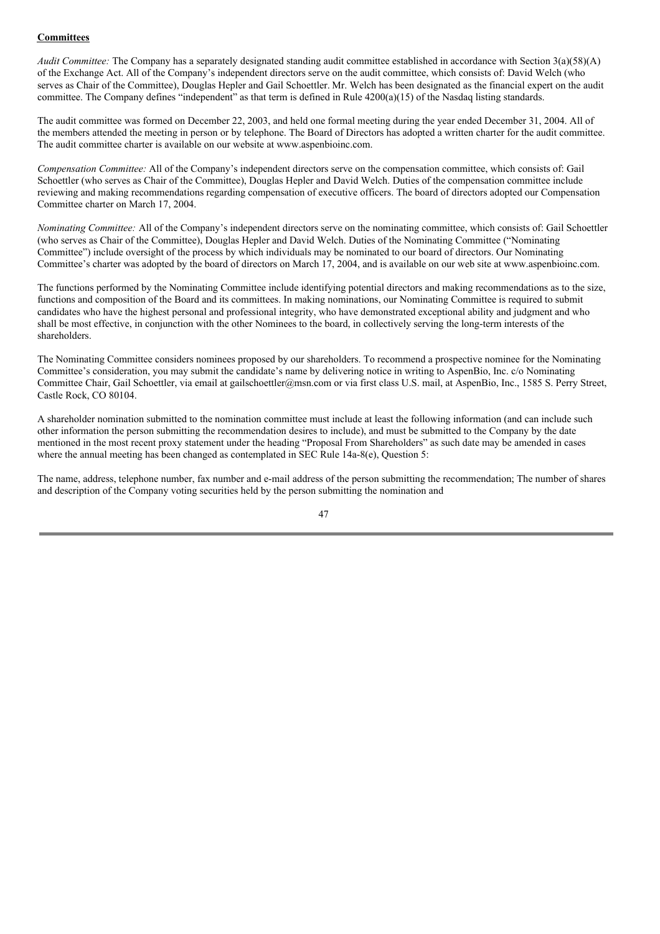# **Committees**

*Audit Committee:* The Company has a separately designated standing audit committee established in accordance with Section 3(a)(58)(A) of the Exchange Act. All of the Company's independent directors serve on the audit committee, which consists of: David Welch (who serves as Chair of the Committee), Douglas Hepler and Gail Schoettler. Mr. Welch has been designated as the financial expert on the audit committee. The Company defines "independent" as that term is defined in Rule  $4200(a)(15)$  of the Nasdaq listing standards.

The audit committee was formed on December 22, 2003, and held one formal meeting during the year ended December 31, 2004. All of the members attended the meeting in person or by telephone. The Board of Directors has adopted a written charter for the audit committee. The audit committee charter is available on our website at www.aspenbioinc.com.

*Compensation Committee:* All of the Company's independent directors serve on the compensation committee, which consists of: Gail Schoettler (who serves as Chair of the Committee), Douglas Hepler and David Welch. Duties of the compensation committee include reviewing and making recommendations regarding compensation of executive officers. The board of directors adopted our Compensation Committee charter on March 17, 2004.

*Nominating Committee:* All of the Company's independent directors serve on the nominating committee, which consists of: Gail Schoettler (who serves as Chair of the Committee), Douglas Hepler and David Welch. Duties of the Nominating Committee ("Nominating Committee") include oversight of the process by which individuals may be nominated to our board of directors. Our Nominating Committee's charter was adopted by the board of directors on March 17, 2004, and is available on our web site at www.aspenbioinc.com.

The functions performed by the Nominating Committee include identifying potential directors and making recommendations as to the size, functions and composition of the Board and its committees. In making nominations, our Nominating Committee is required to submit candidates who have the highest personal and professional integrity, who have demonstrated exceptional ability and judgment and who shall be most effective, in conjunction with the other Nominees to the board, in collectively serving the long-term interests of the shareholders.

The Nominating Committee considers nominees proposed by our shareholders. To recommend a prospective nominee for the Nominating Committee's consideration, you may submit the candidate's name by delivering notice in writing to AspenBio, Inc. c/o Nominating Committee Chair, Gail Schoettler, via email at gailschoettler@msn.com or via first class U.S. mail, at AspenBio, Inc., 1585 S. Perry Street, Castle Rock, CO 80104.

A shareholder nomination submitted to the nomination committee must include at least the following information (and can include such other information the person submitting the recommendation desires to include), and must be submitted to the Company by the date mentioned in the most recent proxy statement under the heading "Proposal From Shareholders" as such date may be amended in cases where the annual meeting has been changed as contemplated in SEC Rule 14a-8(e), Question 5:

The name, address, telephone number, fax number and e-mail address of the person submitting the recommendation; The number of shares and description of the Company voting securities held by the person submitting the nomination and

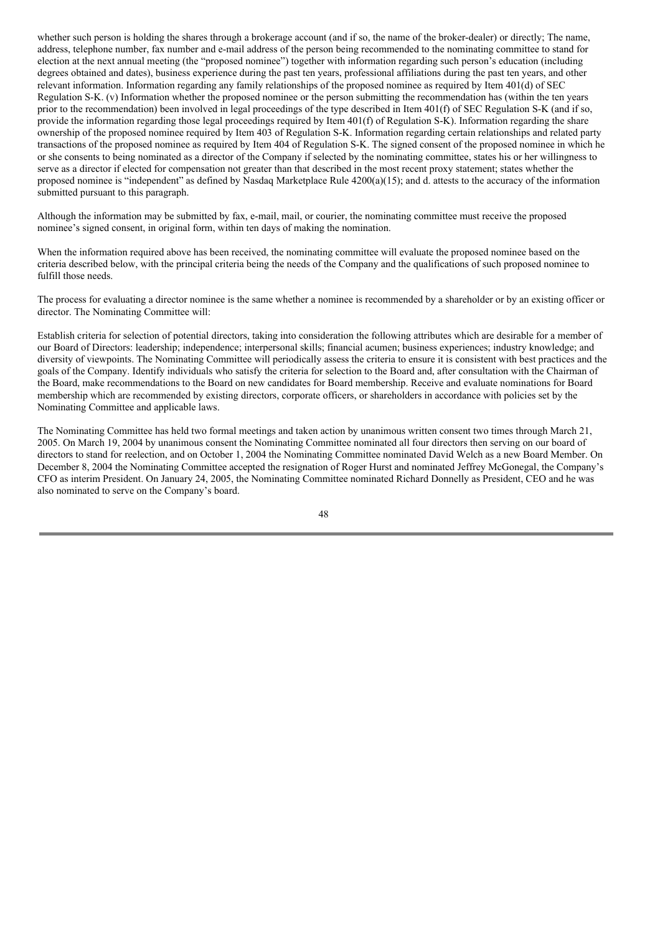whether such person is holding the shares through a brokerage account (and if so, the name of the broker-dealer) or directly; The name, address, telephone number, fax number and e-mail address of the person being recommended to the nominating committee to stand for election at the next annual meeting (the "proposed nominee") together with information regarding such person's education (including degrees obtained and dates), business experience during the past ten years, professional affiliations during the past ten years, and other relevant information. Information regarding any family relationships of the proposed nominee as required by Item 401(d) of SEC Regulation S-K. (v) Information whether the proposed nominee or the person submitting the recommendation has (within the ten years prior to the recommendation) been involved in legal proceedings of the type described in Item 401(f) of SEC Regulation S-K (and if so, provide the information regarding those legal proceedings required by Item 401(f) of Regulation S-K). Information regarding the share ownership of the proposed nominee required by Item 403 of Regulation S-K. Information regarding certain relationships and related party transactions of the proposed nominee as required by Item 404 of Regulation S-K. The signed consent of the proposed nominee in which he or she consents to being nominated as a director of the Company if selected by the nominating committee, states his or her willingness to serve as a director if elected for compensation not greater than that described in the most recent proxy statement; states whether the proposed nominee is "independent" as defined by Nasdaq Marketplace Rule  $4200(a)(15)$ ; and d. attests to the accuracy of the information submitted pursuant to this paragraph.

Although the information may be submitted by fax, e-mail, mail, or courier, the nominating committee must receive the proposed nominee's signed consent, in original form, within ten days of making the nomination.

When the information required above has been received, the nominating committee will evaluate the proposed nominee based on the criteria described below, with the principal criteria being the needs of the Company and the qualifications of such proposed nominee to fulfill those needs.

The process for evaluating a director nominee is the same whether a nominee is recommended by a shareholder or by an existing officer or director. The Nominating Committee will:

Establish criteria for selection of potential directors, taking into consideration the following attributes which are desirable for a member of our Board of Directors: leadership; independence; interpersonal skills; financial acumen; business experiences; industry knowledge; and diversity of viewpoints. The Nominating Committee will periodically assess the criteria to ensure it is consistent with best practices and the goals of the Company. Identify individuals who satisfy the criteria for selection to the Board and, after consultation with the Chairman of the Board, make recommendations to the Board on new candidates for Board membership. Receive and evaluate nominations for Board membership which are recommended by existing directors, corporate officers, or shareholders in accordance with policies set by the Nominating Committee and applicable laws.

The Nominating Committee has held two formal meetings and taken action by unanimous written consent two times through March 21, 2005. On March 19, 2004 by unanimous consent the Nominating Committee nominated all four directors then serving on our board of directors to stand for reelection, and on October 1, 2004 the Nominating Committee nominated David Welch as a new Board Member. On December 8, 2004 the Nominating Committee accepted the resignation of Roger Hurst and nominated Jeffrey McGonegal, the Company's CFO as interim President. On January 24, 2005, the Nominating Committee nominated Richard Donnelly as President, CEO and he was also nominated to serve on the Company's board.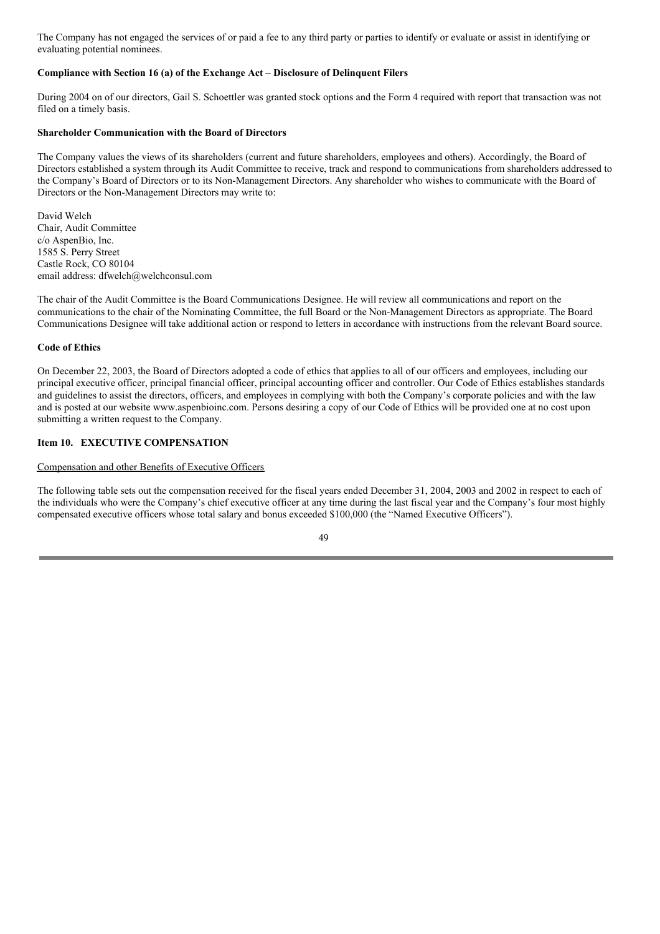The Company has not engaged the services of or paid a fee to any third party or parties to identify or evaluate or assist in identifying or evaluating potential nominees.

# **Compliance with Section 16 (a) of the Exchange Act – Disclosure of Delinquent Filers**

During 2004 on of our directors, Gail S. Schoettler was granted stock options and the Form 4 required with report that transaction was not filed on a timely basis.

### **Shareholder Communication with the Board of Directors**

The Company values the views of its shareholders (current and future shareholders, employees and others). Accordingly, the Board of Directors established a system through its Audit Committee to receive, track and respond to communications from shareholders addressed to the Company's Board of Directors or to its Non-Management Directors. Any shareholder who wishes to communicate with the Board of Directors or the Non-Management Directors may write to:

David Welch Chair, Audit Committee c/o AspenBio, Inc. 1585 S. Perry Street Castle Rock, CO 80104 email address: dfwelch@welchconsul.com

The chair of the Audit Committee is the Board Communications Designee. He will review all communications and report on the communications to the chair of the Nominating Committee, the full Board or the Non-Management Directors as appropriate. The Board Communications Designee will take additional action or respond to letters in accordance with instructions from the relevant Board source.

## **Code of Ethics**

On December 22, 2003, the Board of Directors adopted a code of ethics that applies to all of our officers and employees, including our principal executive officer, principal financial officer, principal accounting officer and controller. Our Code of Ethics establishes standards and guidelines to assist the directors, officers, and employees in complying with both the Company's corporate policies and with the law and is posted at our website www.aspenbioinc.com. Persons desiring a copy of our Code of Ethics will be provided one at no cost upon submitting a written request to the Company.

# **Item 10. EXECUTIVE COMPENSATION**

Compensation and other Benefits of Executive Officers

The following table sets out the compensation received for the fiscal years ended December 31, 2004, 2003 and 2002 in respect to each of the individuals who were the Company's chief executive officer at any time during the last fiscal year and the Company's four most highly compensated executive officers whose total salary and bonus exceeded \$100,000 (the "Named Executive Officers").

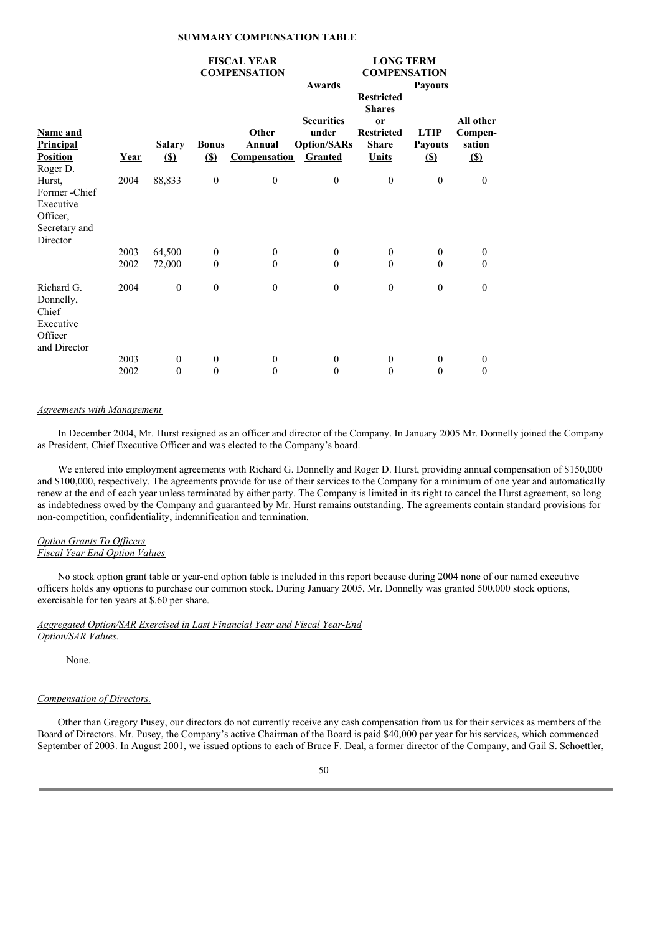#### **SUMMARY COMPENSATION TABLE**

|                                                                                            |              |                              | <b>FISCAL YEAR</b><br><b>COMPENSATION</b> |                                        |                                                                       | <b>LONG TERM</b><br><b>COMPENSATION</b>                                                                  |                                                             |                                                     |
|--------------------------------------------------------------------------------------------|--------------|------------------------------|-------------------------------------------|----------------------------------------|-----------------------------------------------------------------------|----------------------------------------------------------------------------------------------------------|-------------------------------------------------------------|-----------------------------------------------------|
| Name and<br><b>Principal</b><br><b>Position</b>                                            | Year         | <b>Salary</b><br><u>(\$)</u> | <b>Bonus</b><br><u>(\$)</u>               | Other<br>Annual<br><b>Compensation</b> | Awards<br><b>Securities</b><br>under<br><b>Option/SARs</b><br>Granted | <b>Restricted</b><br><b>Shares</b><br><sub>or</sub><br><b>Restricted</b><br><b>Share</b><br><b>Units</b> | <b>Payouts</b><br><b>LTIP</b><br><b>Payouts</b><br>$\Omega$ | All other<br>Compen-<br>sation<br>$\mathbf{\Omega}$ |
| Roger D.<br>Hurst,<br>Former - Chief<br>Executive<br>Officer,<br>Secretary and<br>Director | 2004         | 88,833                       | $\theta$                                  | $\mathbf{0}$                           | $\mathbf{0}$                                                          | $\Omega$                                                                                                 | $\theta$                                                    | $\theta$                                            |
|                                                                                            | 2003<br>2002 | 64,500<br>72,000             | $\mathbf{0}$<br>$\mathbf{0}$              | $\mathbf{0}$<br>$\mathbf{0}$           | $\boldsymbol{0}$<br>$\mathbf{0}$                                      | $\mathbf{0}$<br>$\Omega$                                                                                 | $\mathbf{0}$<br>$\mathbf{0}$                                | $\mathbf{0}$<br>$\mathbf{0}$                        |
| Richard G.<br>Donnelly,<br>Chief<br>Executive<br>Officer<br>and Director                   | 2004         | $\mathbf{0}$                 | $\mathbf{0}$                              | $\mathbf{0}$                           | $\boldsymbol{0}$                                                      | $\theta$                                                                                                 | $\mathbf{0}$                                                | $\theta$                                            |
|                                                                                            | 2003<br>2002 | $\overline{0}$<br>$\theta$   | $\boldsymbol{0}$<br>$\theta$              | $\boldsymbol{0}$<br>$\theta$           | $\boldsymbol{0}$<br>$\theta$                                          | $\mathbf{0}$<br>$\theta$                                                                                 | $\boldsymbol{0}$<br>$\theta$                                | $\boldsymbol{0}$<br>$\theta$                        |

#### *Agreements with Management*

In December 2004, Mr. Hurst resigned as an officer and director of the Company. In January 2005 Mr. Donnelly joined the Company as President, Chief Executive Officer and was elected to the Company's board.

We entered into employment agreements with Richard G. Donnelly and Roger D. Hurst, providing annual compensation of \$150,000 and \$100,000, respectively. The agreements provide for use of their services to the Company for a minimum of one year and automatically renew at the end of each year unless terminated by either party. The Company is limited in its right to cancel the Hurst agreement, so long as indebtedness owed by the Company and guaranteed by Mr. Hurst remains outstanding. The agreements contain standard provisions for non-competition, confidentiality, indemnification and termination.

#### *Option Grants To Of icers Fiscal Year End Option Values*

No stock option grant table or year-end option table is included in this report because during 2004 none of our named executive officers holds any options to purchase our common stock. During January 2005, Mr. Donnelly was granted 500,000 stock options, exercisable for ten years at \$.60 per share.

### *Aggregated Option/SAR Exercised in Last Financial Year and Fiscal Year-End Option/SAR Values.*

None.

### *Compensation of Directors.*

Other than Gregory Pusey, our directors do not currently receive any cash compensation from us for their services as members of the Board of Directors. Mr. Pusey, the Company's active Chairman of the Board is paid \$40,000 per year for his services, which commenced September of 2003. In August 2001, we issued options to each of Bruce F. Deal, a former director of the Company, and Gail S. Schoettler,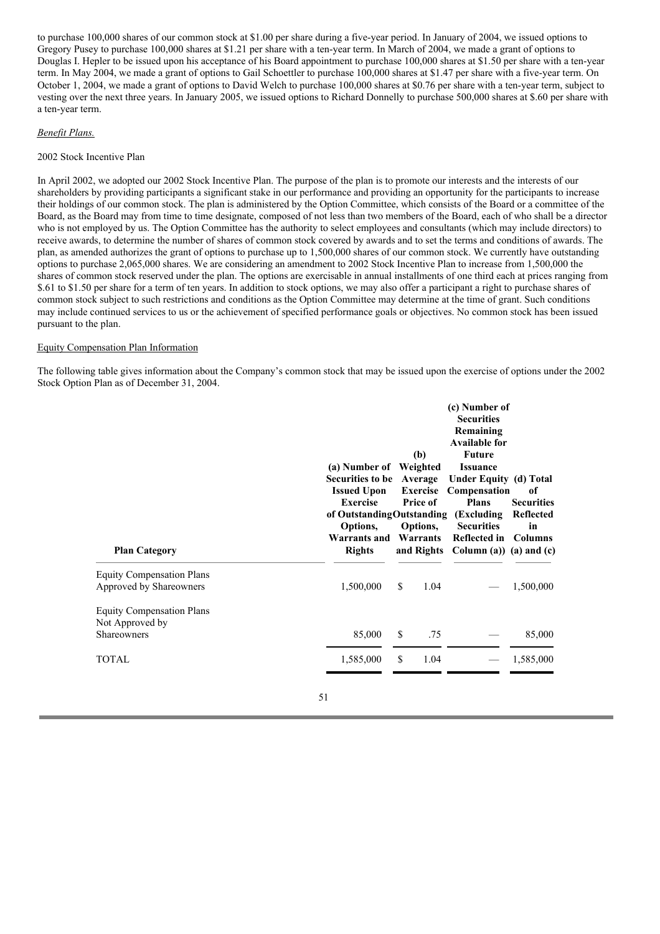to purchase 100,000 shares of our common stock at \$1.00 per share during a five-year period. In January of 2004, we issued options to Gregory Pusey to purchase 100,000 shares at \$1.21 per share with a ten-year term. In March of 2004, we made a grant of options to Douglas I. Hepler to be issued upon his acceptance of his Board appointment to purchase 100,000 shares at \$1.50 per share with a ten-year term. In May 2004, we made a grant of options to Gail Schoettler to purchase 100,000 shares at \$1.47 per share with a five-year term. On October 1, 2004, we made a grant of options to David Welch to purchase 100,000 shares at \$0.76 per share with a ten-year term, subject to vesting over the next three years. In January 2005, we issued options to Richard Donnelly to purchase 500,000 shares at \$.60 per share with a ten-year term.

### *Benefit Plans.*

#### 2002 Stock Incentive Plan

In April 2002, we adopted our 2002 Stock Incentive Plan. The purpose of the plan is to promote our interests and the interests of our shareholders by providing participants a significant stake in our performance and providing an opportunity for the participants to increase their holdings of our common stock. The plan is administered by the Option Committee, which consists of the Board or a committee of the Board, as the Board may from time to time designate, composed of not less than two members of the Board, each of who shall be a director who is not employed by us. The Option Committee has the authority to select employees and consultants (which may include directors) to receive awards, to determine the number of shares of common stock covered by awards and to set the terms and conditions of awards. The plan, as amended authorizes the grant of options to purchase up to 1,500,000 shares of our common stock. We currently have outstanding options to purchase 2,065,000 shares. We are considering an amendment to 2002 Stock Incentive Plan to increase from 1,500,000 the shares of common stock reserved under the plan. The options are exercisable in annual installments of one third each at prices ranging from \$.61 to \$1.50 per share for a term of ten years. In addition to stock options, we may also offer a participant a right to purchase shares of common stock subject to such restrictions and conditions as the Option Committee may determine at the time of grant. Such conditions may include continued services to us or the achievement of specified performance goals or objectives. No common stock has been issued pursuant to the plan.

#### Equity Compensation Plan Information

The following table gives information about the Company's common stock that may be issued upon the exercise of options under the 2002 Stock Option Plan as of December 31, 2004.

| <b>Plan Category</b>                                                      | (a) Number of<br>Securities to be<br><b>Issued Upon</b><br><b>Exercise</b><br>of Outstanding Outstanding<br>Options,<br>Warrants and<br><b>Rights</b> |               | (b)<br>Weighted<br>Average<br><b>Exercise</b><br><b>Price of</b><br>Options,<br>Warrants<br>and Rights | (c) Number of<br><b>Securities</b><br>Remaining<br><b>Available for</b><br><b>Future</b><br><b>Issuance</b><br><b>Under Equity (d) Total</b><br>Compensation<br><b>Plans</b><br>(Excluding)<br><b>Securities</b><br><b>Reflected in</b><br>Column (a)) (a) and (c) | оf<br><b>Securities</b><br><b>Reflected</b><br>in<br><b>Columns</b> |
|---------------------------------------------------------------------------|-------------------------------------------------------------------------------------------------------------------------------------------------------|---------------|--------------------------------------------------------------------------------------------------------|--------------------------------------------------------------------------------------------------------------------------------------------------------------------------------------------------------------------------------------------------------------------|---------------------------------------------------------------------|
| <b>Equity Compensation Plans</b><br>Approved by Shareowners               | 1,500,000                                                                                                                                             | <sup>\$</sup> | 1.04                                                                                                   |                                                                                                                                                                                                                                                                    | 1,500,000                                                           |
| <b>Equity Compensation Plans</b><br>Not Approved by<br><b>Shareowners</b> | 85,000                                                                                                                                                | <sup>\$</sup> | .75                                                                                                    |                                                                                                                                                                                                                                                                    | 85,000                                                              |
| <b>TOTAL</b>                                                              | 1,585,000                                                                                                                                             | \$            | 1.04                                                                                                   |                                                                                                                                                                                                                                                                    | 1,585,000                                                           |

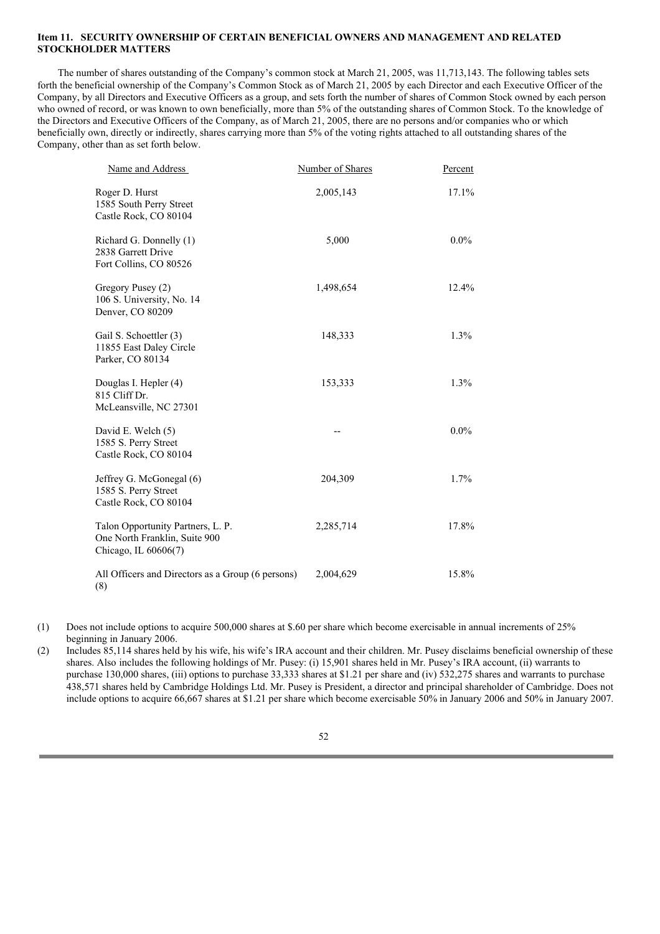# **Item 11. SECURITY OWNERSHIP OF CERTAIN BENEFICIAL OWNERS AND MANAGEMENT AND RELATED STOCKHOLDER MATTERS**

The number of shares outstanding of the Company's common stock at March 21, 2005, was 11,713,143. The following tables sets forth the beneficial ownership of the Company's Common Stock as of March 21, 2005 by each Director and each Executive Officer of the Company, by all Directors and Executive Officers as a group, and sets forth the number of shares of Common Stock owned by each person who owned of record, or was known to own beneficially, more than 5% of the outstanding shares of Common Stock. To the knowledge of the Directors and Executive Officers of the Company, as of March 21, 2005, there are no persons and/or companies who or which beneficially own, directly or indirectly, shares carrying more than 5% of the voting rights attached to all outstanding shares of the Company, other than as set forth below.

| Name and Address                                                                           | <b>Number of Shares</b> | Percent |
|--------------------------------------------------------------------------------------------|-------------------------|---------|
| Roger D. Hurst<br>1585 South Perry Street<br>Castle Rock, CO 80104                         | 2,005,143               | 17.1%   |
| Richard G. Donnelly (1)<br>2838 Garrett Drive<br>Fort Collins, CO 80526                    | 5,000                   | $0.0\%$ |
| Gregory Pusey (2)<br>106 S. University, No. 14<br>Denver, CO 80209                         | 1,498,654               | 12.4%   |
| Gail S. Schoettler (3)<br>11855 East Daley Circle<br>Parker, CO 80134                      | 148,333                 | $1.3\%$ |
| Douglas I. Hepler (4)<br>815 Cliff Dr.<br>McLeansville, NC 27301                           | 153,333                 | $1.3\%$ |
| David E. Welch (5)<br>1585 S. Perry Street<br>Castle Rock, CO 80104                        |                         | $0.0\%$ |
| Jeffrey G. McGonegal (6)<br>1585 S. Perry Street<br>Castle Rock, CO 80104                  | 204,309                 | 1.7%    |
| Talon Opportunity Partners, L. P.<br>One North Franklin, Suite 900<br>Chicago, IL 60606(7) | 2,285,714               | 17.8%   |
| All Officers and Directors as a Group (6 persons)<br>(8)                                   | 2,004,629               | 15.8%   |

(1) Does not include options to acquire 500,000 shares at \$.60 per share which become exercisable in annual increments of 25% beginning in January 2006.

(2) Includes 85,114 shares held by his wife, his wife's IRA account and their children. Mr. Pusey disclaims beneficial ownership of these shares. Also includes the following holdings of Mr. Pusey: (i) 15,901 shares held in Mr. Pusey's IRA account, (ii) warrants to purchase 130,000 shares, (iii) options to purchase 33,333 shares at \$1.21 per share and (iv) 532,275 shares and warrants to purchase 438,571 shares held by Cambridge Holdings Ltd. Mr. Pusey is President, a director and principal shareholder of Cambridge. Does not include options to acquire 66,667 shares at \$1.21 per share which become exercisable 50% in January 2006 and 50% in January 2007.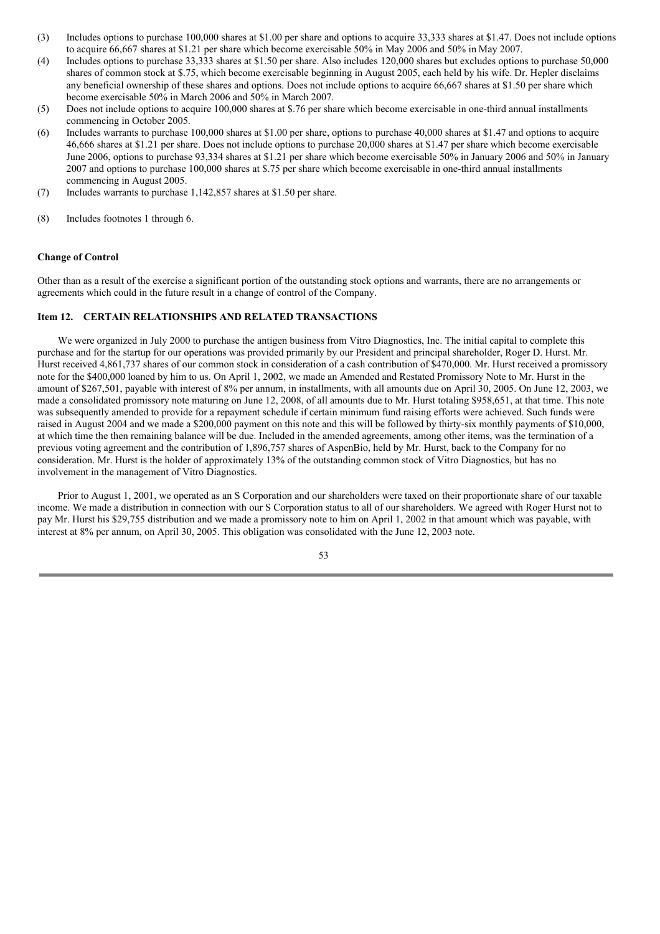- (3) Includes options to purchase 100,000 shares at \$1.00 per share and options to acquire 33,333 shares at \$1.47. Does not include options to acquire 66,667 shares at \$1.21 per share which become exercisable 50% in May 2006 and 50% in May 2007.
- (4) Includes options to purchase 33,333 shares at \$1.50 per share. Also includes 120,000 shares but excludes options to purchase 50,000 shares of common stock at \$.75, which become exercisable beginning in August 2005, each held by his wife. Dr. Hepler disclaims any beneficial ownership of these shares and options. Does not include options to acquire 66,667 shares at \$1.50 per share which become exercisable 50% in March 2006 and 50% in March 2007.
- (5) Does not include options to acquire 100,000 shares at \$.76 per share which become exercisable in one-third annual installments commencing in October 2005.
- (6) Includes warrants to purchase 100,000 shares at \$1.00 per share, options to purchase 40,000 shares at \$1.47 and options to acquire 46,666 shares at \$1.21 per share. Does not include options to purchase 20,000 shares at \$1.47 per share which become exercisable June 2006, options to purchase 93,334 shares at \$1.21 per share which become exercisable 50% in January 2006 and 50% in January 2007 and options to purchase 100,000 shares at \$.75 per share which become exercisable in one-third annual installments commencing in August 2005.
- (7) Includes warrants to purchase 1,142,857 shares at \$1.50 per share.
- (8) Includes footnotes 1 through 6.

#### **Change of Control**

Other than as a result of the exercise a significant portion of the outstanding stock options and warrants, there are no arrangements or agreements which could in the future result in a change of control of the Company.

### **Item 12. CERTAIN RELATIONSHIPS AND RELATED TRANSACTIONS**

We were organized in July 2000 to purchase the antigen business from Vitro Diagnostics, Inc. The initial capital to complete this purchase and for the startup for our operations was provided primarily by our President and principal shareholder, Roger D. Hurst. Mr. Hurst received 4,861,737 shares of our common stock in consideration of a cash contribution of \$470,000. Mr. Hurst received a promissory note for the \$400,000 loaned by him to us. On April 1, 2002, we made an Amended and Restated Promissory Note to Mr. Hurst in the amount of \$267,501, payable with interest of 8% per annum, in installments, with all amounts due on April 30, 2005. On June 12, 2003, we made a consolidated promissory note maturing on June 12, 2008, of all amounts due to Mr. Hurst totaling \$958,651, at that time. This note was subsequently amended to provide for a repayment schedule if certain minimum fund raising efforts were achieved. Such funds were raised in August 2004 and we made a \$200,000 payment on this note and this will be followed by thirty-six monthly payments of \$10,000, at which time the then remaining balance will be due. Included in the amended agreements, among other items, was the termination of a previous voting agreement and the contribution of 1,896,757 shares of AspenBio, held by Mr. Hurst, back to the Company for no consideration. Mr. Hurst is the holder of approximately 13% of the outstanding common stock of Vitro Diagnostics, but has no involvement in the management of Vitro Diagnostics.

Prior to August 1, 2001, we operated as an S Corporation and our shareholders were taxed on their proportionate share of our taxable income. We made a distribution in connection with our S Corporation status to all of our shareholders. We agreed with Roger Hurst not to pay Mr. Hurst his \$29,755 distribution and we made a promissory note to him on April 1, 2002 in that amount which was payable, with interest at 8% per annum, on April 30, 2005. This obligation was consolidated with the June 12, 2003 note.

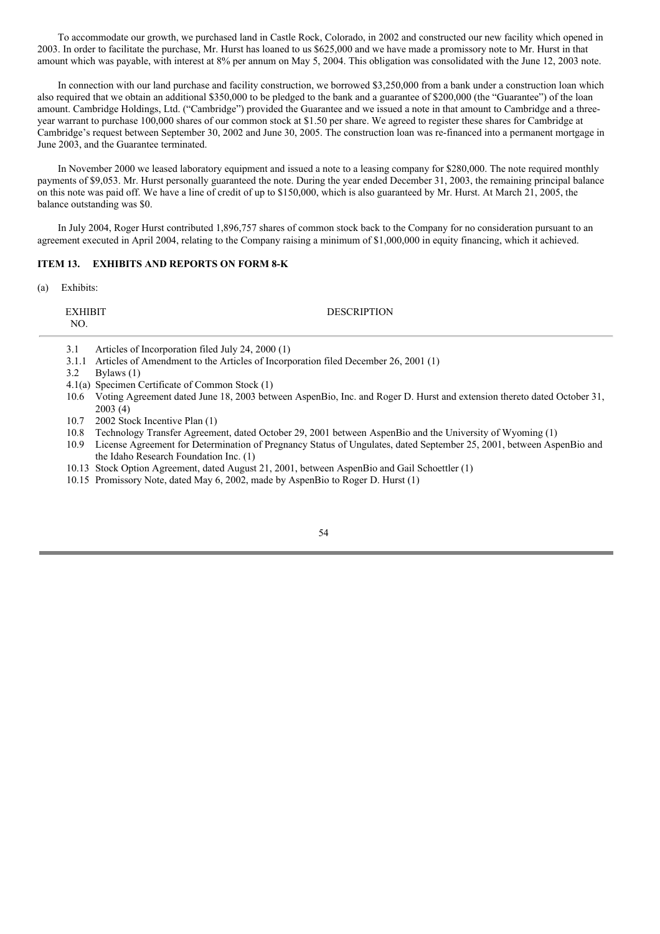To accommodate our growth, we purchased land in Castle Rock, Colorado, in 2002 and constructed our new facility which opened in 2003. In order to facilitate the purchase, Mr. Hurst has loaned to us \$625,000 and we have made a promissory note to Mr. Hurst in that amount which was payable, with interest at 8% per annum on May 5, 2004. This obligation was consolidated with the June 12, 2003 note.

In connection with our land purchase and facility construction, we borrowed \$3,250,000 from a bank under a construction loan which also required that we obtain an additional \$350,000 to be pledged to the bank and a guarantee of \$200,000 (the "Guarantee") of the loan amount. Cambridge Holdings, Ltd. ("Cambridge") provided the Guarantee and we issued a note in that amount to Cambridge and a threeyear warrant to purchase 100,000 shares of our common stock at \$1.50 per share. We agreed to register these shares for Cambridge at Cambridge's request between September 30, 2002 and June 30, 2005. The construction loan was re-financed into a permanent mortgage in June 2003, and the Guarantee terminated.

In November 2000 we leased laboratory equipment and issued a note to a leasing company for \$280,000. The note required monthly payments of \$9,053. Mr. Hurst personally guaranteed the note. During the year ended December 31, 2003, the remaining principal balance on this note was paid off. We have a line of credit of up to \$150,000, which is also guaranteed by Mr. Hurst. At March 21, 2005, the balance outstanding was \$0.

In July 2004, Roger Hurst contributed 1,896,757 shares of common stock back to the Company for no consideration pursuant to an agreement executed in April 2004, relating to the Company raising a minimum of \$1,000,000 in equity financing, which it achieved.

#### **ITEM 13. EXHIBITS AND REPORTS ON FORM 8-K**

(a) Exhibits:

| <b>EXHIBIT</b><br>NO. | <b>DESCRIPTION</b>                                                                                                                            |
|-----------------------|-----------------------------------------------------------------------------------------------------------------------------------------------|
| 3.1                   | Articles of Incorporation filed July 24, 2000 (1)<br>3.1.1 Articles of Amendment to the Articles of Incorporation filed December 26, 2001 (1) |

 $11$ ed December 26, 2001 (1)

3.2 Bylaws (1)

- 4.1(a) Specimen Certificate of Common Stock (1)
- 10.6 Voting Agreement dated June 18, 2003 between AspenBio, Inc. and Roger D. Hurst and extension thereto dated October 31, 2003 (4)
- 10.7 2002 Stock Incentive Plan (1)
- 10.8 Technology Transfer Agreement, dated October 29, 2001 between AspenBio and the University of Wyoming (1)
- 10.9 License Agreement for Determination of Pregnancy Status of Ungulates, dated September 25, 2001, between AspenBio and the Idaho Research Foundation Inc. (1)
- 10.13 Stock Option Agreement, dated August 21, 2001, between AspenBio and Gail Schoettler (1)
- 10.15 Promissory Note, dated May 6, 2002, made by AspenBio to Roger D. Hurst (1)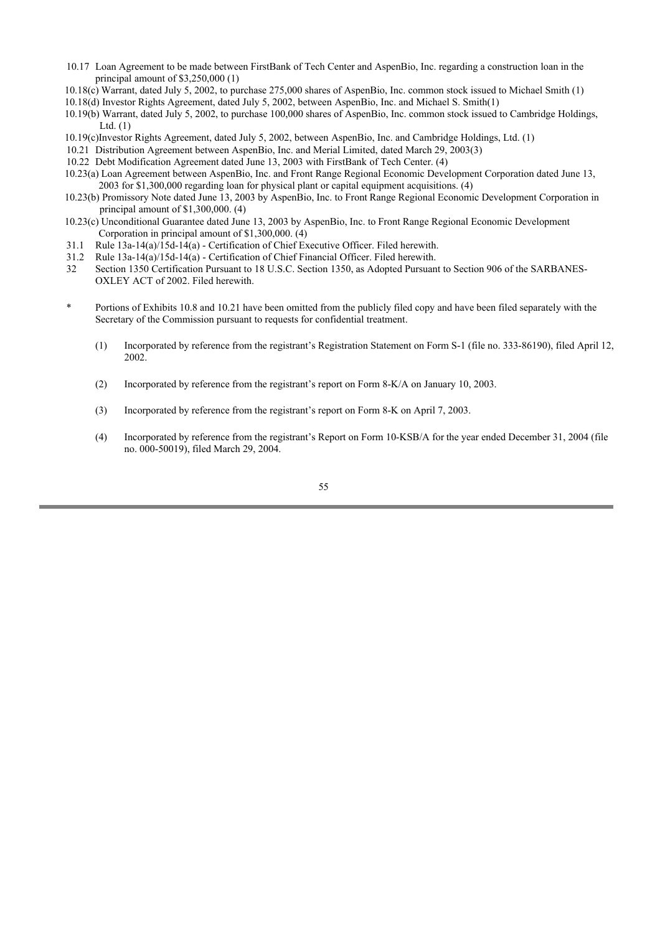- 10.17 Loan Agreement to be made between FirstBank of Tech Center and AspenBio, Inc. regarding a construction loan in the principal amount of \$3,250,000 (1)
- 10.18(c) Warrant, dated July 5, 2002, to purchase 275,000 shares of AspenBio, Inc. common stock issued to Michael Smith (1)
- 10.18(d) Investor Rights Agreement, dated July 5, 2002, between AspenBio, Inc. and Michael S. Smith(1)
- 10.19(b) Warrant, dated July 5, 2002, to purchase 100,000 shares of AspenBio, Inc. common stock issued to Cambridge Holdings, Ltd. (1)
- 10.19(c)Investor Rights Agreement, dated July 5, 2002, between AspenBio, Inc. and Cambridge Holdings, Ltd. (1)
- 10.21 Distribution Agreement between AspenBio, Inc. and Merial Limited, dated March 29, 2003(3)
- 10.22 Debt Modification Agreement dated June 13, 2003 with FirstBank of Tech Center. (4)
- 10.23(a) Loan Agreement between AspenBio, Inc. and Front Range Regional Economic Development Corporation dated June 13, 2003 for \$1,300,000 regarding loan for physical plant or capital equipment acquisitions. (4)
- 10.23(b) Promissory Note dated June 13, 2003 by AspenBio, Inc. to Front Range Regional Economic Development Corporation in principal amount of \$1,300,000. (4)
- 10.23(c) Unconditional Guarantee dated June 13, 2003 by AspenBio, Inc. to Front Range Regional Economic Development Corporation in principal amount of \$1,300,000. (4)
- 31.1 Rule 13a-14(a)/15d-14(a) Certification of Chief Executive Officer. Filed herewith.
- 31.2 Rule 13a-14(a)/15d-14(a) Certification of Chief Financial Officer. Filed herewith.
- 32 Section 1350 Certification Pursuant to 18 U.S.C. Section 1350, as Adopted Pursuant to Section 906 of the SARBANES-OXLEY ACT of 2002. Filed herewith.
- \* Portions of Exhibits 10.8 and 10.21 have been omitted from the publicly filed copy and have been filed separately with the Secretary of the Commission pursuant to requests for confidential treatment.
	- (1) Incorporated by reference from the registrant's Registration Statement on Form S-1 (file no. 333-86190), filed April 12, 2002.
	- (2) Incorporated by reference from the registrant's report on Form 8-K/A on January 10, 2003.
	- (3) Incorporated by reference from the registrant's report on Form 8-K on April 7, 2003.
	- (4) Incorporated by reference from the registrant's Report on Form 10-KSB/A for the year ended December 31, 2004 (file no. 000-50019), filed March 29, 2004.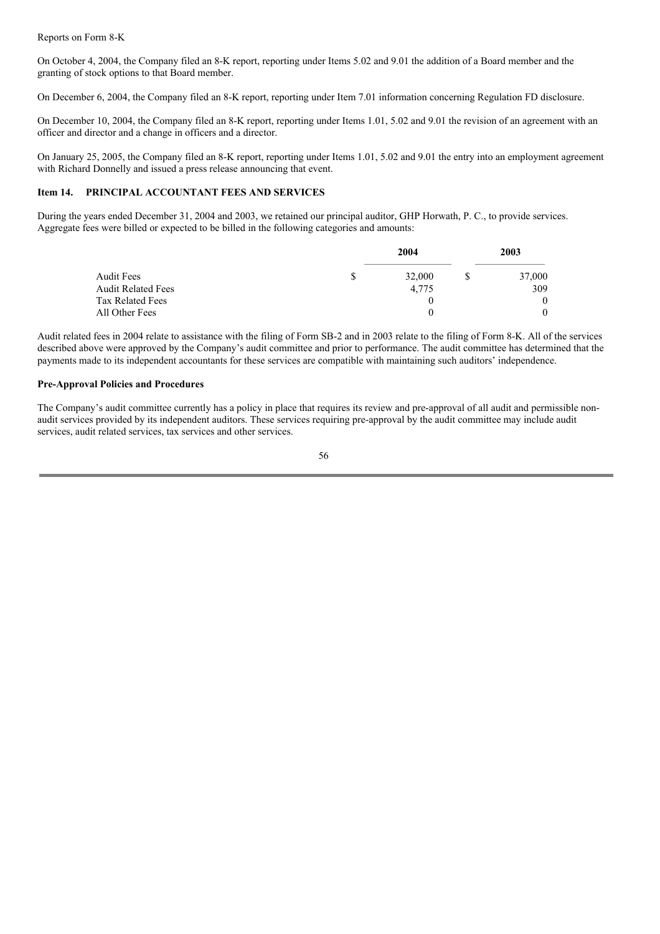On October 4, 2004, the Company filed an 8-K report, reporting under Items 5.02 and 9.01 the addition of a Board member and the granting of stock options to that Board member.

On December 6, 2004, the Company filed an 8-K report, reporting under Item 7.01 information concerning Regulation FD disclosure.

On December 10, 2004, the Company filed an 8-K report, reporting under Items 1.01, 5.02 and 9.01 the revision of an agreement with an officer and director and a change in officers and a director.

On January 25, 2005, the Company filed an 8-K report, reporting under Items 1.01, 5.02 and 9.01 the entry into an employment agreement with Richard Donnelly and issued a press release announcing that event.

# **Item 14. PRINCIPAL ACCOUNTANT FEES AND SERVICES**

During the years ended December 31, 2004 and 2003, we retained our principal auditor, GHP Horwath, P. C., to provide services. Aggregate fees were billed or expected to be billed in the following categories and amounts:

|                           | 2004         | 2003     |
|---------------------------|--------------|----------|
| Audit Fees                | \$<br>32,000 | 37,000   |
| <b>Audit Related Fees</b> | 4,775        | 309      |
| Tax Related Fees          |              | $\theta$ |
| All Other Fees            |              | $\Omega$ |

Audit related fees in 2004 relate to assistance with the filing of Form SB-2 and in 2003 relate to the filing of Form 8-K. All of the services described above were approved by the Company's audit committee and prior to performance. The audit committee has determined that the payments made to its independent accountants for these services are compatible with maintaining such auditors' independence.

## **Pre-Approval Policies and Procedures**

The Company's audit committee currently has a policy in place that requires its review and pre-approval of all audit and permissible nonaudit services provided by its independent auditors. These services requiring pre-approval by the audit committee may include audit services, audit related services, tax services and other services.

56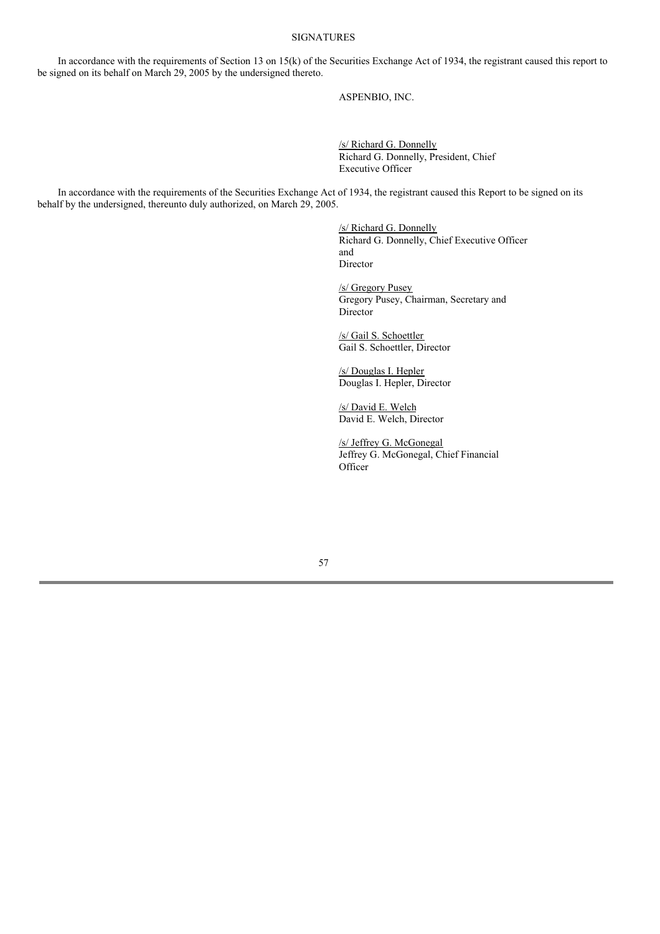### SIGNATURES

In accordance with the requirements of Section 13 on 15(k) of the Securities Exchange Act of 1934, the registrant caused this report to be signed on its behalf on March 29, 2005 by the undersigned thereto.

ASPENBIO, INC.

/s/ Richard G. Donnelly Richard G. Donnelly, President, Chief Executive Officer

In accordance with the requirements of the Securities Exchange Act of 1934, the registrant caused this Report to be signed on its behalf by the undersigned, thereunto duly authorized, on March 29, 2005.

> /s/ Richard G. Donnelly Richard G. Donnelly, Chief Executive Officer and Director

/s/ Gregory Pusey Gregory Pusey, Chairman, Secretary and Director

/s/ Gail S. Schoettler Gail S. Schoettler, Director

/s/ Douglas I. Hepler Douglas I. Hepler, Director

/s/ David E. Welch David E. Welch, Director

/s/ Jeffrey G. McGonegal Jeffrey G. McGonegal, Chief Financial **Officer**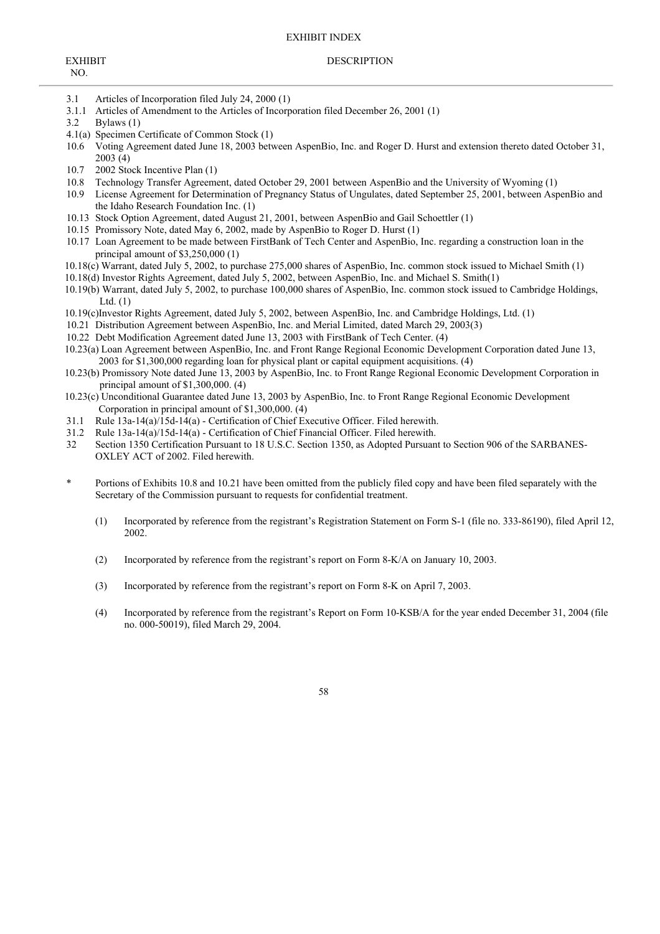#### EXHIBIT INDEX

| <b>EXHIBIT</b><br>NO. |                                                   | <b>DESCRIPTION</b> |
|-----------------------|---------------------------------------------------|--------------------|
| 3.1                   | Articles of Incorporation filed July 24, 2000 (1) |                    |

- 3.1.1 Articles of Amendment to the Articles of Incorporation filed December 26, 2001 (1)
- 3.2 Bylaws (1)
- 4.1(a) Specimen Certificate of Common Stock (1)

10.6 Voting Agreement dated June 18, 2003 between AspenBio, Inc. and Roger D. Hurst and extension thereto dated October 31, 2003 (4)

- 10.7 2002 Stock Incentive Plan (1)
- 10.8 Technology Transfer Agreement, dated October 29, 2001 between AspenBio and the University of Wyoming (1)
- 10.9 License Agreement for Determination of Pregnancy Status of Ungulates, dated September 25, 2001, between AspenBio and the Idaho Research Foundation Inc. (1)
- 10.13 Stock Option Agreement, dated August 21, 2001, between AspenBio and Gail Schoettler (1)
- 10.15 Promissory Note, dated May 6, 2002, made by AspenBio to Roger D. Hurst (1)
- 10.17 Loan Agreement to be made between FirstBank of Tech Center and AspenBio, Inc. regarding a construction loan in the principal amount of \$3,250,000 (1)
- 10.18(c) Warrant, dated July 5, 2002, to purchase 275,000 shares of AspenBio, Inc. common stock issued to Michael Smith (1)
- 10.18(d) Investor Rights Agreement, dated July 5, 2002, between AspenBio, Inc. and Michael S. Smith(1)
- 10.19(b) Warrant, dated July 5, 2002, to purchase 100,000 shares of AspenBio, Inc. common stock issued to Cambridge Holdings, Ltd. (1)
- 10.19(c)Investor Rights Agreement, dated July 5, 2002, between AspenBio, Inc. and Cambridge Holdings, Ltd. (1)
- 10.21 Distribution Agreement between AspenBio, Inc. and Merial Limited, dated March 29, 2003(3)
- 10.22 Debt Modification Agreement dated June 13, 2003 with FirstBank of Tech Center. (4)
- 10.23(a) Loan Agreement between AspenBio, Inc. and Front Range Regional Economic Development Corporation dated June 13, 2003 for \$1,300,000 regarding loan for physical plant or capital equipment acquisitions. (4)
- 10.23(b) Promissory Note dated June 13, 2003 by AspenBio, Inc. to Front Range Regional Economic Development Corporation in principal amount of \$1,300,000. (4)
- 10.23(c) Unconditional Guarantee dated June 13, 2003 by AspenBio, Inc. to Front Range Regional Economic Development Corporation in principal amount of \$1,300,000. (4)
- 31.1 Rule 13a-14(a)/15d-14(a) Certification of Chief Executive Officer. Filed herewith.
- 31.2 Rule 13a-14(a)/15d-14(a) Certification of Chief Financial Officer. Filed herewith.
- 32 Section 1350 Certification Pursuant to 18 U.S.C. Section 1350, as Adopted Pursuant to Section 906 of the SARBANES-OXLEY ACT of 2002. Filed herewith.
- \* Portions of Exhibits 10.8 and 10.21 have been omitted from the publicly filed copy and have been filed separately with the Secretary of the Commission pursuant to requests for confidential treatment.
	- (1) Incorporated by reference from the registrant's Registration Statement on Form S-1 (file no. 333-86190), filed April 12, 2002.
	- (2) Incorporated by reference from the registrant's report on Form 8-K/A on January 10, 2003.
	- (3) Incorporated by reference from the registrant's report on Form 8-K on April 7, 2003.
	- (4) Incorporated by reference from the registrant's Report on Form 10-KSB/A for the year ended December 31, 2004 (file no. 000-50019), filed March 29, 2004.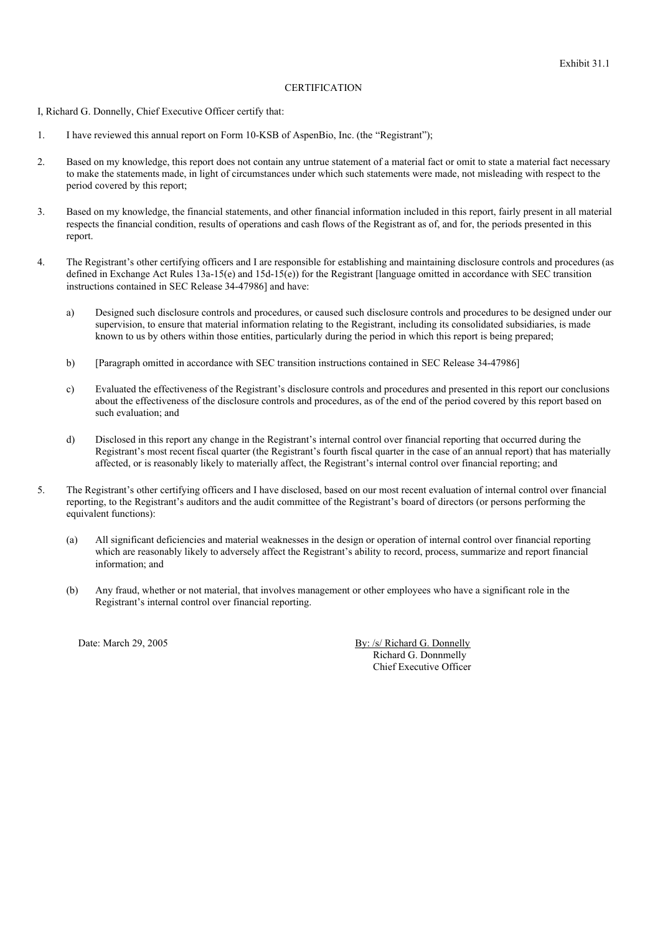#### **CERTIFICATION**

I, Richard G. Donnelly, Chief Executive Officer certify that:

- 1. I have reviewed this annual report on Form 10-KSB of AspenBio, Inc. (the "Registrant");
- 2. Based on my knowledge, this report does not contain any untrue statement of a material fact or omit to state a material fact necessary to make the statements made, in light of circumstances under which such statements were made, not misleading with respect to the period covered by this report;
- 3. Based on my knowledge, the financial statements, and other financial information included in this report, fairly present in all material respects the financial condition, results of operations and cash flows of the Registrant as of, and for, the periods presented in this report.
- 4. The Registrant's other certifying officers and I are responsible for establishing and maintaining disclosure controls and procedures (as defined in Exchange Act Rules 13a-15(e) and 15d-15(e)) for the Registrant [language omitted in accordance with SEC transition instructions contained in SEC Release 34-47986] and have:
	- a) Designed such disclosure controls and procedures, or caused such disclosure controls and procedures to be designed under our supervision, to ensure that material information relating to the Registrant, including its consolidated subsidiaries, is made known to us by others within those entities, particularly during the period in which this report is being prepared;
	- b) [Paragraph omitted in accordance with SEC transition instructions contained in SEC Release 34-47986]
	- c) Evaluated the effectiveness of the Registrant's disclosure controls and procedures and presented in this report our conclusions about the effectiveness of the disclosure controls and procedures, as of the end of the period covered by this report based on such evaluation; and
	- d) Disclosed in this report any change in the Registrant's internal control over financial reporting that occurred during the Registrant's most recent fiscal quarter (the Registrant's fourth fiscal quarter in the case of an annual report) that has materially affected, or is reasonably likely to materially affect, the Registrant's internal control over financial reporting; and
- 5. The Registrant's other certifying officers and I have disclosed, based on our most recent evaluation of internal control over financial reporting, to the Registrant's auditors and the audit committee of the Registrant's board of directors (or persons performing the equivalent functions):
	- (a) All significant deficiencies and material weaknesses in the design or operation of internal control over financial reporting which are reasonably likely to adversely affect the Registrant's ability to record, process, summarize and report financial information; and
	- (b) Any fraud, whether or not material, that involves management or other employees who have a significant role in the Registrant's internal control over financial reporting.

Date: March 29, 2005 By: /s/ Richard G. Donnelly Richard G. Donnmelly Chief Executive Officer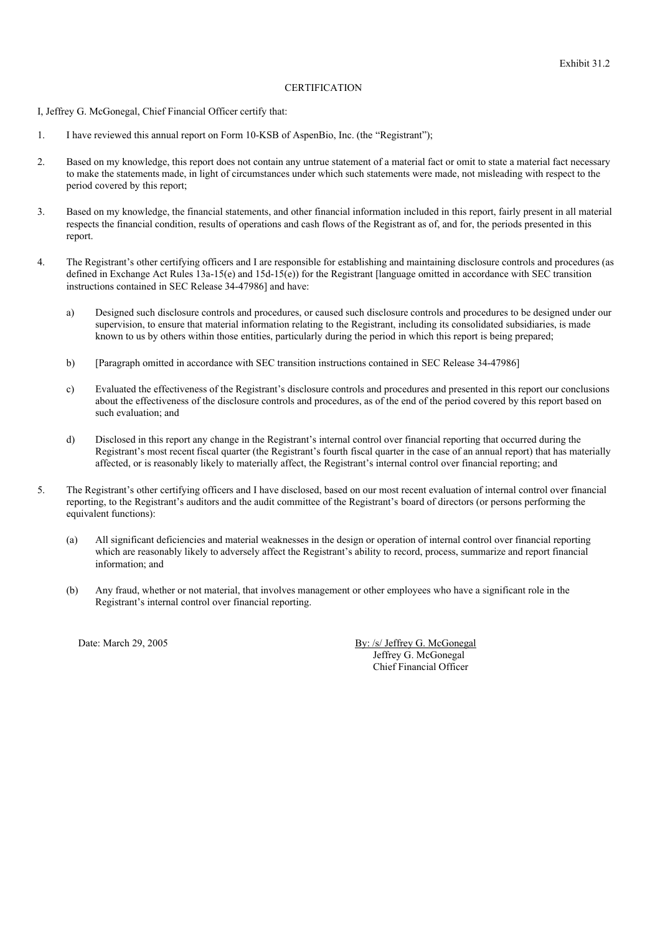#### **CERTIFICATION**

I, Jeffrey G. McGonegal, Chief Financial Officer certify that:

- 1. I have reviewed this annual report on Form 10-KSB of AspenBio, Inc. (the "Registrant");
- 2. Based on my knowledge, this report does not contain any untrue statement of a material fact or omit to state a material fact necessary to make the statements made, in light of circumstances under which such statements were made, not misleading with respect to the period covered by this report;
- 3. Based on my knowledge, the financial statements, and other financial information included in this report, fairly present in all material respects the financial condition, results of operations and cash flows of the Registrant as of, and for, the periods presented in this report.
- 4. The Registrant's other certifying officers and I are responsible for establishing and maintaining disclosure controls and procedures (as defined in Exchange Act Rules 13a-15(e) and 15d-15(e)) for the Registrant [language omitted in accordance with SEC transition instructions contained in SEC Release 34-47986] and have:
	- a) Designed such disclosure controls and procedures, or caused such disclosure controls and procedures to be designed under our supervision, to ensure that material information relating to the Registrant, including its consolidated subsidiaries, is made known to us by others within those entities, particularly during the period in which this report is being prepared;
	- b) [Paragraph omitted in accordance with SEC transition instructions contained in SEC Release 34-47986]
	- c) Evaluated the effectiveness of the Registrant's disclosure controls and procedures and presented in this report our conclusions about the effectiveness of the disclosure controls and procedures, as of the end of the period covered by this report based on such evaluation; and
	- d) Disclosed in this report any change in the Registrant's internal control over financial reporting that occurred during the Registrant's most recent fiscal quarter (the Registrant's fourth fiscal quarter in the case of an annual report) that has materially affected, or is reasonably likely to materially affect, the Registrant's internal control over financial reporting; and
- 5. The Registrant's other certifying officers and I have disclosed, based on our most recent evaluation of internal control over financial reporting, to the Registrant's auditors and the audit committee of the Registrant's board of directors (or persons performing the equivalent functions):
	- (a) All significant deficiencies and material weaknesses in the design or operation of internal control over financial reporting which are reasonably likely to adversely affect the Registrant's ability to record, process, summarize and report financial information; and
	- (b) Any fraud, whether or not material, that involves management or other employees who have a significant role in the Registrant's internal control over financial reporting.

Date: March 29, 2005 By: /s/ Jeffrey G. McGonegal Jeffrey G. McGonegal Chief Financial Officer